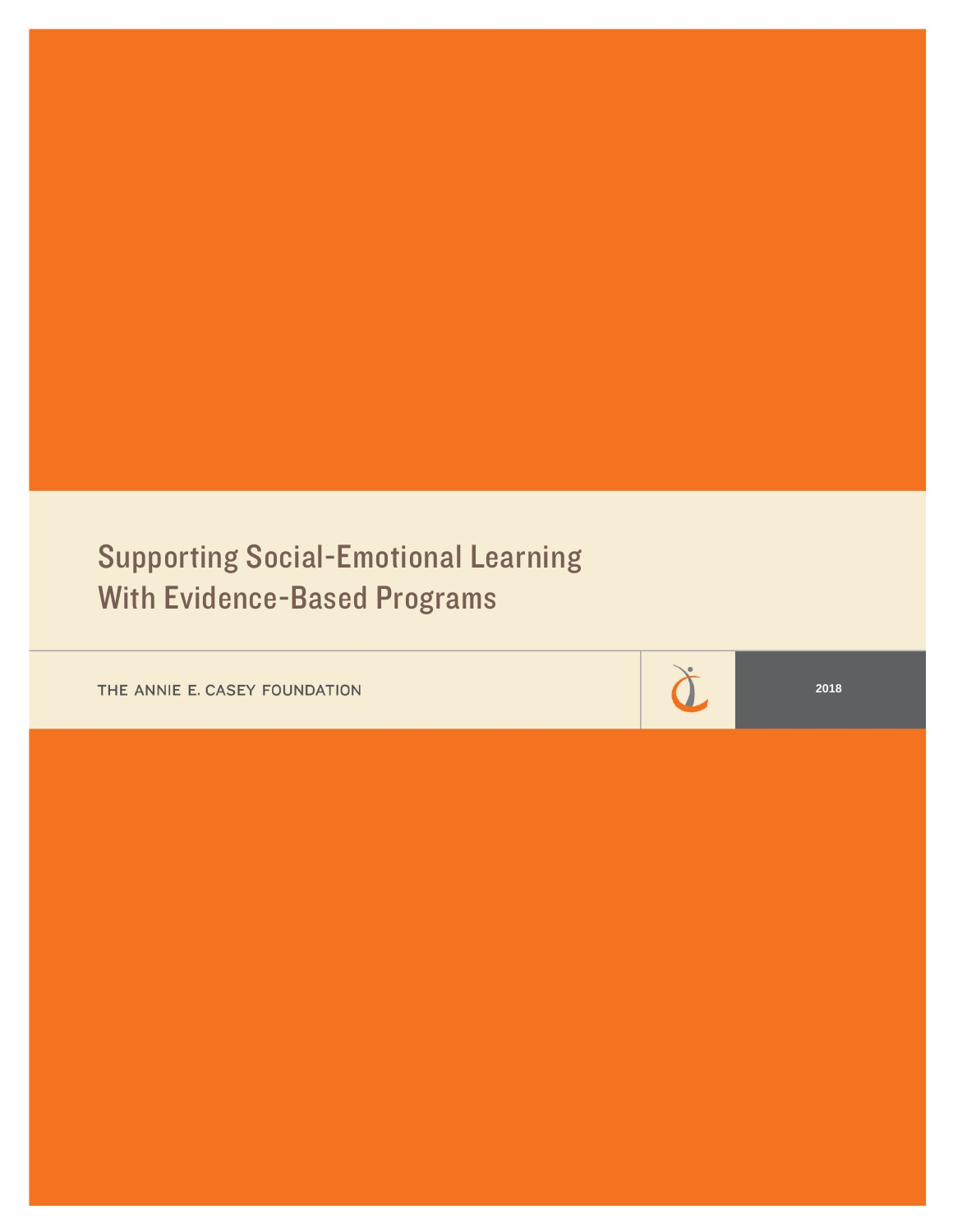# Supporting Social-Emotional Learning With Evidence-Based Programs

THE ANNIE E. CASEY FOUNDATION

à

**2018**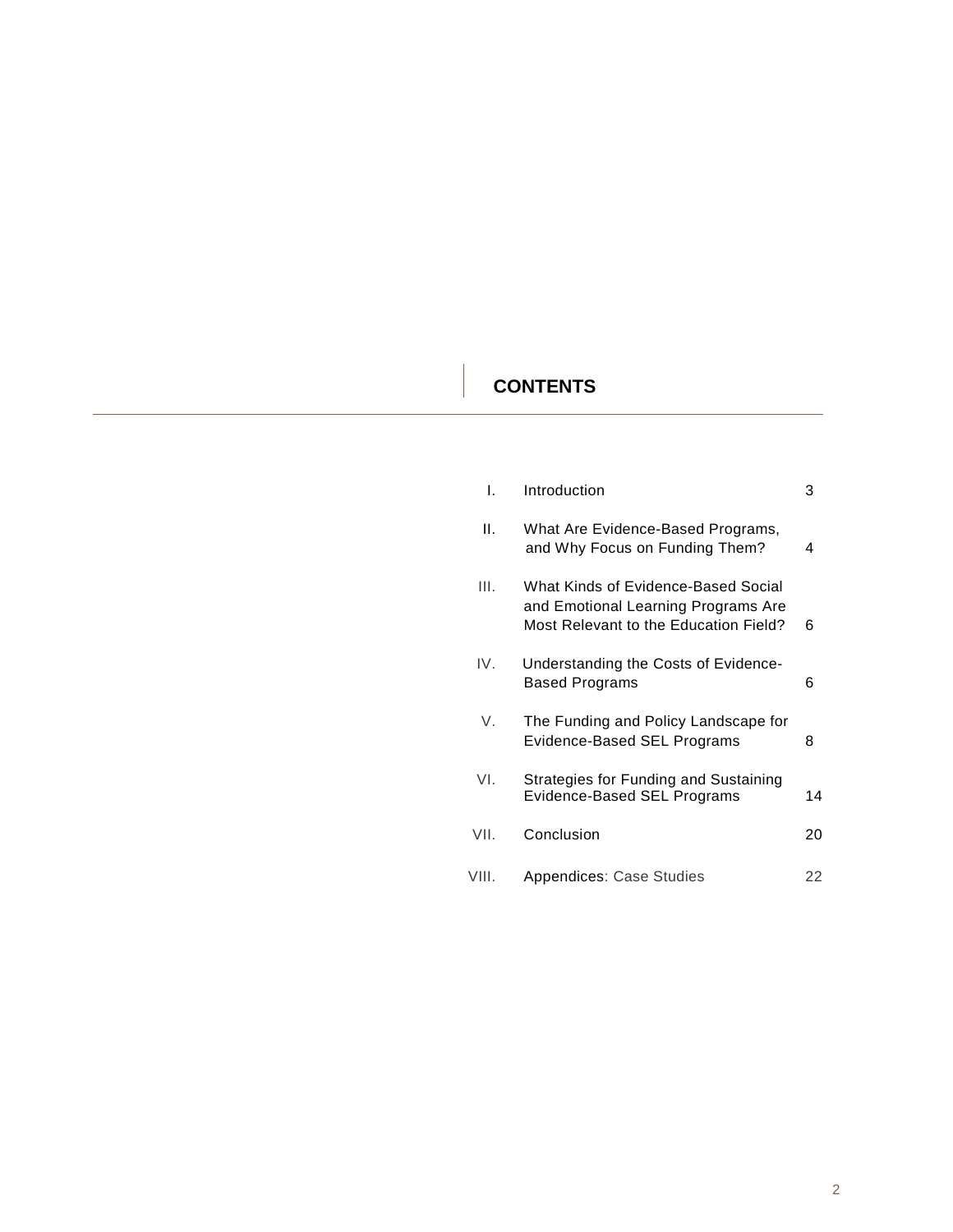## **CONTENTS**

| L.    | Introduction                                                                                                        | З  |
|-------|---------------------------------------------------------------------------------------------------------------------|----|
| Η.    | What Are Evidence-Based Programs,<br>and Why Focus on Funding Them?                                                 | 4  |
| III.  | What Kinds of Evidence-Based Social<br>and Emotional Learning Programs Are<br>Most Relevant to the Education Field? | 6  |
| IV.   | Understanding the Costs of Evidence-<br><b>Based Programs</b>                                                       | 6  |
| V.    | The Funding and Policy Landscape for<br>Evidence-Based SEL Programs                                                 | 8  |
| VI.   | Strategies for Funding and Sustaining<br>Evidence-Based SEL Programs                                                | 14 |
| VII.  | Conclusion                                                                                                          | 20 |
| VIII. | Appendices: Case Studies                                                                                            | 22 |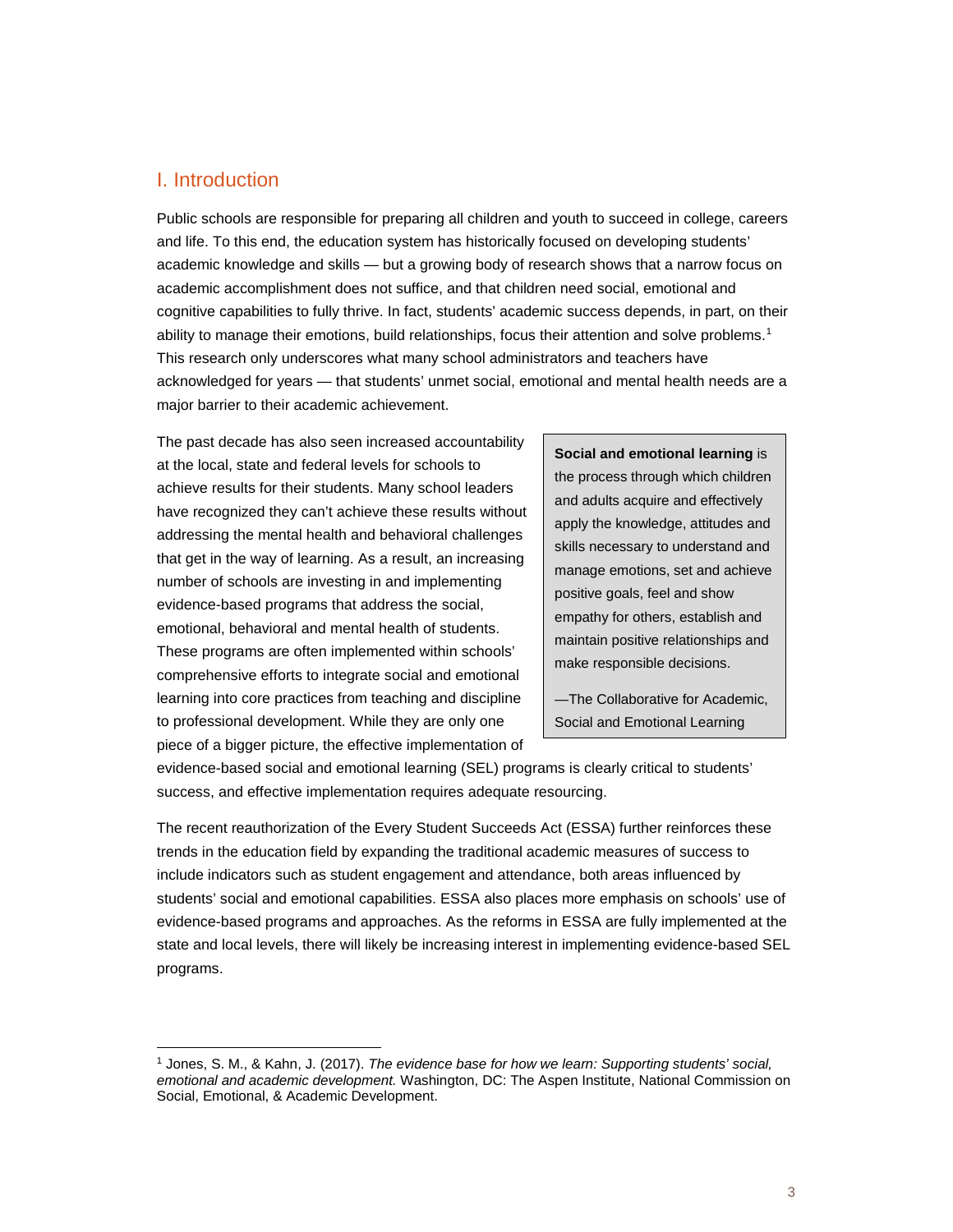## I. Introduction

 $\overline{a}$ 

Public schools are responsible for preparing all children and youth to succeed in college, careers and life. To this end, the education system has historically focused on developing students' academic knowledge and skills — but a growing body of research shows that a narrow focus on academic accomplishment does not suffice, and that children need social, emotional and cognitive capabilities to fully thrive. In fact, students' academic success depends, in part, on their ability to manage their emotions, build relationships, focus their attention and solve problems.<sup>[1](#page-2-0)</sup> This research only underscores what many school administrators and teachers have acknowledged for years — that students' unmet social, emotional and mental health needs are a major barrier to their academic achievement.

The past decade has also seen increased accountability at the local, state and federal levels for schools to achieve results for their students. Many school leaders have recognized they can't achieve these results without addressing the mental health and behavioral challenges that get in the way of learning. As a result, an increasing number of schools are investing in and implementing evidence-based programs that address the social, emotional, behavioral and mental health of students. These programs are often implemented within schools' comprehensive efforts to integrate social and emotional learning into core practices from teaching and discipline to professional development. While they are only one piece of a bigger picture, the effective implementation of

**Social and emotional learning** is the process through which children and adults acquire and effectively apply the knowledge, attitudes and skills necessary to understand and manage emotions, set and achieve positive goals, feel and show empathy for others, establish and maintain positive relationships and make responsible decisions.

—The Collaborative for Academic, Social and Emotional Learning

evidence-based social and emotional learning (SEL) programs is clearly critical to students' success, and effective implementation requires adequate resourcing.

The recent reauthorization of the Every Student Succeeds Act (ESSA) further reinforces these trends in the education field by expanding the traditional academic measures of success to include indicators such as student engagement and attendance, both areas influenced by students' social and emotional capabilities. ESSA also places more emphasis on schools' use of evidence-based programs and approaches. As the reforms in ESSA are fully implemented at the state and local levels, there will likely be increasing interest in implementing evidence-based SEL programs.

<span id="page-2-0"></span><sup>1</sup> Jones, S. M., & Kahn, J. (2017). *The evidence base for how we learn: Supporting students' social, emotional and academic development.* Washington, DC: The Aspen Institute, National Commission on Social, Emotional, & Academic Development.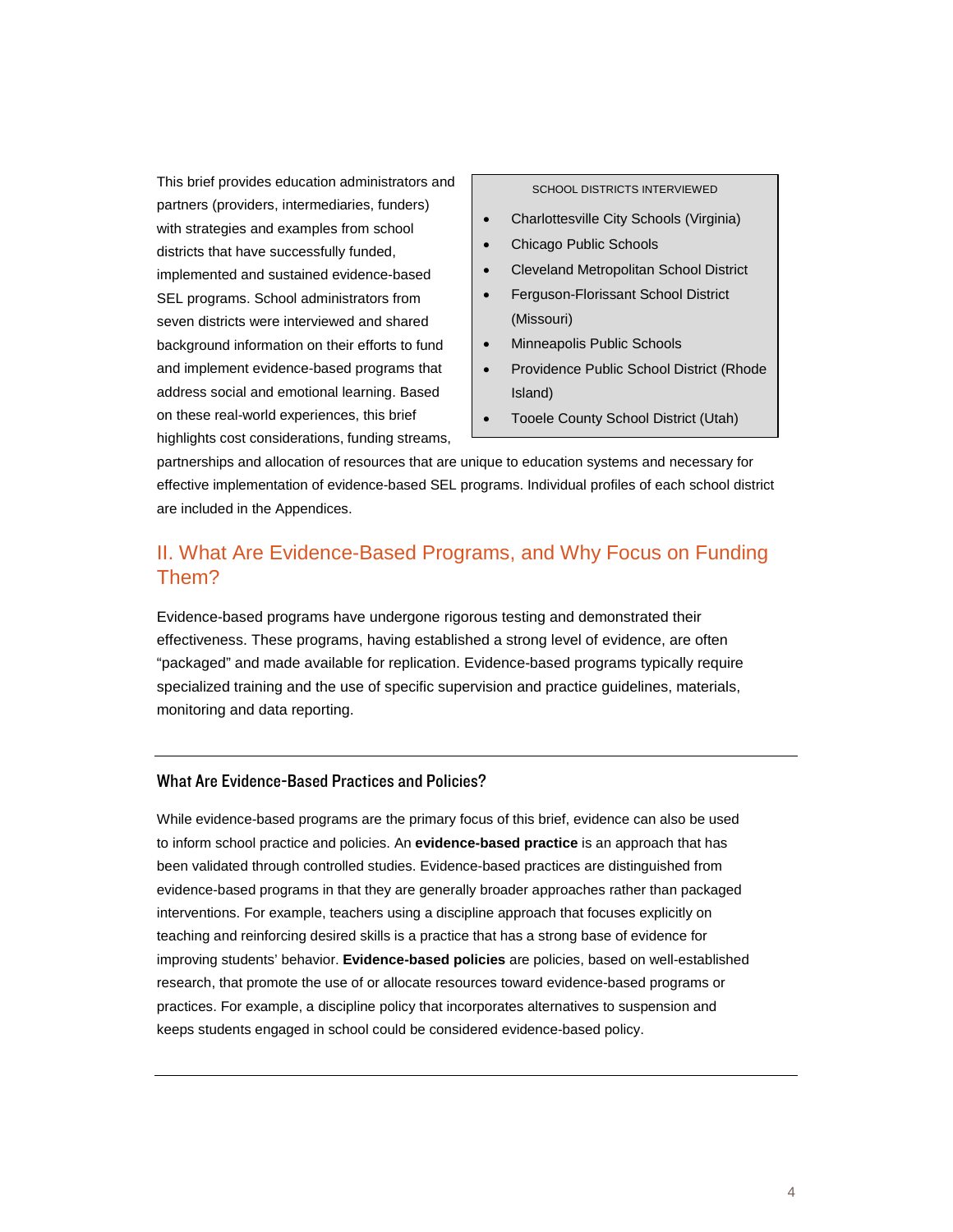This brief provides education administrators and partners (providers, intermediaries, funders) with strategies and examples from school districts that have successfully funded, implemented and sustained evidence-based SEL programs. School administrators from seven districts were interviewed and shared background information on their efforts to fund and implement evidence-based programs that address social and emotional learning. Based on these real-world experiences, this brief highlights cost considerations, funding streams,

#### SCHOOL DISTRICTS INTERVIEWED

- Charlottesville City Schools (Virginia)
- Chicago Public Schools
- Cleveland Metropolitan School District
- Ferguson-Florissant School District (Missouri)
- Minneapolis Public Schools
- Providence Public School District (Rhode Island)
- Tooele County School District (Utah)

partnerships and allocation of resources that are unique to education systems and necessary for effective implementation of evidence-based SEL programs. Individual profiles of each school district are included in the Appendices.

## II. What Are Evidence-Based Programs, and Why Focus on Funding Them?

Evidence-based programs have undergone rigorous testing and demonstrated their effectiveness. These programs, having established a strong level of evidence, are often "packaged" and made available for replication. Evidence-based programs typically require specialized training and the use of specific supervision and practice guidelines, materials, monitoring and data reporting.

#### What Are Evidence-Based Practices and Policies?

While evidence-based programs are the primary focus of this brief, evidence can also be used to inform school practice and policies. An **evidence-based practice** is an approach that has been validated through controlled studies. Evidence-based practices are distinguished from evidence-based programs in that they are generally broader approaches rather than packaged interventions. For example, teachers using a discipline approach that focuses explicitly on teaching and reinforcing desired skills is a practice that has a strong base of evidence for improving students' behavior. **Evidence-based policies** are policies, based on well-established research, that promote the use of or allocate resources toward evidence-based programs or practices. For example, a discipline policy that incorporates alternatives to suspension and keeps students engaged in school could be considered evidence-based policy.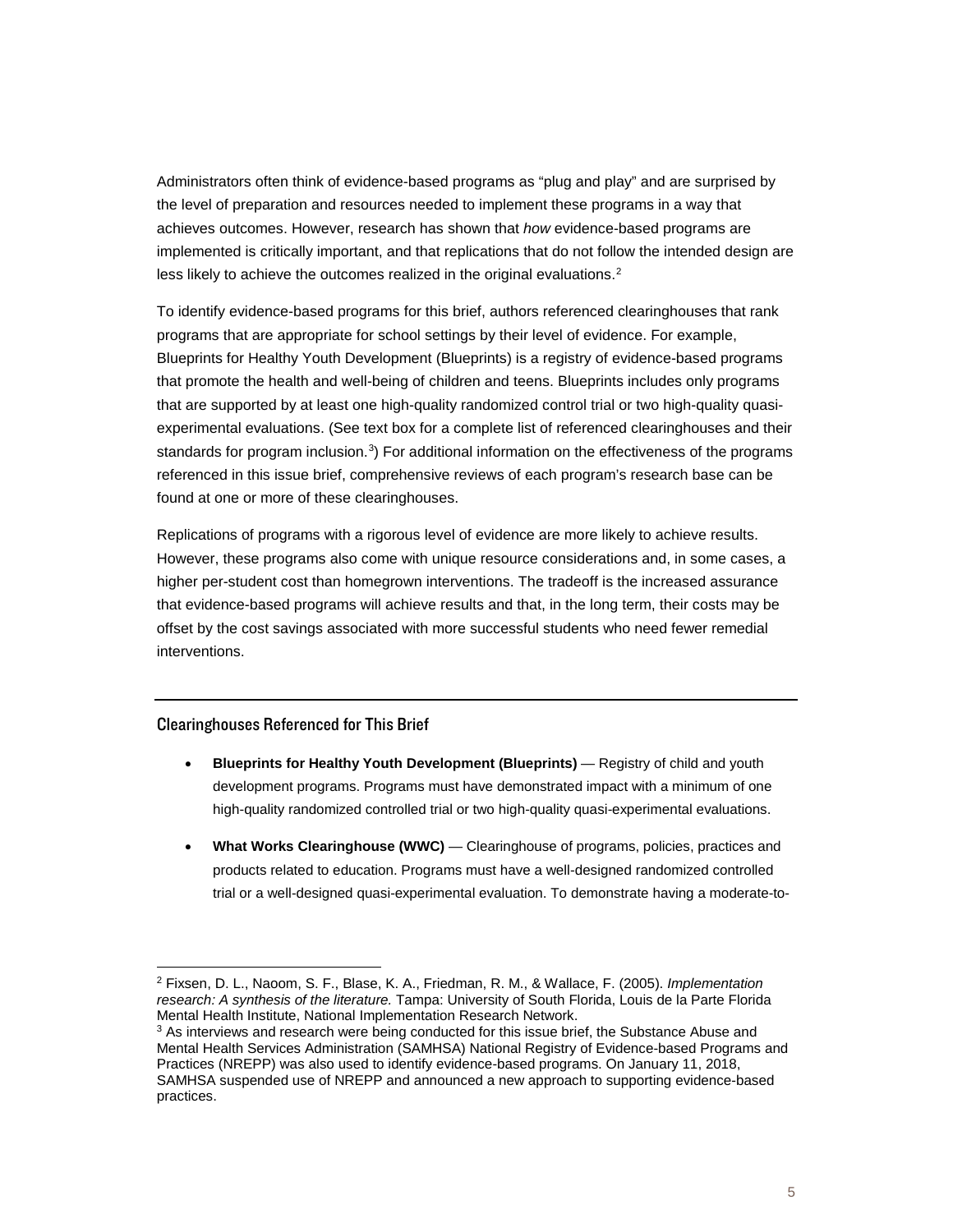Administrators often think of evidence-based programs as "plug and play" and are surprised by the level of preparation and resources needed to implement these programs in a way that achieves outcomes. However, research has shown that *how* evidence-based programs are implemented is critically important, and that replications that do not follow the intended design are less likely to achieve the outcomes realized in the original evaluations.<sup>[2](#page-4-0)</sup>

To identify evidence-based programs for this brief, authors referenced clearinghouses that rank programs that are appropriate for school settings by their level of evidence. For example, Blueprints for Healthy Youth Development (Blueprints) is a registry of evidence-based programs that promote the health and well-being of children and teens. Blueprints includes only programs that are supported by at least one high-quality randomized control trial or two high-quality quasiexperimental evaluations. (See text box for a complete list of referenced clearinghouses and their standards for program inclusion.<sup>[3](#page-4-1)</sup>) For additional information on the effectiveness of the programs referenced in this issue brief, comprehensive reviews of each program's research base can be found at one or more of these clearinghouses.

Replications of programs with a rigorous level of evidence are more likely to achieve results. However, these programs also come with unique resource considerations and, in some cases, a higher per-student cost than homegrown interventions. The tradeoff is the increased assurance that evidence-based programs will achieve results and that, in the long term, their costs may be offset by the cost savings associated with more successful students who need fewer remedial interventions.

#### Clearinghouses Referenced for This Brief

- **Blueprints for Healthy Youth Development (Blueprints)** Registry of child and youth development programs. Programs must have demonstrated impact with a minimum of one high-quality randomized controlled trial or two high-quality quasi-experimental evaluations.
- **What Works Clearinghouse (WWC)** Clearinghouse of programs, policies, practices and products related to education. Programs must have a well-designed randomized controlled trial or a well-designed quasi-experimental evaluation. To demonstrate having a moderate-to-

<span id="page-4-0"></span><sup>2</sup> Fixsen, D. L., Naoom, S. F., Blase, K. A., Friedman, R. M., & Wallace, F. (2005). *Implementation research: A synthesis of the literature.* Tampa: University of South Florida, Louis de la Parte Florida Mental Health Institute, National Implementation Research Network.

<span id="page-4-1"></span><sup>&</sup>lt;sup>3</sup> As interviews and research were being conducted for this issue brief, the Substance Abuse and Mental Health Services Administration (SAMHSA) National Registry of Evidence-based Programs and Practices (NREPP) was also used to identify evidence-based programs. On January 11, 2018, SAMHSA suspended use of NREPP and announced a new approach to supporting evidence-based practices.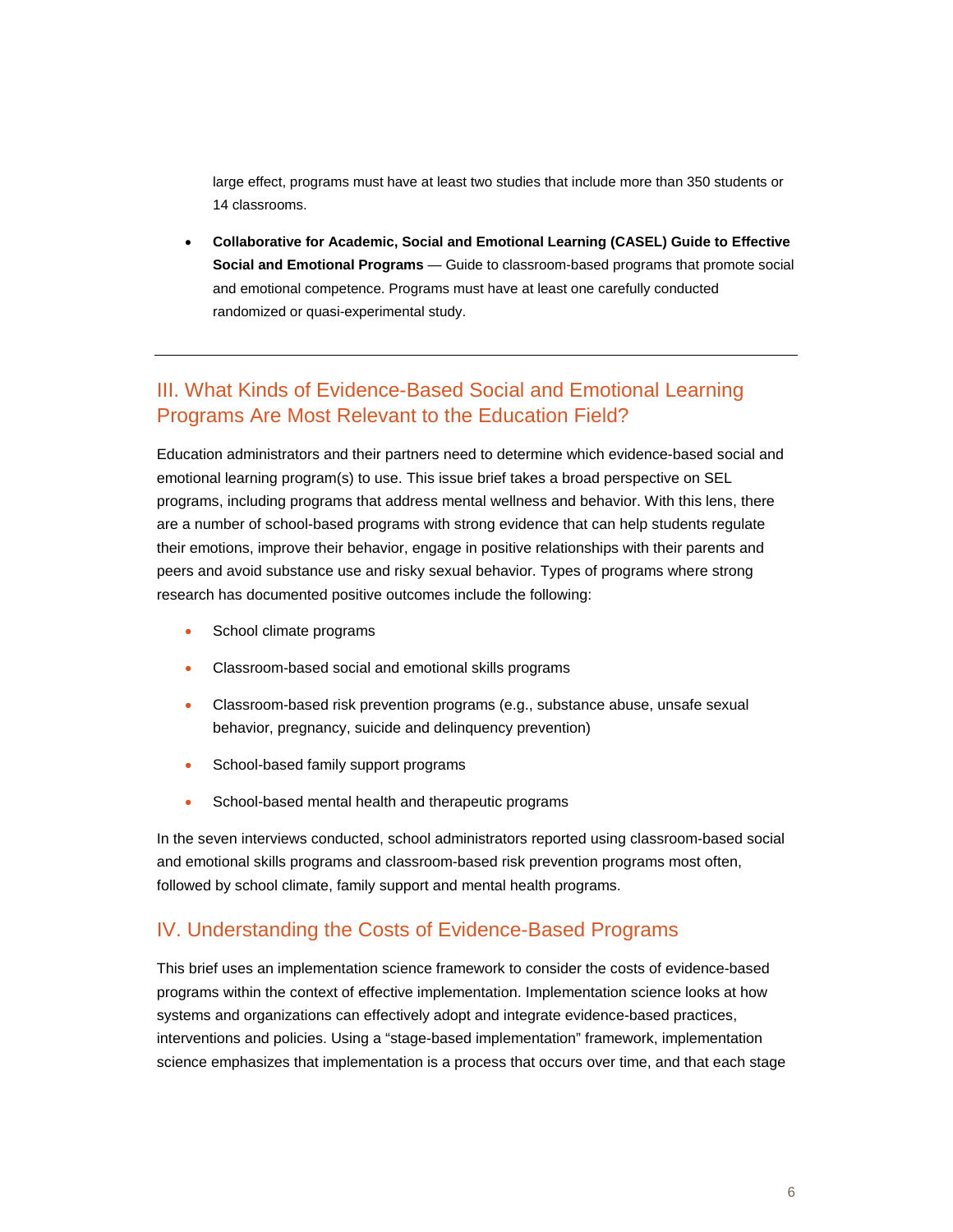large effect, programs must have at least two studies that include more than 350 students or 14 classrooms.

• **Collaborative for Academic, Social and Emotional Learning (CASEL) Guide to Effective Social and Emotional Programs** — Guide to classroom-based programs that promote social and emotional competence. Programs must have at least one carefully conducted randomized or quasi-experimental study.

## III. What Kinds of Evidence-Based Social and Emotional Learning Programs Are Most Relevant to the Education Field?

Education administrators and their partners need to determine which evidence-based social and emotional learning program(s) to use. This issue brief takes a broad perspective on SEL programs, including programs that address mental wellness and behavior. With this lens, there are a number of school-based programs with strong evidence that can help students regulate their emotions, improve their behavior, engage in positive relationships with their parents and peers and avoid substance use and risky sexual behavior. Types of programs where strong research has documented positive outcomes include the following:

- School climate programs
- Classroom-based social and emotional skills programs
- Classroom-based risk prevention programs (e.g., substance abuse, unsafe sexual behavior, pregnancy, suicide and delinquency prevention)
- School-based family support programs
- School-based mental health and therapeutic programs

In the seven interviews conducted, school administrators reported using classroom-based social and emotional skills programs and classroom-based risk prevention programs most often, followed by school climate, family support and mental health programs.

### IV. Understanding the Costs of Evidence-Based Programs

This brief uses an implementation science framework to consider the costs of evidence-based programs within the context of effective implementation. Implementation science looks at how systems and organizations can effectively adopt and integrate evidence-based practices, interventions and policies. Using a "stage-based implementation" framework, implementation science emphasizes that implementation is a process that occurs over time, and that each stage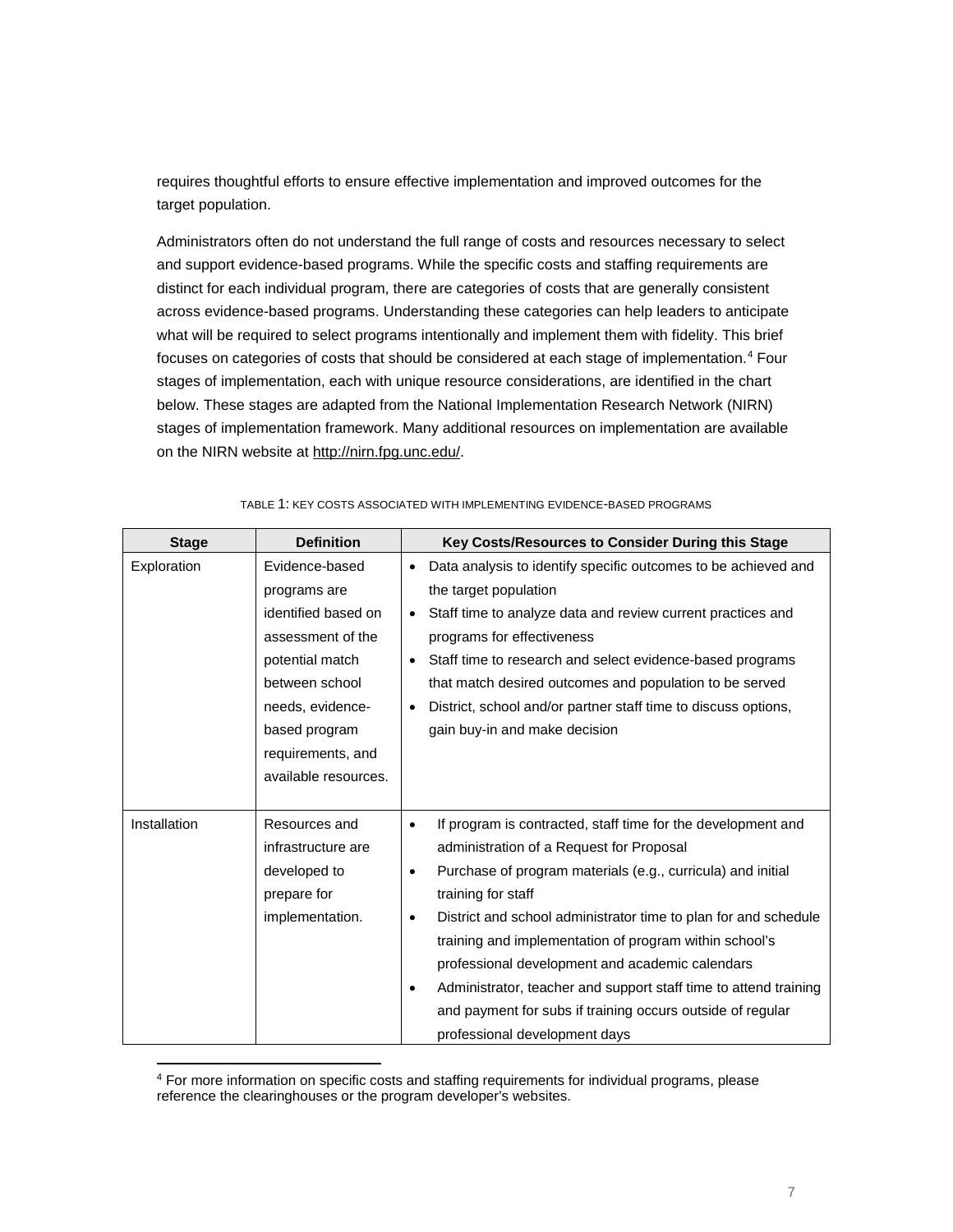requires thoughtful efforts to ensure effective implementation and improved outcomes for the target population.

Administrators often do not understand the full range of costs and resources necessary to select and support evidence-based programs. While the specific costs and staffing requirements are distinct for each individual program, there are categories of costs that are generally consistent across evidence-based programs. Understanding these categories can help leaders to anticipate what will be required to select programs intentionally and implement them with fidelity. This brief focuses on categories of costs that should be considered at each stage of implementation.<sup>4</sup> Four stages of implementation, each with unique resource considerations, are identified in the chart below. These stages are adapted from the National Implementation Research Network (NIRN) stages of implementation framework. Many additional resources on implementation are available on the NIRN website at [http://nirn.fpg.unc.edu/.](http://nirn.fpg.unc.edu/)

| <b>Stage</b> | <b>Definition</b>    |           | Key Costs/Resources to Consider During this Stage                |
|--------------|----------------------|-----------|------------------------------------------------------------------|
| Exploration  | Evidence-based       | $\bullet$ | Data analysis to identify specific outcomes to be achieved and   |
|              | programs are         |           | the target population                                            |
|              | identified based on  | $\bullet$ | Staff time to analyze data and review current practices and      |
|              | assessment of the    |           | programs for effectiveness                                       |
|              | potential match      | $\bullet$ | Staff time to research and select evidence-based programs        |
|              | between school       |           | that match desired outcomes and population to be served          |
|              | needs, evidence-     | $\bullet$ | District, school and/or partner staff time to discuss options,   |
|              | based program        |           | gain buy-in and make decision                                    |
|              | requirements, and    |           |                                                                  |
|              | available resources. |           |                                                                  |
|              |                      |           |                                                                  |
| Installation | Resources and        | $\bullet$ | If program is contracted, staff time for the development and     |
|              | infrastructure are   |           | administration of a Request for Proposal                         |
|              | developed to         | $\bullet$ | Purchase of program materials (e.g., curricula) and initial      |
|              | prepare for          |           | training for staff                                               |
|              | implementation.      | $\bullet$ | District and school administrator time to plan for and schedule  |
|              |                      |           | training and implementation of program within school's           |
|              |                      |           | professional development and academic calendars                  |
|              |                      |           | Administrator, teacher and support staff time to attend training |
|              |                      |           | and payment for subs if training occurs outside of regular       |
|              |                      |           | professional development days                                    |

TABLE 1: KEY COSTS ASSOCIATED WITH IMPLEMENTING EVIDENCE-BASED PROGRAMS

<span id="page-6-0"></span><sup>4</sup> For more information on specific costs and staffing requirements for individual programs, please reference the clearinghouses or the program developer's websites.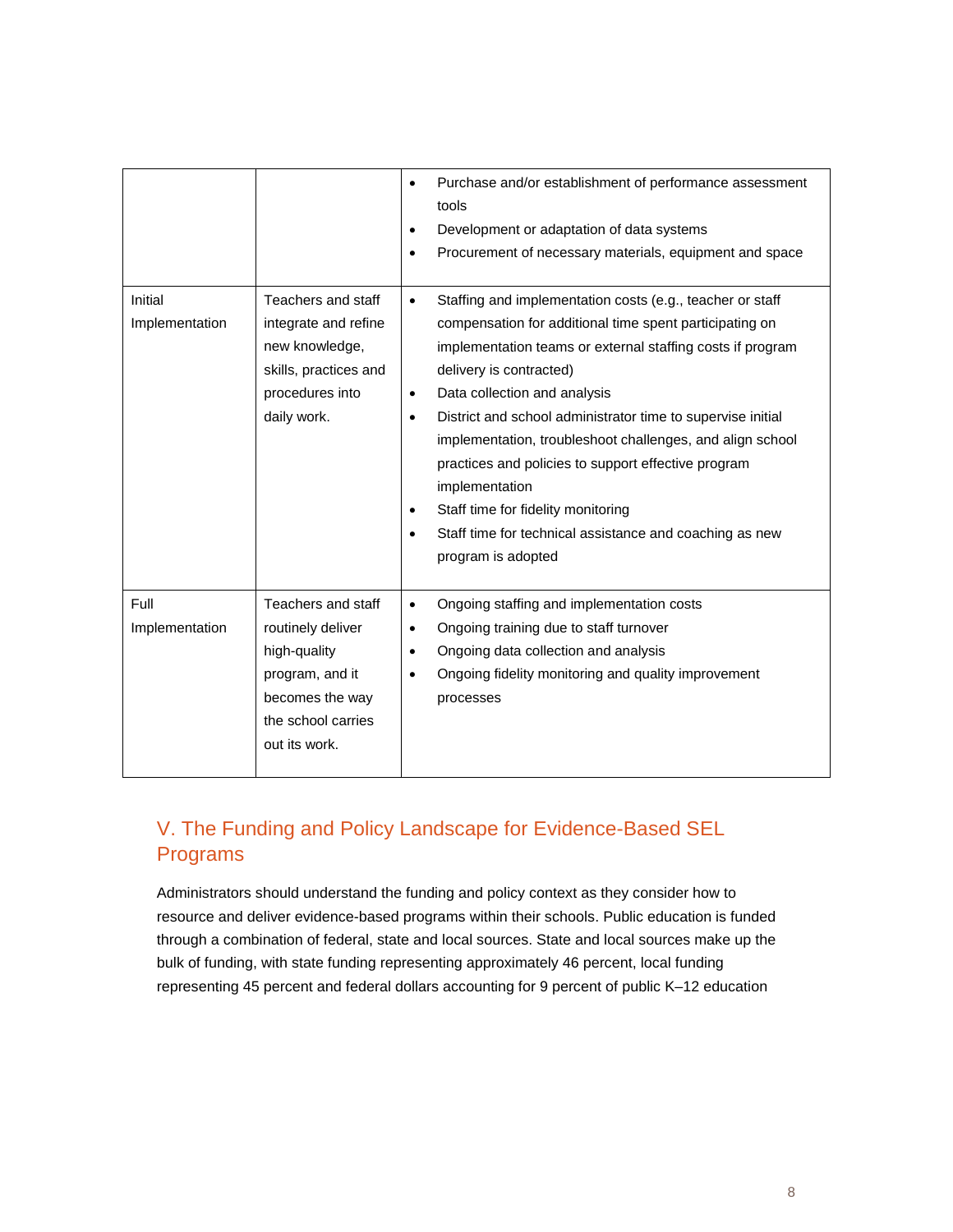|                           |                                                                                                                                      | Purchase and/or establishment of performance assessment<br>$\bullet$<br>tools<br>Development or adaptation of data systems<br>$\bullet$<br>Procurement of necessary materials, equipment and space<br>$\bullet$                                                                                                                                                                                                                                                                                                                                                                                          |
|---------------------------|--------------------------------------------------------------------------------------------------------------------------------------|----------------------------------------------------------------------------------------------------------------------------------------------------------------------------------------------------------------------------------------------------------------------------------------------------------------------------------------------------------------------------------------------------------------------------------------------------------------------------------------------------------------------------------------------------------------------------------------------------------|
| Initial<br>Implementation | Teachers and staff<br>integrate and refine<br>new knowledge,<br>skills, practices and<br>procedures into<br>daily work.              | Staffing and implementation costs (e.g., teacher or staff<br>$\bullet$<br>compensation for additional time spent participating on<br>implementation teams or external staffing costs if program<br>delivery is contracted)<br>Data collection and analysis<br>$\bullet$<br>District and school administrator time to supervise initial<br>٠<br>implementation, troubleshoot challenges, and align school<br>practices and policies to support effective program<br>implementation<br>Staff time for fidelity monitoring<br>Staff time for technical assistance and coaching as new<br>program is adopted |
| Full<br>Implementation    | Teachers and staff<br>routinely deliver<br>high-quality<br>program, and it<br>becomes the way<br>the school carries<br>out its work. | Ongoing staffing and implementation costs<br>$\bullet$<br>Ongoing training due to staff turnover<br>$\bullet$<br>Ongoing data collection and analysis<br>$\bullet$<br>Ongoing fidelity monitoring and quality improvement<br>٠<br>processes                                                                                                                                                                                                                                                                                                                                                              |

## V. The Funding and Policy Landscape for Evidence-Based SEL Programs

Administrators should understand the funding and policy context as they consider how to resource and deliver evidence-based programs within their schools. Public education is funded through a combination of federal, state and local sources. State and local sources make up the bulk of funding, with state funding representing approximately 46 percent, local funding representing 45 percent and federal dollars accounting for 9 percent of public K–12 education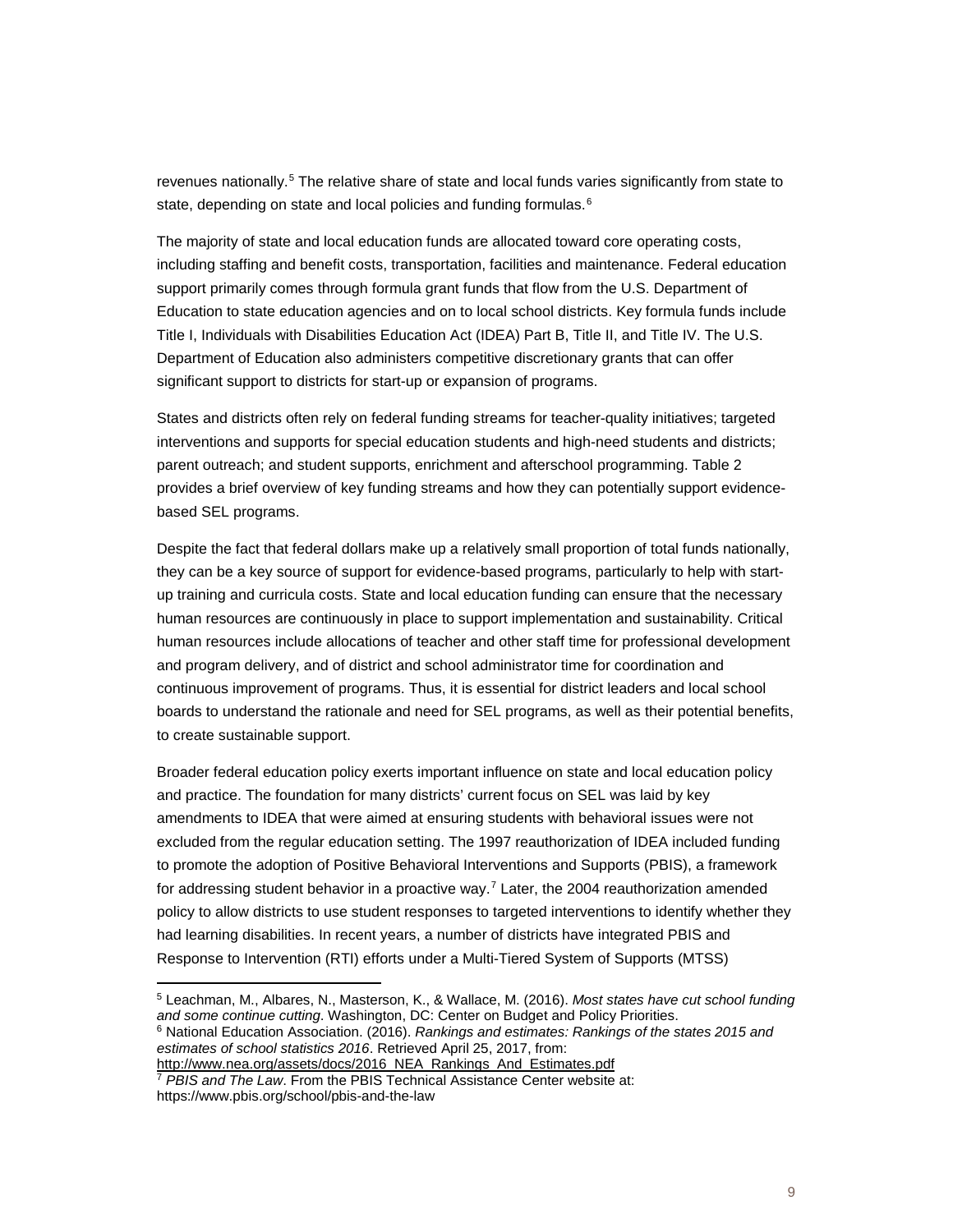revenues nationally.<sup>[5](#page-8-0)</sup> The relative share of state and local funds varies significantly from state to state, depending on state and local policies and funding formulas.<sup>[6](#page-8-1)</sup>

The majority of state and local education funds are allocated toward core operating costs, including staffing and benefit costs, transportation, facilities and maintenance. Federal education support primarily comes through formula grant funds that flow from the U.S. Department of Education to state education agencies and on to local school districts. Key formula funds include Title I, Individuals with Disabilities Education Act (IDEA) Part B, Title II, and Title IV. The U.S. Department of Education also administers competitive discretionary grants that can offer significant support to districts for start-up or expansion of programs.

States and districts often rely on federal funding streams for teacher-quality initiatives; targeted interventions and supports for special education students and high-need students and districts; parent outreach; and student supports, enrichment and afterschool programming. Table 2 provides a brief overview of key funding streams and how they can potentially support evidencebased SEL programs.

Despite the fact that federal dollars make up a relatively small proportion of total funds nationally, they can be a key source of support for evidence-based programs, particularly to help with startup training and curricula costs. State and local education funding can ensure that the necessary human resources are continuously in place to support implementation and sustainability. Critical human resources include allocations of teacher and other staff time for professional development and program delivery, and of district and school administrator time for coordination and continuous improvement of programs. Thus, it is essential for district leaders and local school boards to understand the rationale and need for SEL programs, as well as their potential benefits, to create sustainable support.

Broader federal education policy exerts important influence on state and local education policy and practice. The foundation for many districts' current focus on SEL was laid by key amendments to IDEA that were aimed at ensuring students with behavioral issues were not excluded from the regular education setting. The 1997 reauthorization of IDEA included funding to promote the adoption of Positive Behavioral Interventions and Supports (PBIS), a framework for addressing student behavior in a proactive way.<sup>[7](#page-8-2)</sup> Later, the 2004 reauthorization amended policy to allow districts to use student responses to targeted interventions to identify whether they had learning disabilities. In recent years, a number of districts have integrated PBIS and Response to Intervention (RTI) efforts under a Multi-Tiered System of Supports (MTSS)

<span id="page-8-1"></span><span id="page-8-0"></span><sup>5</sup> Leachman, M., Albares, N., Masterson, K., & Wallace, M. (2016). *Most states have cut school funding and some continue cutting*. Washington, DC: Center on Budget and Policy Priorities. <sup>6</sup> National Education Association. (2016). *Rankings and estimates: Rankings of the states 2015 and estimates of school statistics 2016*. Retrieved April 25, 2017, from: [http://www.nea.org/assets/docs/2016\\_NEA\\_Rankings\\_And\\_Estimates.pdf](http://www.nea.org/assets/docs/2016_NEA_Rankings_And_Estimates.pdf)

<span id="page-8-2"></span><sup>7</sup> *PBIS and The Law*. From the PBIS Technical Assistance Center website at: https://www.pbis.org/school/pbis-and-the-law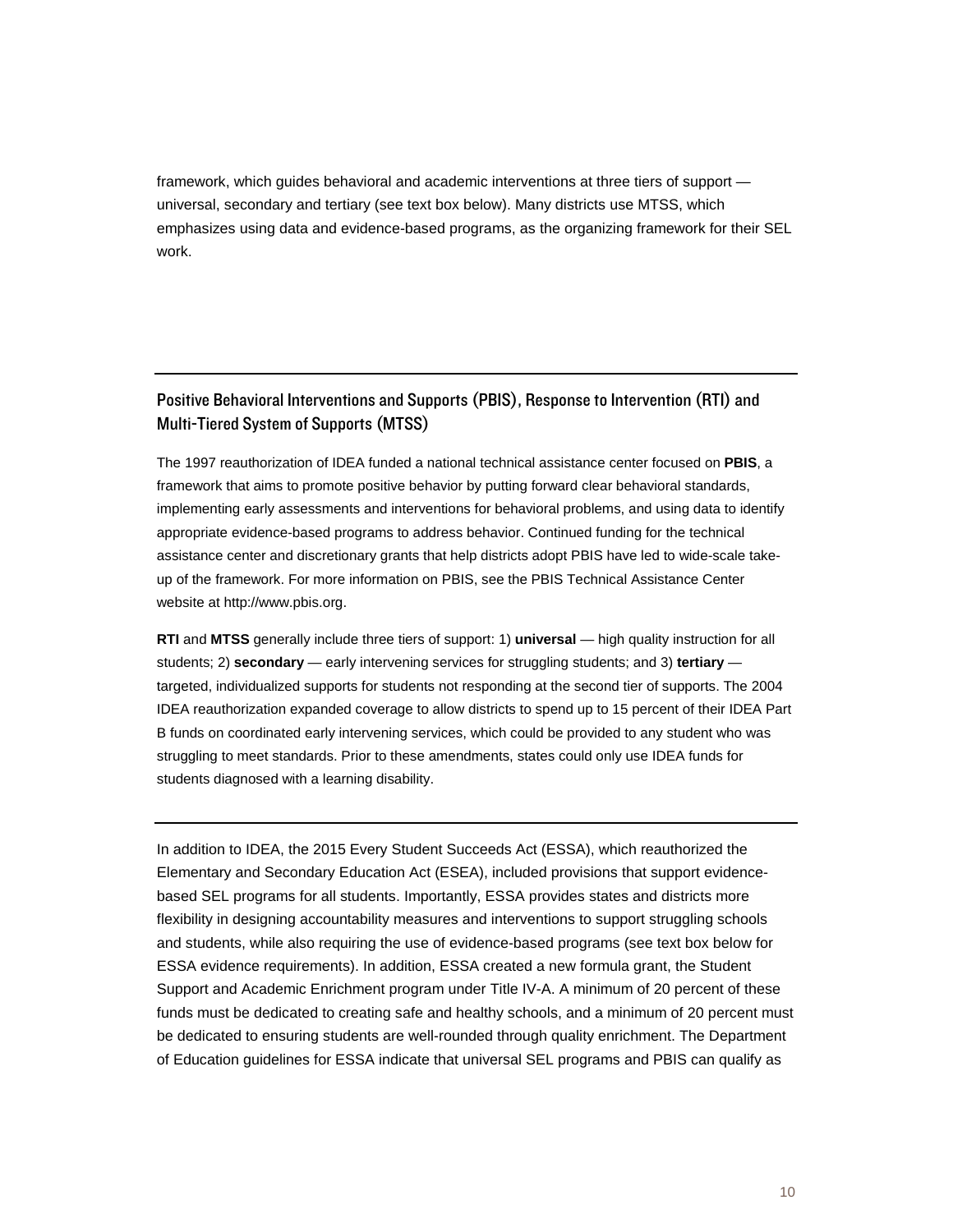framework, which guides behavioral and academic interventions at three tiers of support universal, secondary and tertiary (see text box below). Many districts use MTSS, which emphasizes using data and evidence-based programs, as the organizing framework for their SEL work.

### Positive Behavioral Interventions and Supports (PBIS), Response to Intervention (RTI) and Multi-Tiered System of Supports (MTSS)

The 1997 reauthorization of IDEA funded a national technical assistance center focused on **PBIS**, a framework that aims to promote positive behavior by putting forward clear behavioral standards, implementing early assessments and interventions for behavioral problems, and using data to identify appropriate evidence-based programs to address behavior. Continued funding for the technical assistance center and discretionary grants that help districts adopt PBIS have led to wide-scale takeup of the framework. For more information on PBIS, see the PBIS Technical Assistance Center website at http://www.pbis.org.

**RTI** and **MTSS** generally include three tiers of support: 1) **universal** — high quality instruction for all students; 2) **secondary** — early intervening services for struggling students; and 3) **tertiary** targeted, individualized supports for students not responding at the second tier of supports. The 2004 IDEA reauthorization expanded coverage to allow districts to spend up to 15 percent of their IDEA Part B funds on coordinated early intervening services, which could be provided to any student who was struggling to meet standards. Prior to these amendments, states could only use IDEA funds for students diagnosed with a learning disability.

In addition to IDEA, the 2015 Every Student Succeeds Act (ESSA), which reauthorized the Elementary and Secondary Education Act (ESEA), included provisions that support evidencebased SEL programs for all students. Importantly, ESSA provides states and districts more flexibility in designing accountability measures and interventions to support struggling schools and students, while also requiring the use of evidence-based programs (see text box below for ESSA evidence requirements). In addition, ESSA created a new formula grant, the Student Support and Academic Enrichment program under Title IV-A. A minimum of 20 percent of these funds must be dedicated to creating safe and healthy schools, and a minimum of 20 percent must be dedicated to ensuring students are well-rounded through quality enrichment. The Department of Education guidelines for ESSA indicate that universal SEL programs and PBIS can qualify as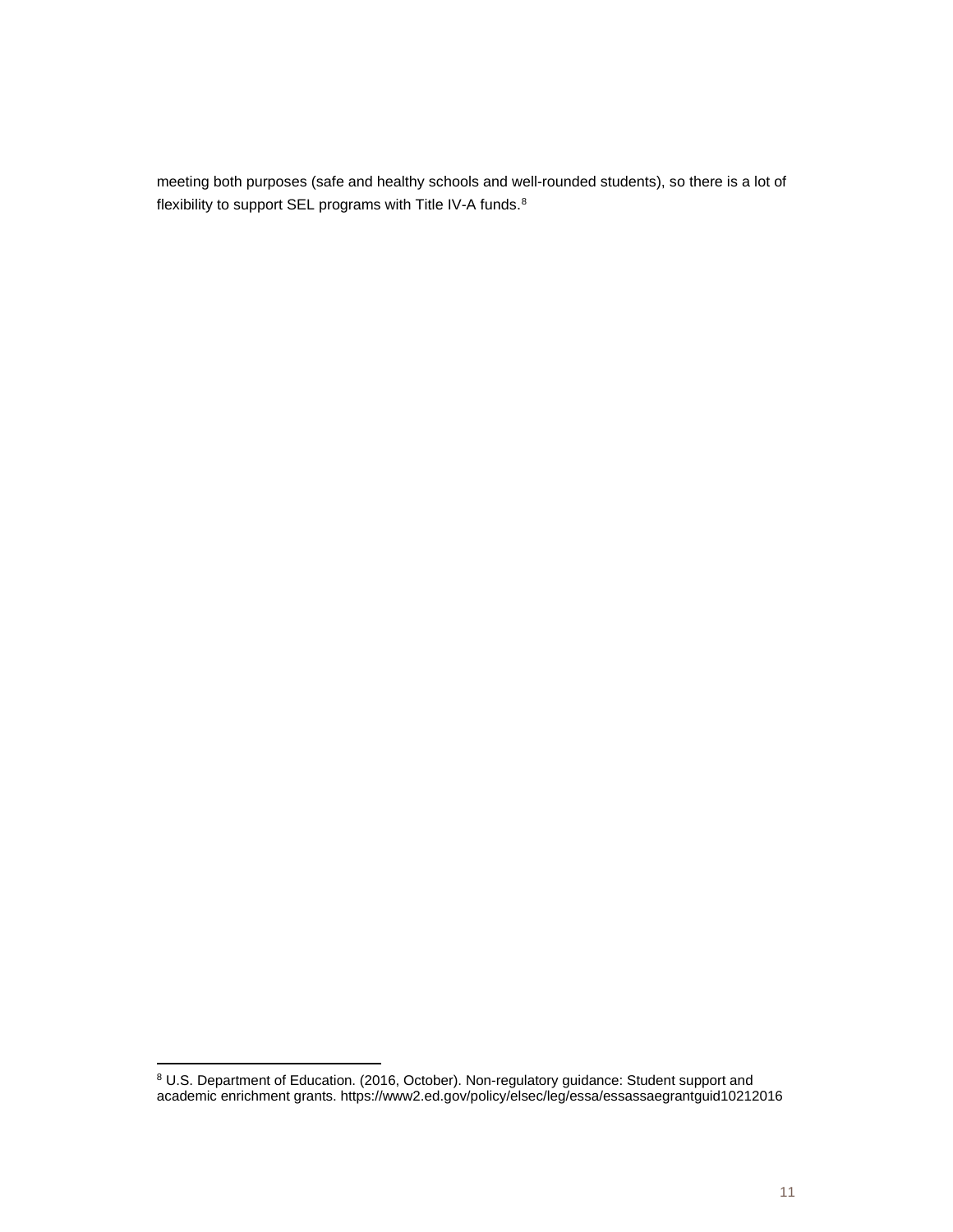meeting both purposes (safe and healthy schools and well-rounded students), so there is a lot of flexibility to support SEL programs with Title IV-A funds.<sup>[8](#page-10-0)</sup>

<span id="page-10-0"></span><sup>&</sup>lt;sup>8</sup> U.S. Department of Education. (2016, October). Non-regulatory guidance: Student support and academic enrichment grants. https://www2.ed.gov/policy/elsec/leg/essa/essassaegrantguid10212016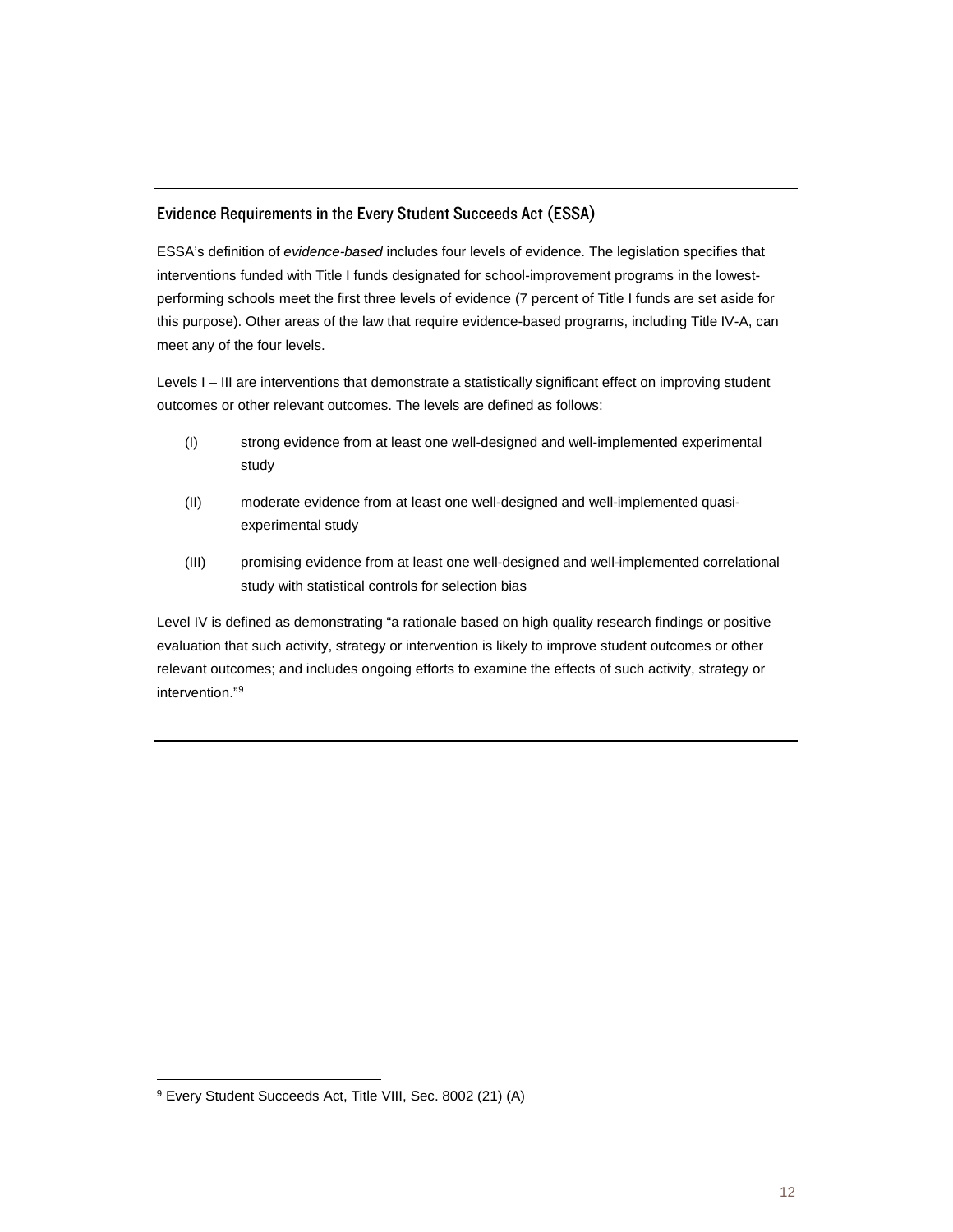#### Evidence Requirements in the Every Student Succeeds Act (ESSA)

ESSA's definition of *evidence-based* includes four levels of evidence. The legislation specifies that interventions funded with Title I funds designated for school-improvement programs in the lowestperforming schools meet the first three levels of evidence (7 percent of Title I funds are set aside for this purpose). Other areas of the law that require evidence-based programs, including Title IV-A, can meet any of the four levels.

Levels I – III are interventions that demonstrate a statistically significant effect on improving student outcomes or other relevant outcomes. The levels are defined as follows:

- (I) strong evidence from at least one well-designed and well-implemented experimental study
- (II) moderate evidence from at least one well-designed and well-implemented quasiexperimental study
- (III) promising evidence from at least one well-designed and well-implemented correlational study with statistical controls for selection bias

Level IV is defined as demonstrating "a rationale based on high quality research findings or positive evaluation that such activity, strategy or intervention is likely to improve student outcomes or other relevant outcomes; and includes ongoing efforts to examine the effects of such activity, strategy or intervention."[9](#page-11-0)

<span id="page-11-0"></span><sup>9</sup> Every Student Succeeds Act, Title VIII, Sec. 8002 (21) (A)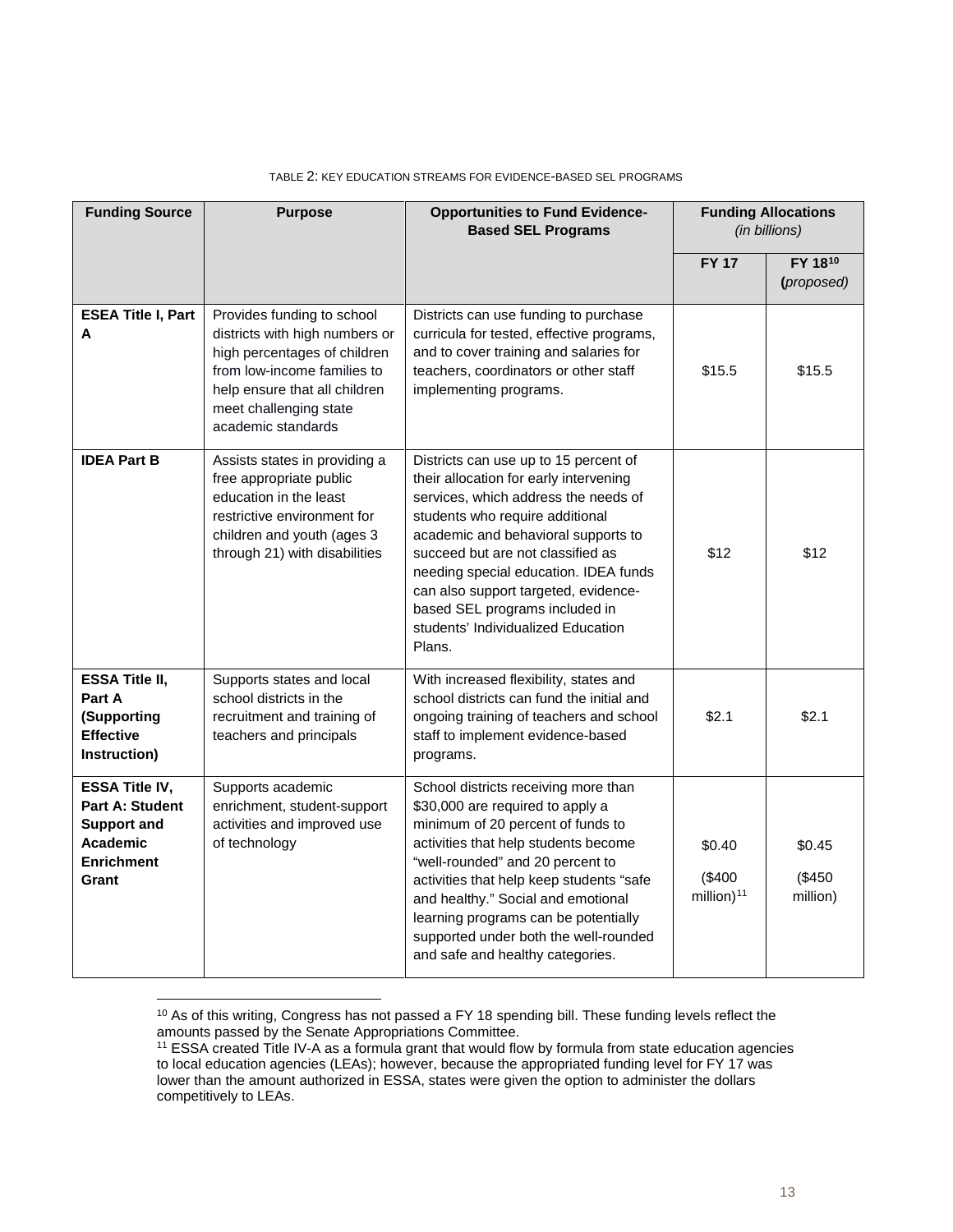| <b>Funding Source</b>                                                                                                  | <b>Purpose</b>                                                                                                                                                                                               | <b>Opportunities to Fund Evidence-</b><br><b>Based SEL Programs</b>                                                                                                                                                                                                                                                                                                                                       |                                            | <b>Funding Allocations</b><br>(in billions) |
|------------------------------------------------------------------------------------------------------------------------|--------------------------------------------------------------------------------------------------------------------------------------------------------------------------------------------------------------|-----------------------------------------------------------------------------------------------------------------------------------------------------------------------------------------------------------------------------------------------------------------------------------------------------------------------------------------------------------------------------------------------------------|--------------------------------------------|---------------------------------------------|
|                                                                                                                        |                                                                                                                                                                                                              |                                                                                                                                                                                                                                                                                                                                                                                                           | <b>FY 17</b>                               | FY 1810<br>(proposed)                       |
| <b>ESEA Title I, Part</b><br>A                                                                                         | Provides funding to school<br>districts with high numbers or<br>high percentages of children<br>from low-income families to<br>help ensure that all children<br>meet challenging state<br>academic standards | Districts can use funding to purchase<br>curricula for tested, effective programs,<br>and to cover training and salaries for<br>teachers, coordinators or other staff<br>implementing programs.                                                                                                                                                                                                           | \$15.5                                     | \$15.5                                      |
| <b>IDEA Part B</b>                                                                                                     | Assists states in providing a<br>free appropriate public<br>education in the least<br>restrictive environment for<br>children and youth (ages 3<br>through 21) with disabilities                             | Districts can use up to 15 percent of<br>their allocation for early intervening<br>services, which address the needs of<br>students who require additional<br>academic and behavioral supports to<br>succeed but are not classified as<br>needing special education. IDEA funds<br>can also support targeted, evidence-<br>based SEL programs included in<br>students' Individualized Education<br>Plans. | \$12                                       | \$12                                        |
| <b>ESSA Title II,</b><br>Part A<br>(Supporting<br><b>Effective</b><br>Instruction)                                     | Supports states and local<br>school districts in the<br>recruitment and training of<br>teachers and principals                                                                                               | With increased flexibility, states and<br>school districts can fund the initial and<br>ongoing training of teachers and school<br>staff to implement evidence-based<br>programs.                                                                                                                                                                                                                          | \$2.1                                      | \$2.1                                       |
| <b>ESSA Title IV,</b><br><b>Part A: Student</b><br><b>Support and</b><br><b>Academic</b><br><b>Enrichment</b><br>Grant | Supports academic<br>enrichment, student-support<br>activities and improved use<br>of technology                                                                                                             | School districts receiving more than<br>\$30,000 are required to apply a<br>minimum of 20 percent of funds to<br>activities that help students become<br>"well-rounded" and 20 percent to<br>activities that help keep students "safe<br>and healthy." Social and emotional<br>learning programs can be potentially<br>supported under both the well-rounded<br>and safe and healthy categories.          | \$0.40<br>(\$400<br>million) <sup>11</sup> | \$0.45<br>(\$450<br>million)                |

#### TABLE 2: KEY EDUCATION STREAMS FOR EVIDENCE-BASED SEL PROGRAMS

<span id="page-12-0"></span><sup>&</sup>lt;sup>10</sup> As of this writing, Congress has not passed a FY 18 spending bill. These funding levels reflect the amounts passed by the Senate Appropriations Committee.

<span id="page-12-1"></span><sup>11</sup> ESSA created Title IV-A as a formula grant that would flow by formula from state education agencies to local education agencies (LEAs); however, because the appropriated funding level for FY 17 was lower than the amount authorized in ESSA, states were given the option to administer the dollars competitively to LEAs.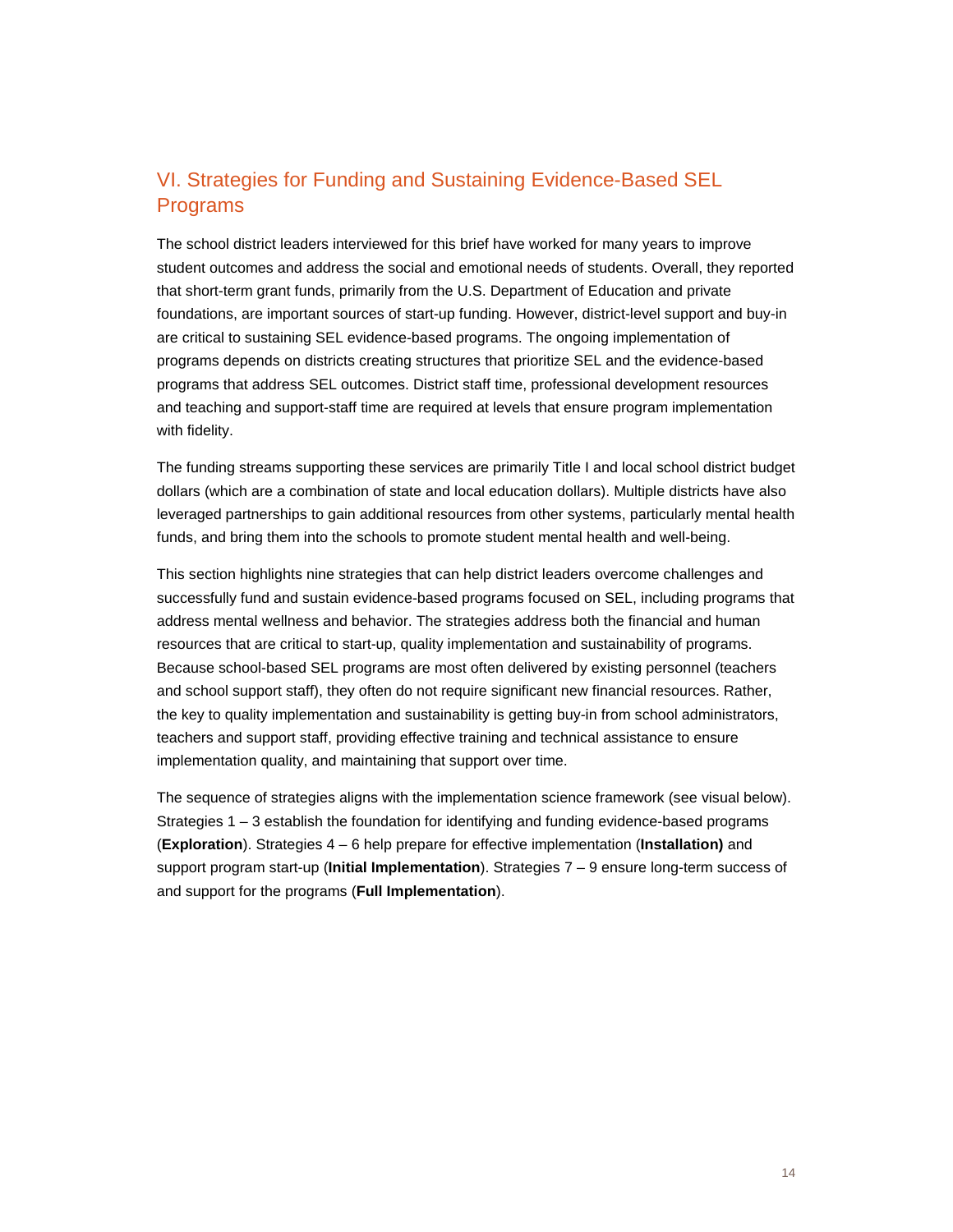## VI. Strategies for Funding and Sustaining Evidence-Based SEL Programs

The school district leaders interviewed for this brief have worked for many years to improve student outcomes and address the social and emotional needs of students. Overall, they reported that short-term grant funds, primarily from the U.S. Department of Education and private foundations, are important sources of start-up funding. However, district-level support and buy-in are critical to sustaining SEL evidence-based programs. The ongoing implementation of programs depends on districts creating structures that prioritize SEL and the evidence-based programs that address SEL outcomes. District staff time, professional development resources and teaching and support-staff time are required at levels that ensure program implementation with fidelity.

The funding streams supporting these services are primarily Title I and local school district budget dollars (which are a combination of state and local education dollars). Multiple districts have also leveraged partnerships to gain additional resources from other systems, particularly mental health funds, and bring them into the schools to promote student mental health and well-being.

This section highlights nine strategies that can help district leaders overcome challenges and successfully fund and sustain evidence-based programs focused on SEL, including programs that address mental wellness and behavior. The strategies address both the financial and human resources that are critical to start-up, quality implementation and sustainability of programs. Because school-based SEL programs are most often delivered by existing personnel (teachers and school support staff), they often do not require significant new financial resources. Rather, the key to quality implementation and sustainability is getting buy-in from school administrators, teachers and support staff, providing effective training and technical assistance to ensure implementation quality, and maintaining that support over time.

The sequence of strategies aligns with the implementation science framework (see visual below). Strategies 1 – 3 establish the foundation for identifying and funding evidence-based programs (**Exploration**). Strategies 4 – 6 help prepare for effective implementation (**Installation)** and support program start-up (**Initial Implementation**). Strategies 7 – 9 ensure long-term success of and support for the programs (**Full Implementation**).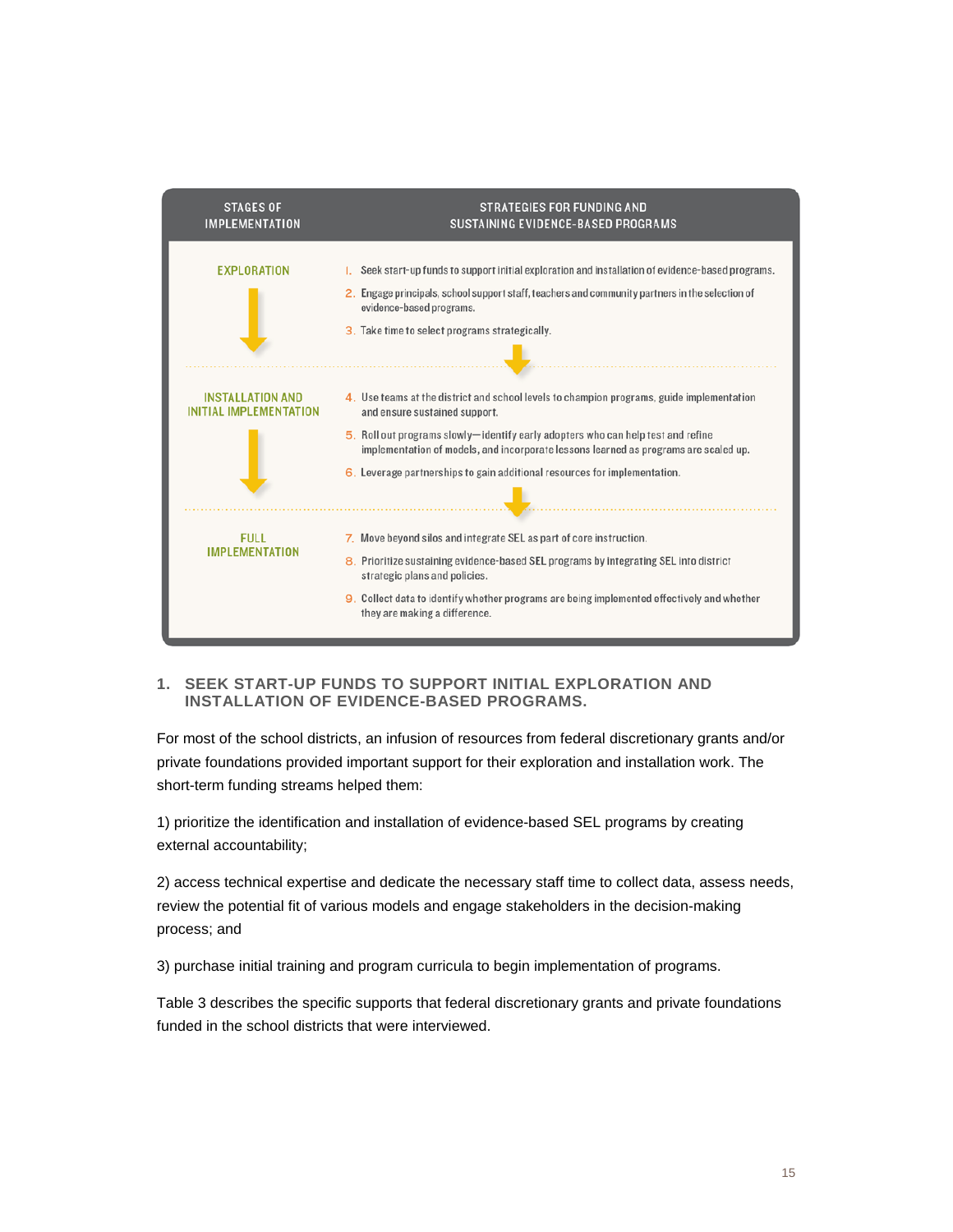

#### **1. SEEK START-UP FUNDS TO SUPPORT INITIAL EXPLORATION AND INSTALLATION OF EVIDENCE-BASED PROGRAMS.**

For most of the school districts, an infusion of resources from federal discretionary grants and/or private foundations provided important support for their exploration and installation work. The short-term funding streams helped them:

1) prioritize the identification and installation of evidence-based SEL programs by creating external accountability;

2) access technical expertise and dedicate the necessary staff time to collect data, assess needs, review the potential fit of various models and engage stakeholders in the decision-making process; and

3) purchase initial training and program curricula to begin implementation of programs.

Table 3 describes the specific supports that federal discretionary grants and private foundations funded in the school districts that were interviewed.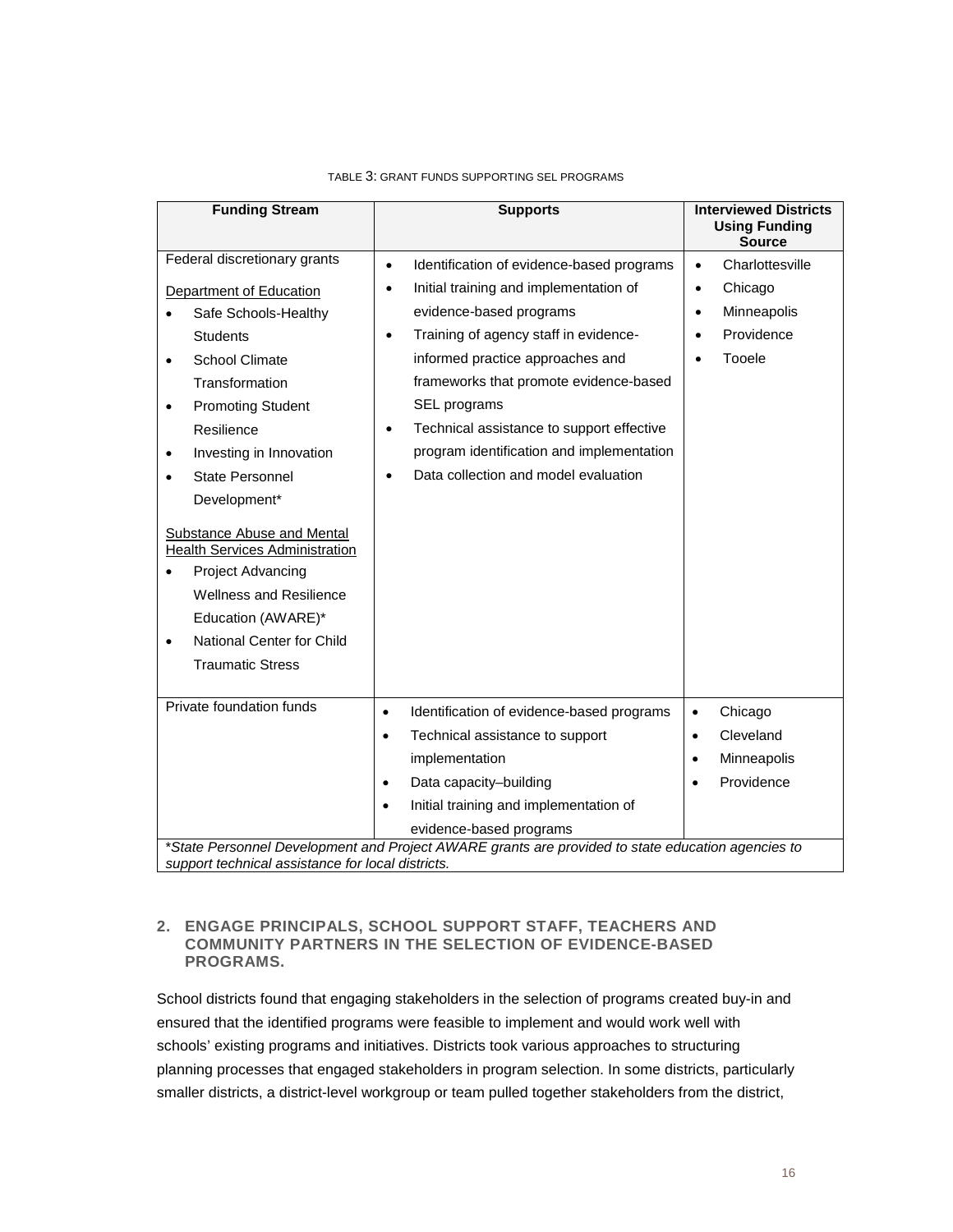| <b>Using Funding</b><br><b>Source</b><br>Federal discretionary grants<br>Charlottesville<br>Identification of evidence-based programs<br>$\bullet$<br>$\bullet$<br>Initial training and implementation of<br>Chicago<br>$\bullet$<br>$\bullet$<br>Department of Education<br>evidence-based programs<br>Minneapolis<br>Safe Schools-Healthy<br>$\bullet$<br>Providence<br>Training of agency staff in evidence-<br><b>Students</b><br>$\bullet$<br>$\bullet$<br>informed practice approaches and<br>Tooele<br><b>School Climate</b><br>$\bullet$<br>frameworks that promote evidence-based<br>Transformation<br>SEL programs<br><b>Promoting Student</b><br>$\bullet$ |                                                                                                   |  |  |  |  |  |  |
|-----------------------------------------------------------------------------------------------------------------------------------------------------------------------------------------------------------------------------------------------------------------------------------------------------------------------------------------------------------------------------------------------------------------------------------------------------------------------------------------------------------------------------------------------------------------------------------------------------------------------------------------------------------------------|---------------------------------------------------------------------------------------------------|--|--|--|--|--|--|
|                                                                                                                                                                                                                                                                                                                                                                                                                                                                                                                                                                                                                                                                       |                                                                                                   |  |  |  |  |  |  |
|                                                                                                                                                                                                                                                                                                                                                                                                                                                                                                                                                                                                                                                                       |                                                                                                   |  |  |  |  |  |  |
|                                                                                                                                                                                                                                                                                                                                                                                                                                                                                                                                                                                                                                                                       |                                                                                                   |  |  |  |  |  |  |
|                                                                                                                                                                                                                                                                                                                                                                                                                                                                                                                                                                                                                                                                       |                                                                                                   |  |  |  |  |  |  |
|                                                                                                                                                                                                                                                                                                                                                                                                                                                                                                                                                                                                                                                                       |                                                                                                   |  |  |  |  |  |  |
|                                                                                                                                                                                                                                                                                                                                                                                                                                                                                                                                                                                                                                                                       |                                                                                                   |  |  |  |  |  |  |
|                                                                                                                                                                                                                                                                                                                                                                                                                                                                                                                                                                                                                                                                       |                                                                                                   |  |  |  |  |  |  |
|                                                                                                                                                                                                                                                                                                                                                                                                                                                                                                                                                                                                                                                                       |                                                                                                   |  |  |  |  |  |  |
| Technical assistance to support effective<br>Resilience<br>$\bullet$                                                                                                                                                                                                                                                                                                                                                                                                                                                                                                                                                                                                  |                                                                                                   |  |  |  |  |  |  |
| program identification and implementation<br>Investing in Innovation                                                                                                                                                                                                                                                                                                                                                                                                                                                                                                                                                                                                  |                                                                                                   |  |  |  |  |  |  |
| Data collection and model evaluation<br><b>State Personnel</b>                                                                                                                                                                                                                                                                                                                                                                                                                                                                                                                                                                                                        |                                                                                                   |  |  |  |  |  |  |
| Development*                                                                                                                                                                                                                                                                                                                                                                                                                                                                                                                                                                                                                                                          |                                                                                                   |  |  |  |  |  |  |
| Substance Abuse and Mental<br><b>Health Services Administration</b><br>Project Advancing<br><b>Wellness and Resilience</b><br>Education (AWARE)*<br>National Center for Child<br>$\bullet$<br><b>Traumatic Stress</b>                                                                                                                                                                                                                                                                                                                                                                                                                                                 |                                                                                                   |  |  |  |  |  |  |
| Private foundation funds<br>Identification of evidence-based programs<br>Chicago<br>$\bullet$<br>$\bullet$                                                                                                                                                                                                                                                                                                                                                                                                                                                                                                                                                            |                                                                                                   |  |  |  |  |  |  |
| Cleveland<br>Technical assistance to support<br>$\bullet$<br>$\bullet$                                                                                                                                                                                                                                                                                                                                                                                                                                                                                                                                                                                                |                                                                                                   |  |  |  |  |  |  |
| implementation<br>Minneapolis<br>$\bullet$                                                                                                                                                                                                                                                                                                                                                                                                                                                                                                                                                                                                                            |                                                                                                   |  |  |  |  |  |  |
| Providence<br>Data capacity-building<br>$\bullet$<br>$\bullet$                                                                                                                                                                                                                                                                                                                                                                                                                                                                                                                                                                                                        |                                                                                                   |  |  |  |  |  |  |
| Initial training and implementation of<br>$\bullet$                                                                                                                                                                                                                                                                                                                                                                                                                                                                                                                                                                                                                   |                                                                                                   |  |  |  |  |  |  |
| evidence-based programs                                                                                                                                                                                                                                                                                                                                                                                                                                                                                                                                                                                                                                               |                                                                                                   |  |  |  |  |  |  |
| support technical assistance for local districts.                                                                                                                                                                                                                                                                                                                                                                                                                                                                                                                                                                                                                     | *State Personnel Development and Project AWARE grants are provided to state education agencies to |  |  |  |  |  |  |

#### TABLE 3: GRANT FUNDS SUPPORTING SEL PROGRAMS

#### **2. ENGAGE PRINCIPALS, SCHOOL SUPPORT STAFF, TEACHERS AND COMMUNITY PARTNERS IN THE SELECTION OF EVIDENCE-BASED PROGRAMS.**

School districts found that engaging stakeholders in the selection of programs created buy-in and ensured that the identified programs were feasible to implement and would work well with schools' existing programs and initiatives. Districts took various approaches to structuring planning processes that engaged stakeholders in program selection. In some districts, particularly smaller districts, a district-level workgroup or team pulled together stakeholders from the district,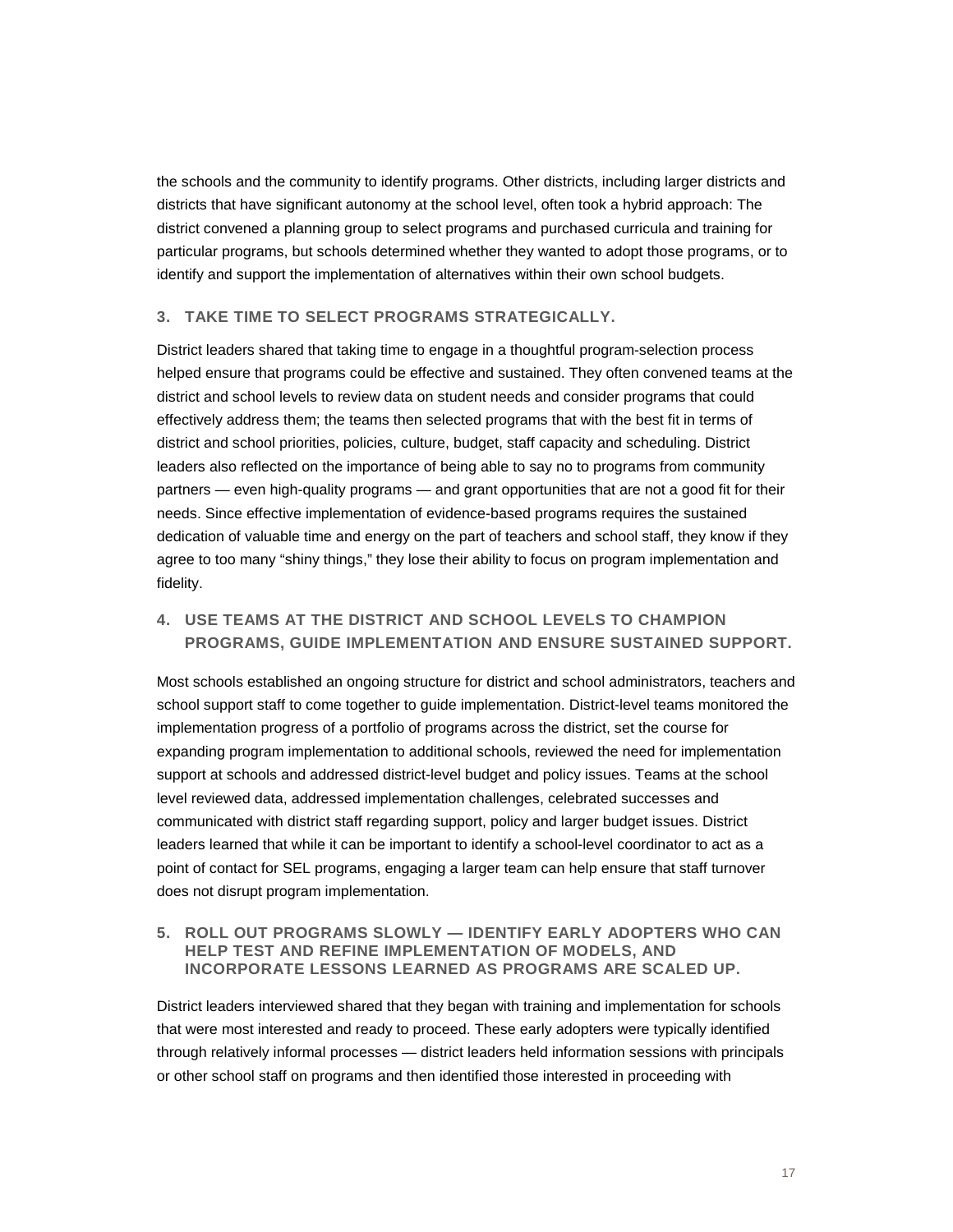the schools and the community to identify programs. Other districts, including larger districts and districts that have significant autonomy at the school level, often took a hybrid approach: The district convened a planning group to select programs and purchased curricula and training for particular programs, but schools determined whether they wanted to adopt those programs, or to identify and support the implementation of alternatives within their own school budgets.

#### **3. TAKE TIME TO SELECT PROGRAMS STRATEGICALLY.**

District leaders shared that taking time to engage in a thoughtful program-selection process helped ensure that programs could be effective and sustained. They often convened teams at the district and school levels to review data on student needs and consider programs that could effectively address them; the teams then selected programs that with the best fit in terms of district and school priorities, policies, culture, budget, staff capacity and scheduling. District leaders also reflected on the importance of being able to say no to programs from community partners — even high-quality programs — and grant opportunities that are not a good fit for their needs. Since effective implementation of evidence-based programs requires the sustained dedication of valuable time and energy on the part of teachers and school staff, they know if they agree to too many "shiny things," they lose their ability to focus on program implementation and fidelity.

### **4. USE TEAMS AT THE DISTRICT AND SCHOOL LEVELS TO CHAMPION PROGRAMS, GUIDE IMPLEMENTATION AND ENSURE SUSTAINED SUPPORT.**

Most schools established an ongoing structure for district and school administrators, teachers and school support staff to come together to guide implementation. District-level teams monitored the implementation progress of a portfolio of programs across the district, set the course for expanding program implementation to additional schools, reviewed the need for implementation support at schools and addressed district-level budget and policy issues. Teams at the school level reviewed data, addressed implementation challenges, celebrated successes and communicated with district staff regarding support, policy and larger budget issues. District leaders learned that while it can be important to identify a school-level coordinator to act as a point of contact for SEL programs, engaging a larger team can help ensure that staff turnover does not disrupt program implementation.

#### **5. ROLL OUT PROGRAMS SLOWLY — IDENTIFY EARLY ADOPTERS WHO CAN HELP TEST AND REFINE IMPLEMENTATION OF MODELS, AND INCORPORATE LESSONS LEARNED AS PROGRAMS ARE SCALED UP.**

District leaders interviewed shared that they began with training and implementation for schools that were most interested and ready to proceed. These early adopters were typically identified through relatively informal processes — district leaders held information sessions with principals or other school staff on programs and then identified those interested in proceeding with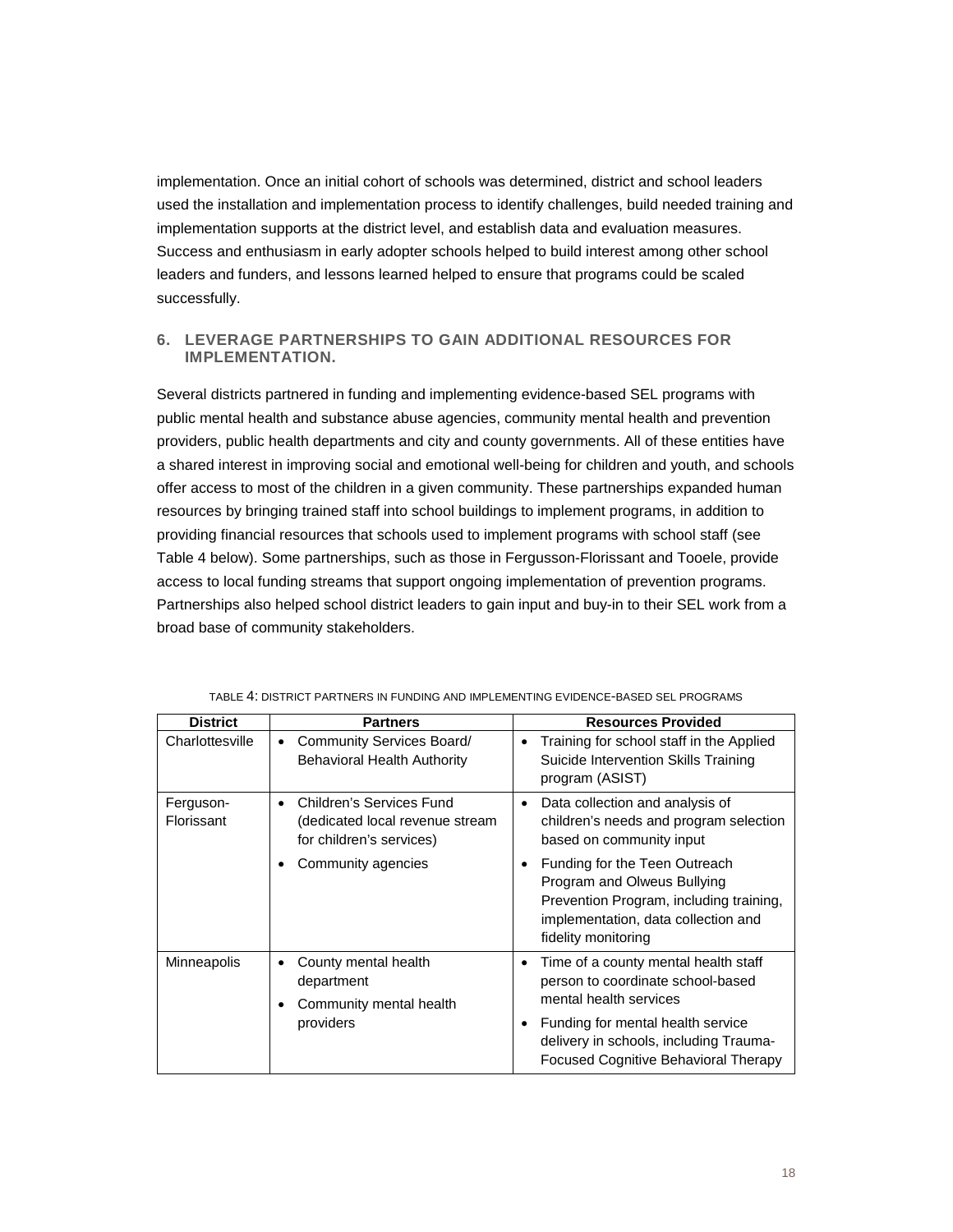implementation. Once an initial cohort of schools was determined, district and school leaders used the installation and implementation process to identify challenges, build needed training and implementation supports at the district level, and establish data and evaluation measures. Success and enthusiasm in early adopter schools helped to build interest among other school leaders and funders, and lessons learned helped to ensure that programs could be scaled successfully.

#### **6. LEVERAGE PARTNERSHIPS TO GAIN ADDITIONAL RESOURCES FOR IMPLEMENTATION.**

Several districts partnered in funding and implementing evidence-based SEL programs with public mental health and substance abuse agencies, community mental health and prevention providers, public health departments and city and county governments. All of these entities have a shared interest in improving social and emotional well-being for children and youth, and schools offer access to most of the children in a given community. These partnerships expanded human resources by bringing trained staff into school buildings to implement programs, in addition to providing financial resources that schools used to implement programs with school staff (see Table 4 below). Some partnerships, such as those in Fergusson-Florissant and Tooele, provide access to local funding streams that support ongoing implementation of prevention programs. Partnerships also helped school district leaders to gain input and buy-in to their SEL work from a broad base of community stakeholders.

| <b>District</b>         | <b>Partners</b>                                                                         | <b>Resources Provided</b>                                                                                                                                             |
|-------------------------|-----------------------------------------------------------------------------------------|-----------------------------------------------------------------------------------------------------------------------------------------------------------------------|
| Charlottesville         | Community Services Board/<br>$\bullet$<br><b>Behavioral Health Authority</b>            | Training for school staff in the Applied<br>Suicide Intervention Skills Training<br>program (ASIST)                                                                   |
| Ferguson-<br>Florissant | Children's Services Fund<br>(dedicated local revenue stream<br>for children's services) | Data collection and analysis of<br>children's needs and program selection<br>based on community input                                                                 |
|                         | Community agencies                                                                      | Funding for the Teen Outreach<br>Program and Olweus Bullying<br>Prevention Program, including training,<br>implementation, data collection and<br>fidelity monitoring |
| Minneapolis             | County mental health<br>department<br>Community mental health                           | Time of a county mental health staff<br>person to coordinate school-based<br>mental health services                                                                   |
|                         | providers                                                                               | Funding for mental health service<br>delivery in schools, including Trauma-<br>Focused Cognitive Behavioral Therapy                                                   |

TABLE 4: DISTRICT PARTNERS IN FUNDING AND IMPLEMENTING EVIDENCE-BASED SEL PROGRAMS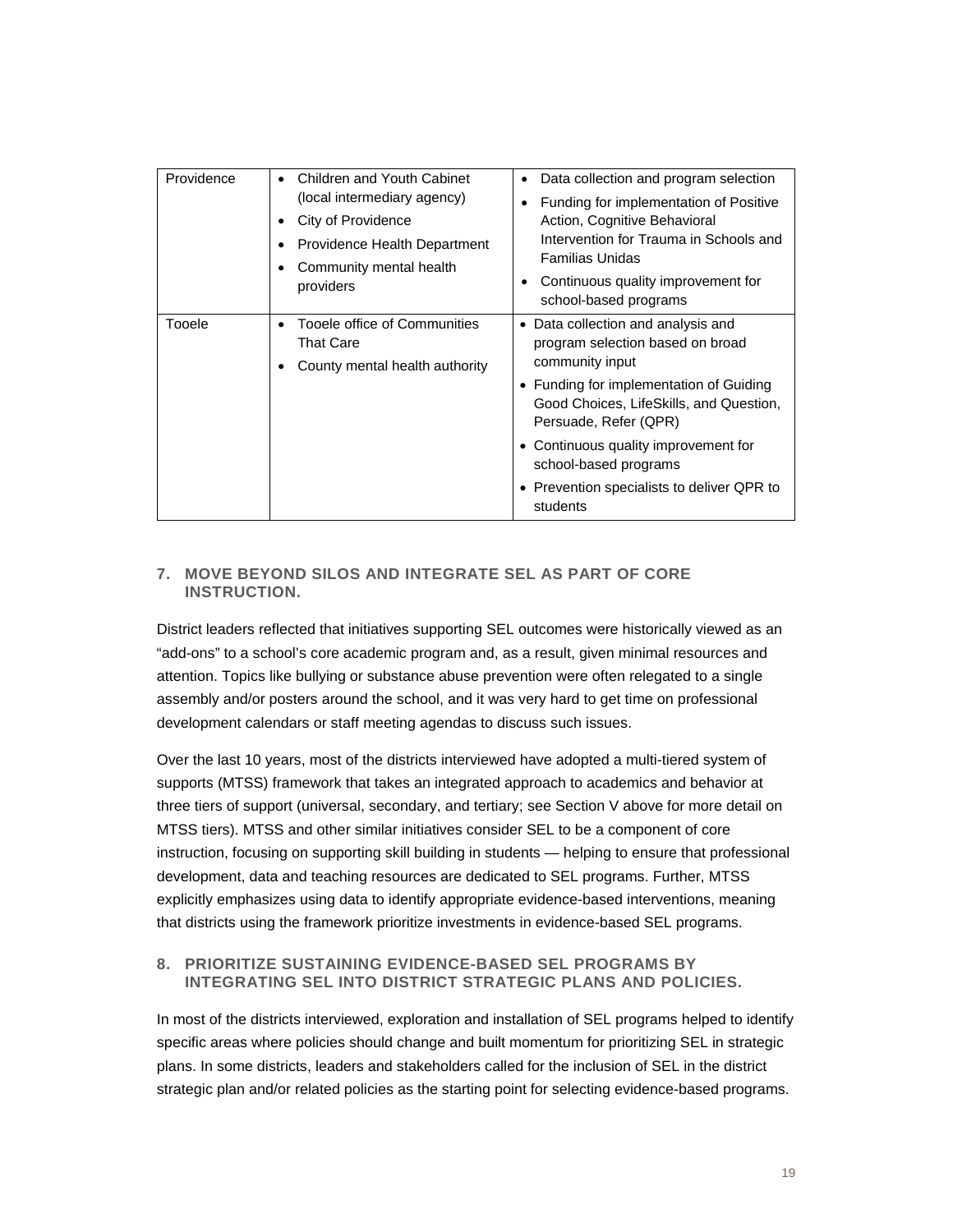| Providence | Children and Youth Cabinet<br>(local intermediary agency)<br>City of Providence<br>Providence Health Department<br>Community mental health<br>providers | Data collection and program selection<br>Funding for implementation of Positive<br>Action, Cognitive Behavioral<br>Intervention for Trauma in Schools and<br><b>Familias Unidas</b><br>Continuous quality improvement for<br>school-based programs                                                                                  |
|------------|---------------------------------------------------------------------------------------------------------------------------------------------------------|-------------------------------------------------------------------------------------------------------------------------------------------------------------------------------------------------------------------------------------------------------------------------------------------------------------------------------------|
| Tooele     | Tooele office of Communities<br><b>That Care</b><br>County mental health authority                                                                      | • Data collection and analysis and<br>program selection based on broad<br>community input<br>• Funding for implementation of Guiding<br>Good Choices, LifeSkills, and Question,<br>Persuade, Refer (QPR)<br>• Continuous quality improvement for<br>school-based programs<br>• Prevention specialists to deliver QPR to<br>students |

#### **7. MOVE BEYOND SILOS AND INTEGRATE SEL AS PART OF CORE INSTRUCTION.**

District leaders reflected that initiatives supporting SEL outcomes were historically viewed as an "add-ons" to a school's core academic program and, as a result, given minimal resources and attention. Topics like bullying or substance abuse prevention were often relegated to a single assembly and/or posters around the school, and it was very hard to get time on professional development calendars or staff meeting agendas to discuss such issues.

Over the last 10 years, most of the districts interviewed have adopted a multi-tiered system of supports (MTSS) framework that takes an integrated approach to academics and behavior at three tiers of support (universal, secondary, and tertiary; see Section V above for more detail on MTSS tiers). MTSS and other similar initiatives consider SEL to be a component of core instruction, focusing on supporting skill building in students — helping to ensure that professional development, data and teaching resources are dedicated to SEL programs. Further, MTSS explicitly emphasizes using data to identify appropriate evidence-based interventions, meaning that districts using the framework prioritize investments in evidence-based SEL programs.

#### **8. PRIORITIZE SUSTAINING EVIDENCE-BASED SEL PROGRAMS BY INTEGRATING SEL INTO DISTRICT STRATEGIC PLANS AND POLICIES.**

In most of the districts interviewed, exploration and installation of SEL programs helped to identify specific areas where policies should change and built momentum for prioritizing SEL in strategic plans. In some districts, leaders and stakeholders called for the inclusion of SEL in the district strategic plan and/or related policies as the starting point for selecting evidence-based programs.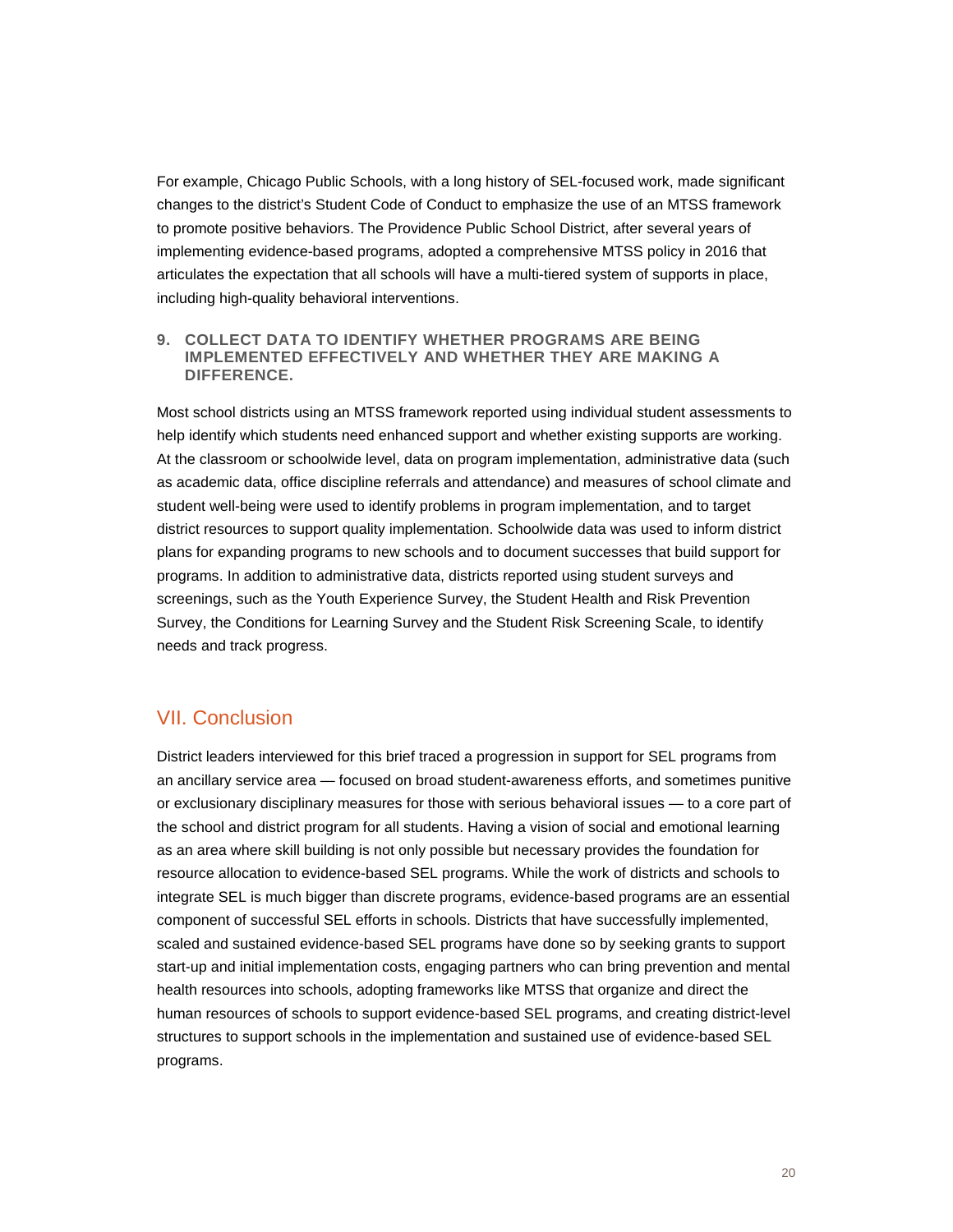For example, Chicago Public Schools, with a long history of SEL-focused work, made significant changes to the district's Student Code of Conduct to emphasize the use of an MTSS framework to promote positive behaviors. The Providence Public School District, after several years of implementing evidence-based programs, adopted a comprehensive MTSS policy in 2016 that articulates the expectation that all schools will have a multi-tiered system of supports in place, including high-quality behavioral interventions.

#### **9. COLLECT DATA TO IDENTIFY WHETHER PROGRAMS ARE BEING IMPLEMENTED EFFECTIVELY AND WHETHER THEY ARE MAKING A DIFFERENCE.**

Most school districts using an MTSS framework reported using individual student assessments to help identify which students need enhanced support and whether existing supports are working. At the classroom or schoolwide level, data on program implementation, administrative data (such as academic data, office discipline referrals and attendance) and measures of school climate and student well-being were used to identify problems in program implementation, and to target district resources to support quality implementation. Schoolwide data was used to inform district plans for expanding programs to new schools and to document successes that build support for programs. In addition to administrative data, districts reported using student surveys and screenings, such as the Youth Experience Survey, the Student Health and Risk Prevention Survey, the Conditions for Learning Survey and the Student Risk Screening Scale, to identify needs and track progress.

## VII. Conclusion

District leaders interviewed for this brief traced a progression in support for SEL programs from an ancillary service area — focused on broad student-awareness efforts, and sometimes punitive or exclusionary disciplinary measures for those with serious behavioral issues — to a core part of the school and district program for all students. Having a vision of social and emotional learning as an area where skill building is not only possible but necessary provides the foundation for resource allocation to evidence-based SEL programs. While the work of districts and schools to integrate SEL is much bigger than discrete programs, evidence-based programs are an essential component of successful SEL efforts in schools. Districts that have successfully implemented, scaled and sustained evidence-based SEL programs have done so by seeking grants to support start-up and initial implementation costs, engaging partners who can bring prevention and mental health resources into schools, adopting frameworks like MTSS that organize and direct the human resources of schools to support evidence-based SEL programs, and creating district-level structures to support schools in the implementation and sustained use of evidence-based SEL programs.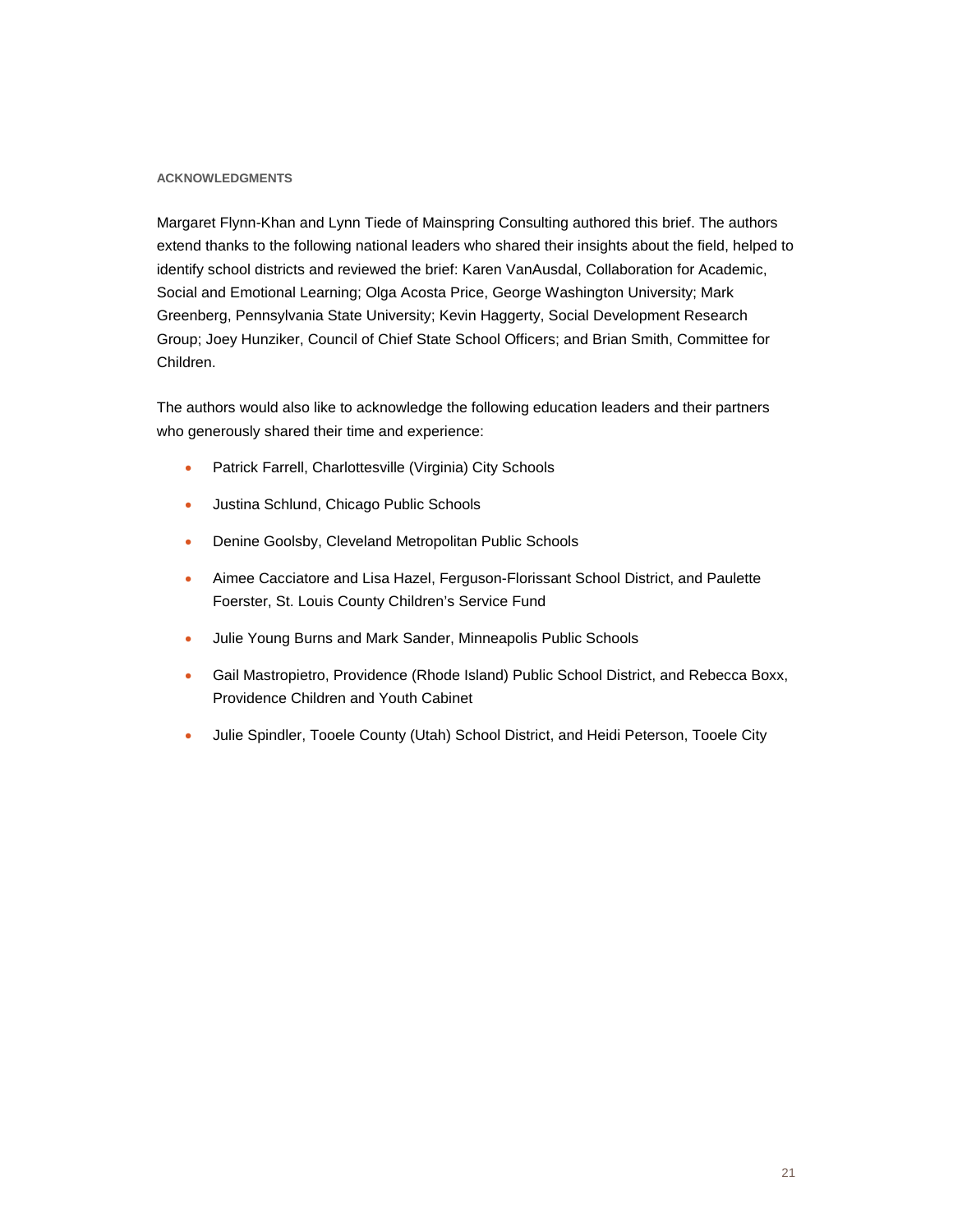#### **ACKNOWLEDGMENTS**

Margaret Flynn-Khan and Lynn Tiede of Mainspring Consulting authored this brief. The authors extend thanks to the following national leaders who shared their insights about the field, helped to identify school districts and reviewed the brief: Karen VanAusdal, Collaboration for Academic, Social and Emotional Learning; Olga Acosta Price, George Washington University; Mark Greenberg, Pennsylvania State University; Kevin Haggerty, Social Development Research Group; Joey Hunziker, Council of Chief State School Officers; and Brian Smith, Committee for Children.

The authors would also like to acknowledge the following education leaders and their partners who generously shared their time and experience:

- Patrick Farrell, Charlottesville (Virginia) City Schools
- Justina Schlund, Chicago Public Schools
- Denine Goolsby, Cleveland Metropolitan Public Schools
- Aimee Cacciatore and Lisa Hazel, Ferguson-Florissant School District, and Paulette Foerster, St. Louis County Children's Service Fund
- Julie Young Burns and Mark Sander, Minneapolis Public Schools
- Gail Mastropietro, Providence (Rhode Island) Public School District, and Rebecca Boxx, Providence Children and Youth Cabinet
- Julie Spindler, Tooele County (Utah) School District, and Heidi Peterson, Tooele City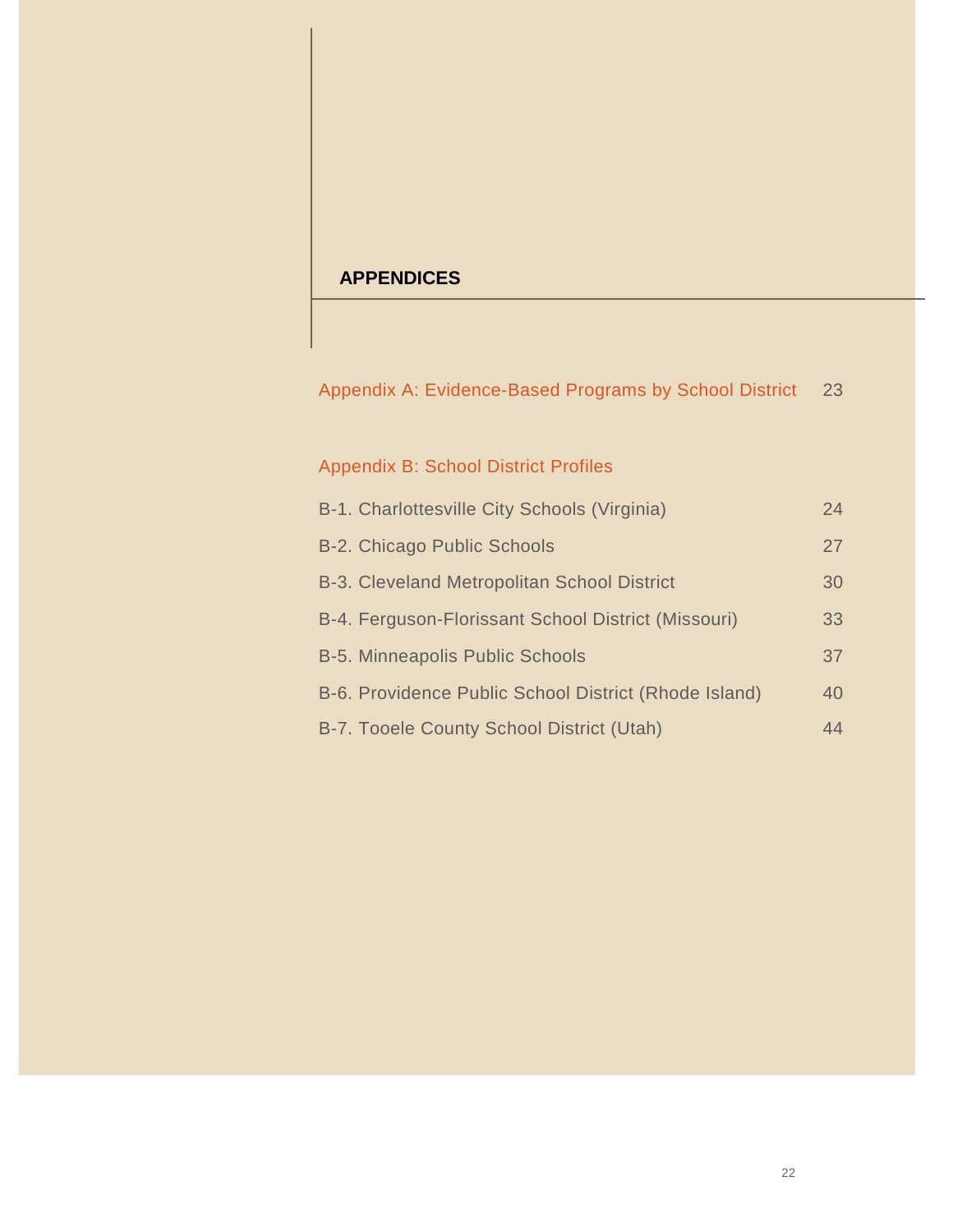## **APPENDICES**

Appendix A: Evidence-Based Programs by School District 23

## Appendix B: School District Profiles

| B-1. Charlottesville City Schools (Virginia)          | 24 |
|-------------------------------------------------------|----|
| <b>B-2. Chicago Public Schools</b>                    | 27 |
| B-3. Cleveland Metropolitan School District           | 30 |
| B-4. Ferguson-Florissant School District (Missouri)   | 33 |
| <b>B-5. Minneapolis Public Schools</b>                | 37 |
| B-6. Providence Public School District (Rhode Island) | 40 |
| B-7. Tooele County School District (Utah)             | 44 |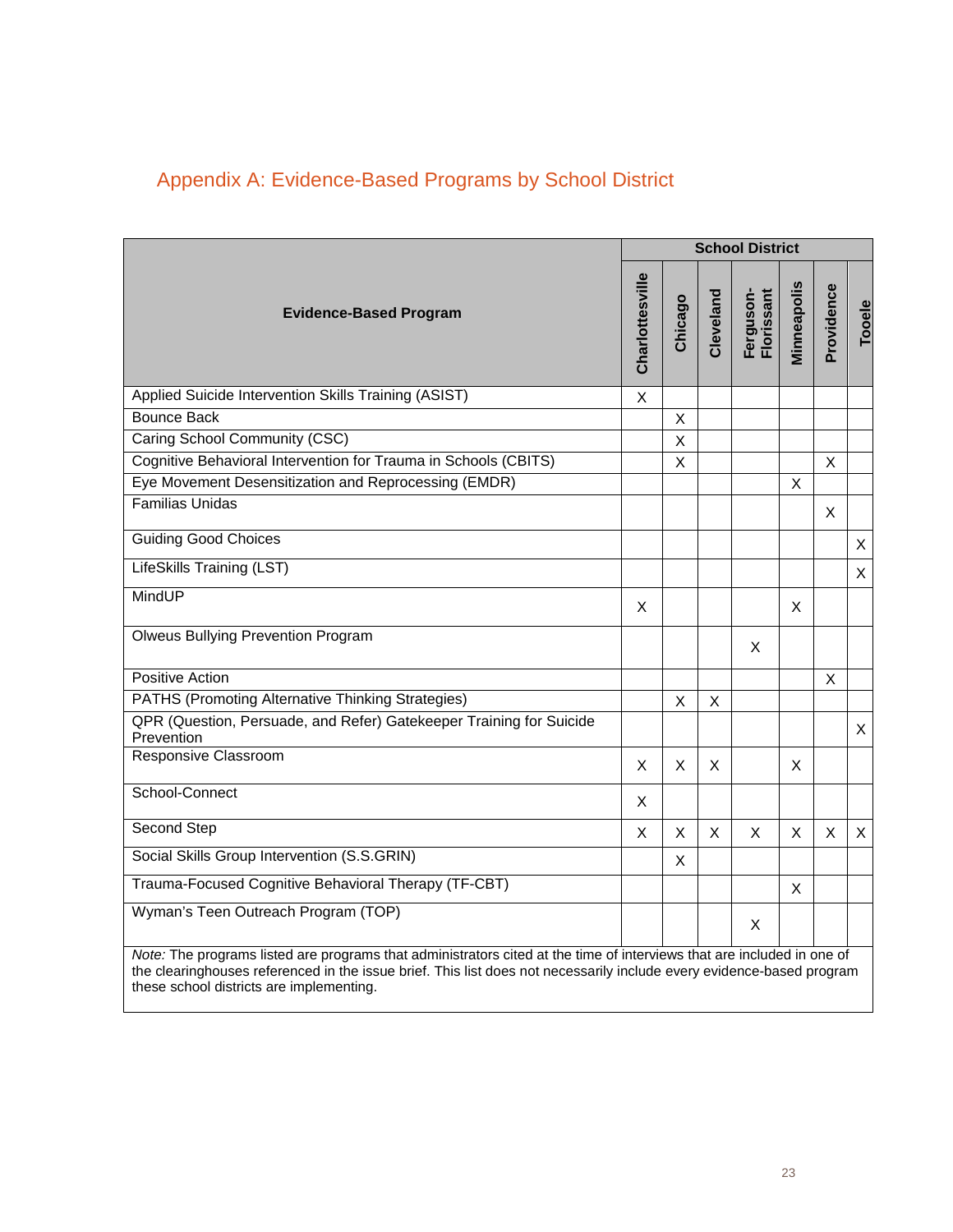|                                                                                                                                                                                                                                                 |                 |                    |              | <b>School District</b>  |             |            |              |
|-------------------------------------------------------------------------------------------------------------------------------------------------------------------------------------------------------------------------------------------------|-----------------|--------------------|--------------|-------------------------|-------------|------------|--------------|
| <b>Evidence-Based Program</b>                                                                                                                                                                                                                   | Charlottesville | Chicago            | Cleveland    | Ferguson-<br>Florissant | Minneapolis | Providence | Tooele       |
| Applied Suicide Intervention Skills Training (ASIST)                                                                                                                                                                                            | X               |                    |              |                         |             |            |              |
| <b>Bounce Back</b>                                                                                                                                                                                                                              |                 | X                  |              |                         |             |            |              |
| Caring School Community (CSC)                                                                                                                                                                                                                   |                 | $\pmb{\mathsf{X}}$ |              |                         |             |            |              |
| Cognitive Behavioral Intervention for Trauma in Schools (CBITS)                                                                                                                                                                                 |                 | X                  |              |                         |             | X          |              |
| Eye Movement Desensitization and Reprocessing (EMDR)                                                                                                                                                                                            |                 |                    |              |                         | $\times$    |            |              |
| <b>Familias Unidas</b>                                                                                                                                                                                                                          |                 |                    |              |                         |             | X          |              |
| <b>Guiding Good Choices</b>                                                                                                                                                                                                                     |                 |                    |              |                         |             |            | X            |
| LifeSkills Training (LST)                                                                                                                                                                                                                       |                 |                    |              |                         |             |            | X            |
| MindUP                                                                                                                                                                                                                                          | X.              |                    |              |                         | X           |            |              |
| <b>Olweus Bullying Prevention Program</b>                                                                                                                                                                                                       |                 |                    |              | X                       |             |            |              |
| <b>Positive Action</b>                                                                                                                                                                                                                          |                 |                    |              |                         |             | X          |              |
| PATHS (Promoting Alternative Thinking Strategies)                                                                                                                                                                                               |                 | X                  | X            |                         |             |            |              |
| QPR (Question, Persuade, and Refer) Gatekeeper Training for Suicide<br>Prevention                                                                                                                                                               |                 |                    |              |                         |             |            | X            |
| Responsive Classroom                                                                                                                                                                                                                            | X               | X                  | X            |                         | X           |            |              |
| School-Connect                                                                                                                                                                                                                                  | X               |                    |              |                         |             |            |              |
| <b>Second Step</b>                                                                                                                                                                                                                              | X               | X                  | $\mathsf{X}$ | X                       | X           | X          | $\mathsf{X}$ |
| Social Skills Group Intervention (S.S.GRIN)                                                                                                                                                                                                     |                 | X                  |              |                         |             |            |              |
| Trauma-Focused Cognitive Behavioral Therapy (TF-CBT)                                                                                                                                                                                            |                 |                    |              |                         | X           |            |              |
| Wyman's Teen Outreach Program (TOP)                                                                                                                                                                                                             |                 |                    |              | X                       |             |            |              |
| Note: The programs listed are programs that administrators cited at the time of interviews that are included in one of<br>the clearinghouses referenced in the issue brief. This list does not necessarily include every evidence-based program |                 |                    |              |                         |             |            |              |

these school districts are implementing.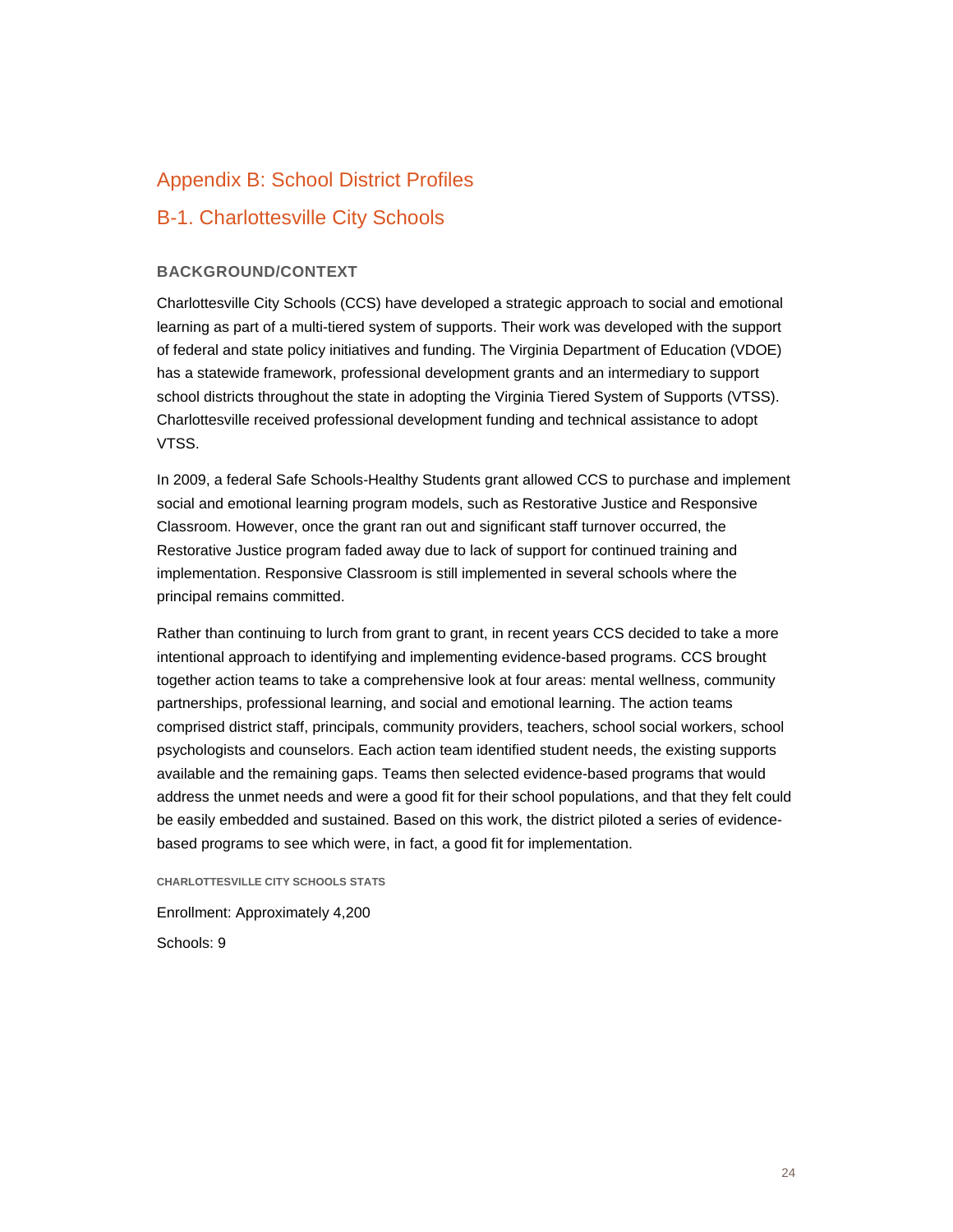## Appendix B: School District Profiles

## B-1. Charlottesville City Schools

#### **BACKGROUND/CONTEXT**

Charlottesville City Schools (CCS) have developed a strategic approach to social and emotional learning as part of a multi-tiered system of supports. Their work was developed with the support of federal and state policy initiatives and funding. The Virginia Department of Education (VDOE) has a statewide framework, professional development grants and an intermediary to support school districts throughout the state in adopting the Virginia Tiered System of Supports (VTSS). Charlottesville received professional development funding and technical assistance to adopt VTSS.

In 2009, a federal Safe Schools-Healthy Students grant allowed CCS to purchase and implement social and emotional learning program models, such as Restorative Justice and Responsive Classroom. However, once the grant ran out and significant staff turnover occurred, the Restorative Justice program faded away due to lack of support for continued training and implementation. Responsive Classroom is still implemented in several schools where the principal remains committed.

Rather than continuing to lurch from grant to grant, in recent years CCS decided to take a more intentional approach to identifying and implementing evidence-based programs. CCS brought together action teams to take a comprehensive look at four areas: mental wellness, community partnerships, professional learning, and social and emotional learning. The action teams comprised district staff, principals, community providers, teachers, school social workers, school psychologists and counselors. Each action team identified student needs, the existing supports available and the remaining gaps. Teams then selected evidence-based programs that would address the unmet needs and were a good fit for their school populations, and that they felt could be easily embedded and sustained. Based on this work, the district piloted a series of evidencebased programs to see which were, in fact, a good fit for implementation.

**CHARLOTTESVILLE CITY SCHOOLS STATS**

Enrollment: Approximately 4,200 Schools: 9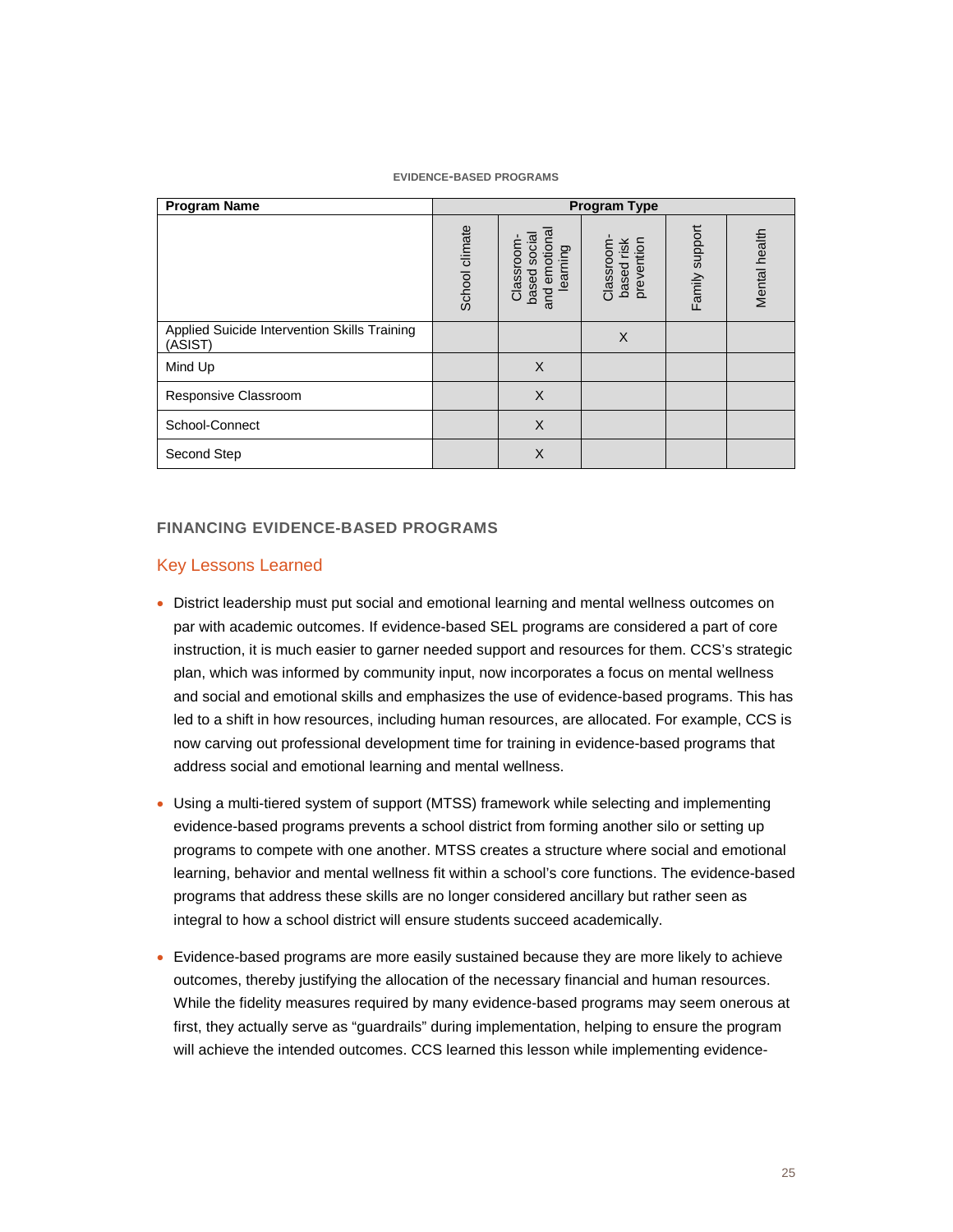#### **EVIDENCE-BASED PROGRAMS**

| <b>Program Name</b>                                     |                |                                                         | <b>Program Type</b>                   |                |               |
|---------------------------------------------------------|----------------|---------------------------------------------------------|---------------------------------------|----------------|---------------|
|                                                         | School climate | emotiona<br>based socia<br>Classroom<br>learning<br>and | based risk<br>prevention<br>Classroom | Family support | Mental health |
| Applied Suicide Intervention Skills Training<br>(ASIST) |                |                                                         | X                                     |                |               |
| Mind Up                                                 |                | $\times$                                                |                                       |                |               |
| Responsive Classroom                                    |                | $\times$                                                |                                       |                |               |
| School-Connect                                          |                | $\times$                                                |                                       |                |               |
| Second Step                                             |                | $\times$                                                |                                       |                |               |

#### **FINANCING EVIDENCE-BASED PROGRAMS**

#### Key Lessons Learned

- District leadership must put social and emotional learning and mental wellness outcomes on par with academic outcomes. If evidence-based SEL programs are considered a part of core instruction, it is much easier to garner needed support and resources for them. CCS's strategic plan, which was informed by community input, now incorporates a focus on mental wellness and social and emotional skills and emphasizes the use of evidence-based programs. This has led to a shift in how resources, including human resources, are allocated. For example, CCS is now carving out professional development time for training in evidence-based programs that address social and emotional learning and mental wellness.
- Using a multi-tiered system of support (MTSS) framework while selecting and implementing evidence-based programs prevents a school district from forming another silo or setting up programs to compete with one another. MTSS creates a structure where social and emotional learning, behavior and mental wellness fit within a school's core functions. The evidence-based programs that address these skills are no longer considered ancillary but rather seen as integral to how a school district will ensure students succeed academically.
- Evidence-based programs are more easily sustained because they are more likely to achieve outcomes, thereby justifying the allocation of the necessary financial and human resources. While the fidelity measures required by many evidence-based programs may seem onerous at first, they actually serve as "guardrails" during implementation, helping to ensure the program will achieve the intended outcomes. CCS learned this lesson while implementing evidence-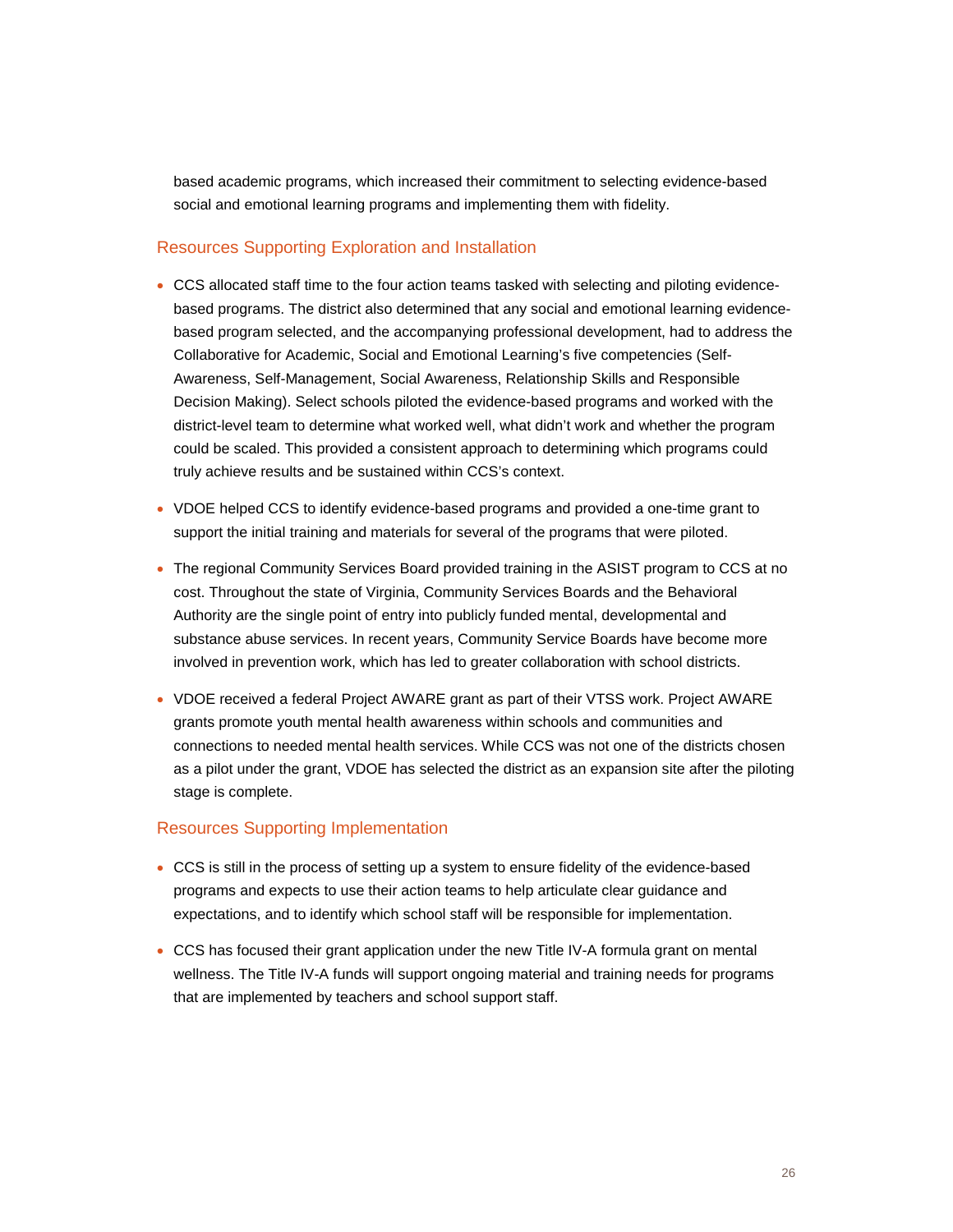based academic programs, which increased their commitment to selecting evidence-based social and emotional learning programs and implementing them with fidelity.

#### Resources Supporting Exploration and Installation

- CCS allocated staff time to the four action teams tasked with selecting and piloting evidencebased programs. The district also determined that any social and emotional learning evidencebased program selected, and the accompanying professional development, had to address the Collaborative for Academic, Social and Emotional Learning's five competencies (Self-Awareness, Self-Management, Social Awareness, Relationship Skills and Responsible Decision Making). Select schools piloted the evidence-based programs and worked with the district-level team to determine what worked well, what didn't work and whether the program could be scaled. This provided a consistent approach to determining which programs could truly achieve results and be sustained within CCS's context.
- VDOE helped CCS to identify evidence-based programs and provided a one-time grant to support the initial training and materials for several of the programs that were piloted.
- The regional Community Services Board provided training in the ASIST program to CCS at no cost. Throughout the state of Virginia, Community Services Boards and the Behavioral Authority are the single point of entry into publicly funded mental, developmental and substance abuse services. In recent years, Community Service Boards have become more involved in prevention work, which has led to greater collaboration with school districts.
- VDOE received a federal Project AWARE grant as part of their VTSS work. Project AWARE grants promote youth mental health awareness within schools and communities and connections to needed mental health services. While CCS was not one of the districts chosen as a pilot under the grant, VDOE has selected the district as an expansion site after the piloting stage is complete.

#### Resources Supporting Implementation

- CCS is still in the process of setting up a system to ensure fidelity of the evidence-based programs and expects to use their action teams to help articulate clear guidance and expectations, and to identify which school staff will be responsible for implementation.
- CCS has focused their grant application under the new Title IV-A formula grant on mental wellness. The Title IV-A funds will support ongoing material and training needs for programs that are implemented by teachers and school support staff.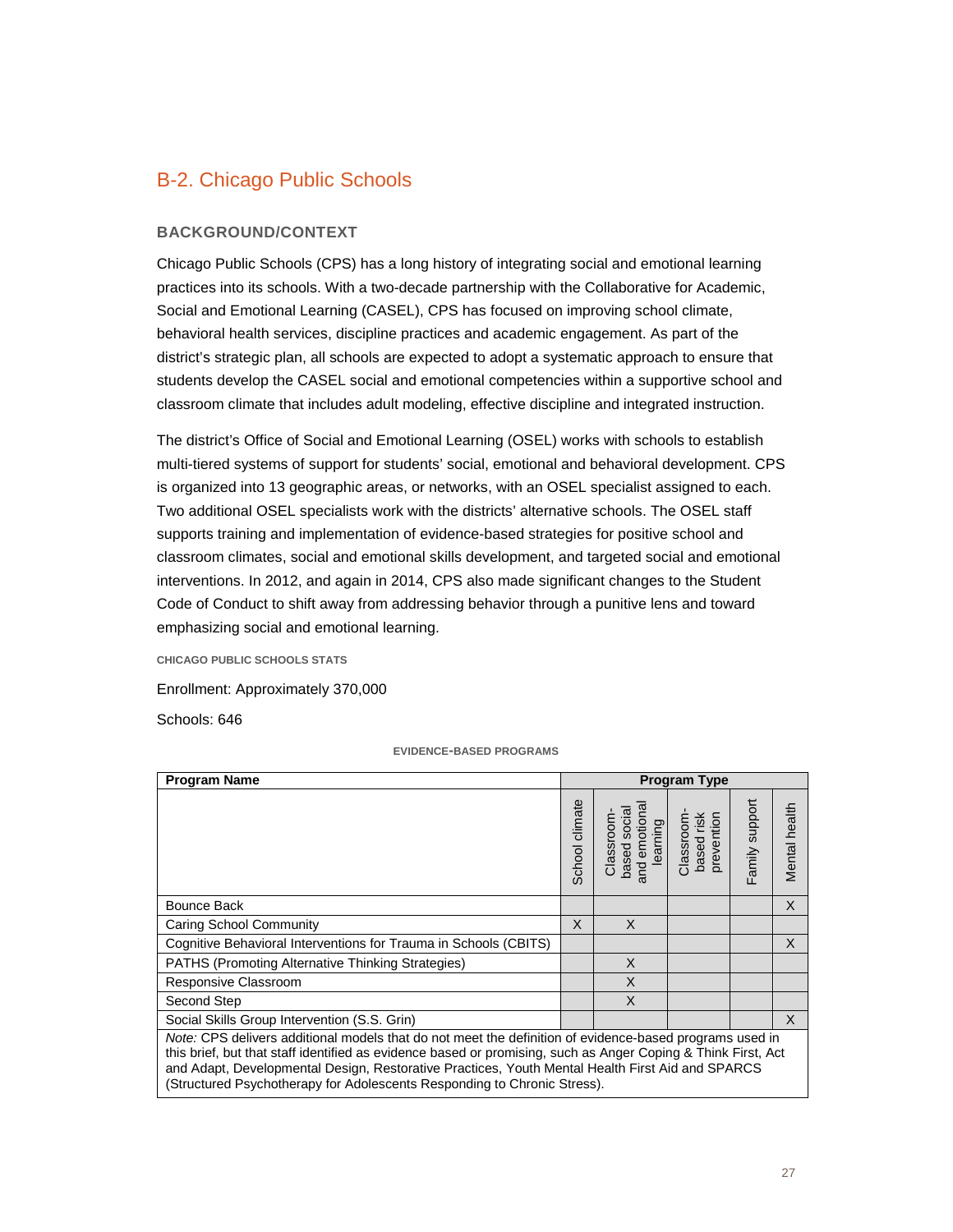## B-2. Chicago Public Schools

#### **BACKGROUND/CONTEXT**

Chicago Public Schools (CPS) has a long history of integrating social and emotional learning practices into its schools. With a two-decade partnership with the Collaborative for Academic, Social and Emotional Learning (CASEL), CPS has focused on improving school climate, behavioral health services, discipline practices and academic engagement. As part of the district's strategic plan, all schools are expected to adopt a systematic approach to ensure that students develop the CASEL social and emotional competencies within a supportive school and classroom climate that includes adult modeling, effective discipline and integrated instruction.

The district's Office of Social and Emotional Learning (OSEL) works with schools to establish multi-tiered systems of support for students' social, emotional and behavioral development. CPS is organized into 13 geographic areas, or networks, with an OSEL specialist assigned to each. Two additional OSEL specialists work with the districts' alternative schools. The OSEL staff supports training and implementation of evidence-based strategies for positive school and classroom climates, social and emotional skills development, and targeted social and emotional interventions. In 2012, and again in 2014, CPS also made significant changes to the Student Code of Conduct to shift away from addressing behavior through a punitive lens and toward emphasizing social and emotional learning.

**CHICAGO PUBLIC SCHOOLS STATS**

Enrollment: Approximately 370,000

Schools: 646

#### **EVIDENCE-BASED PROGRAMS**

| <b>Program Name</b>                                                                                                                                                                                                                                                                                                                                                                                      |                |                                                       | <b>Program Type</b>                   |                |               |  |  |  |  |
|----------------------------------------------------------------------------------------------------------------------------------------------------------------------------------------------------------------------------------------------------------------------------------------------------------------------------------------------------------------------------------------------------------|----------------|-------------------------------------------------------|---------------------------------------|----------------|---------------|--|--|--|--|
|                                                                                                                                                                                                                                                                                                                                                                                                          | School climate | and emotiona<br>based social<br>Classroom<br>learning | based risk<br>prevention<br>Classroom | Family support | Mental health |  |  |  |  |
| Bounce Back                                                                                                                                                                                                                                                                                                                                                                                              |                |                                                       |                                       |                | $\times$      |  |  |  |  |
| <b>Caring School Community</b>                                                                                                                                                                                                                                                                                                                                                                           | X              | X                                                     |                                       |                |               |  |  |  |  |
| Cognitive Behavioral Interventions for Trauma in Schools (CBITS)                                                                                                                                                                                                                                                                                                                                         |                |                                                       |                                       |                | $\times$      |  |  |  |  |
| <b>PATHS (Promoting Alternative Thinking Strategies)</b>                                                                                                                                                                                                                                                                                                                                                 |                | X                                                     |                                       |                |               |  |  |  |  |
| Responsive Classroom                                                                                                                                                                                                                                                                                                                                                                                     |                | X                                                     |                                       |                |               |  |  |  |  |
| Second Step                                                                                                                                                                                                                                                                                                                                                                                              |                | X                                                     |                                       |                |               |  |  |  |  |
| Social Skills Group Intervention (S.S. Grin)                                                                                                                                                                                                                                                                                                                                                             |                |                                                       |                                       |                | $\times$      |  |  |  |  |
| Note: CPS delivers additional models that do not meet the definition of evidence-based programs used in<br>this brief, but that staff identified as evidence based or promising, such as Anger Coping & Think First, Act<br>and Adapt, Developmental Design, Restorative Practices, Youth Mental Health First Aid and SPARCS<br>(Structured Psychotherapy for Adolescents Responding to Chronic Stress). |                |                                                       |                                       |                |               |  |  |  |  |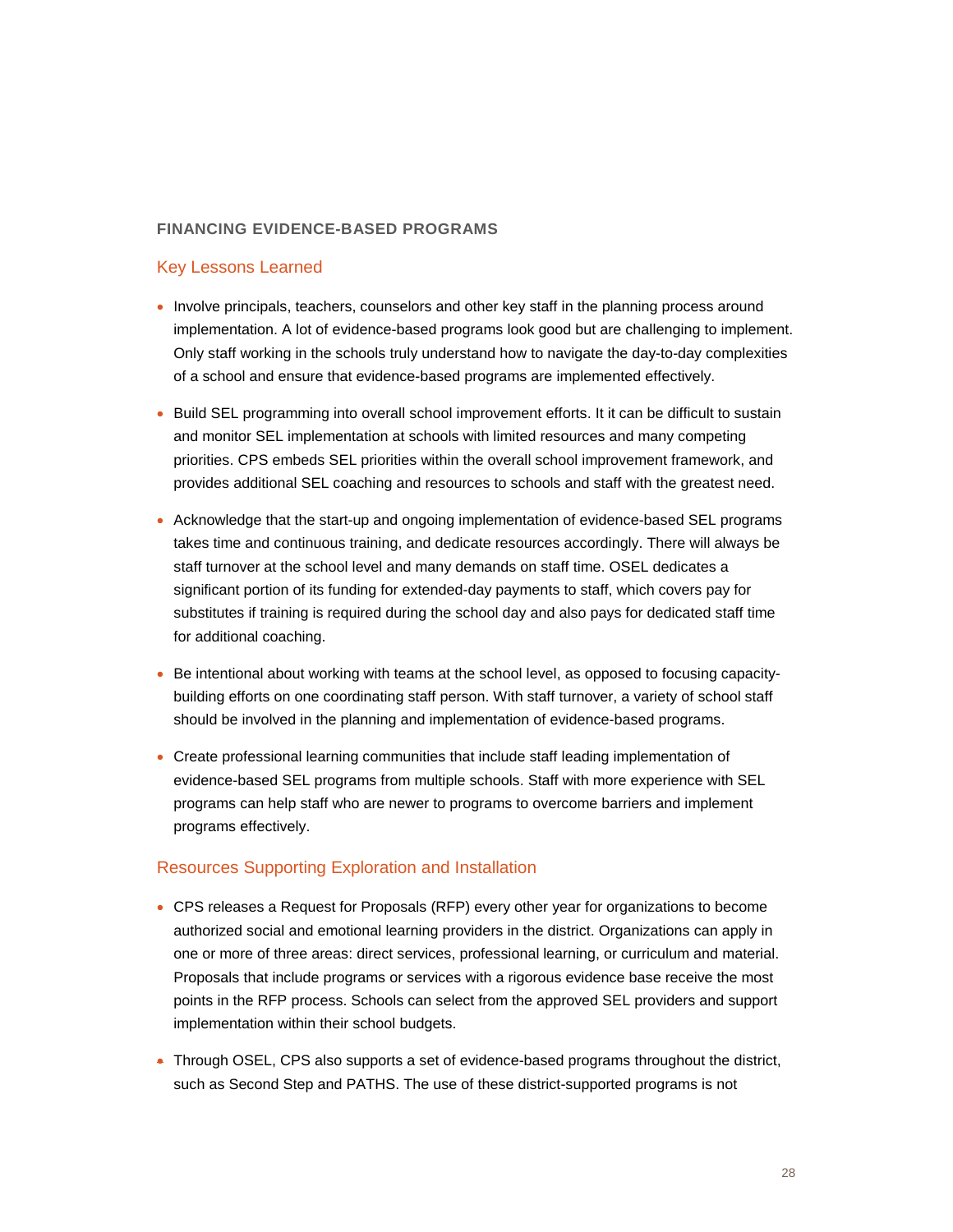#### **FINANCING EVIDENCE-BASED PROGRAMS**

#### Key Lessons Learned

- Involve principals, teachers, counselors and other key staff in the planning process around implementation. A lot of evidence-based programs look good but are challenging to implement. Only staff working in the schools truly understand how to navigate the day-to-day complexities of a school and ensure that evidence-based programs are implemented effectively.
- Build SEL programming into overall school improvement efforts. It it can be difficult to sustain and monitor SEL implementation at schools with limited resources and many competing priorities. CPS embeds SEL priorities within the overall school improvement framework, and provides additional SEL coaching and resources to schools and staff with the greatest need.
- Acknowledge that the start-up and ongoing implementation of evidence-based SEL programs takes time and continuous training, and dedicate resources accordingly. There will always be staff turnover at the school level and many demands on staff time. OSEL dedicates a significant portion of its funding for extended-day payments to staff, which covers pay for substitutes if training is required during the school day and also pays for dedicated staff time for additional coaching.
- Be intentional about working with teams at the school level, as opposed to focusing capacitybuilding efforts on one coordinating staff person. With staff turnover, a variety of school staff should be involved in the planning and implementation of evidence-based programs.
- Create professional learning communities that include staff leading implementation of evidence-based SEL programs from multiple schools. Staff with more experience with SEL programs can help staff who are newer to programs to overcome barriers and implement programs effectively.

#### Resources Supporting Exploration and Installation

- CPS releases a Request for Proposals (RFP) every other year for organizations to become authorized social and emotional learning providers in the district. Organizations can apply in one or more of three areas: direct services, professional learning, or curriculum and material. Proposals that include programs or services with a rigorous evidence base receive the most points in the RFP process. Schools can select from the approved SEL providers and support implementation within their school budgets.
- Through OSEL, CPS also supports a set of evidence-based programs throughout the district, such as Second Step and PATHS. The use of these district-supported programs is not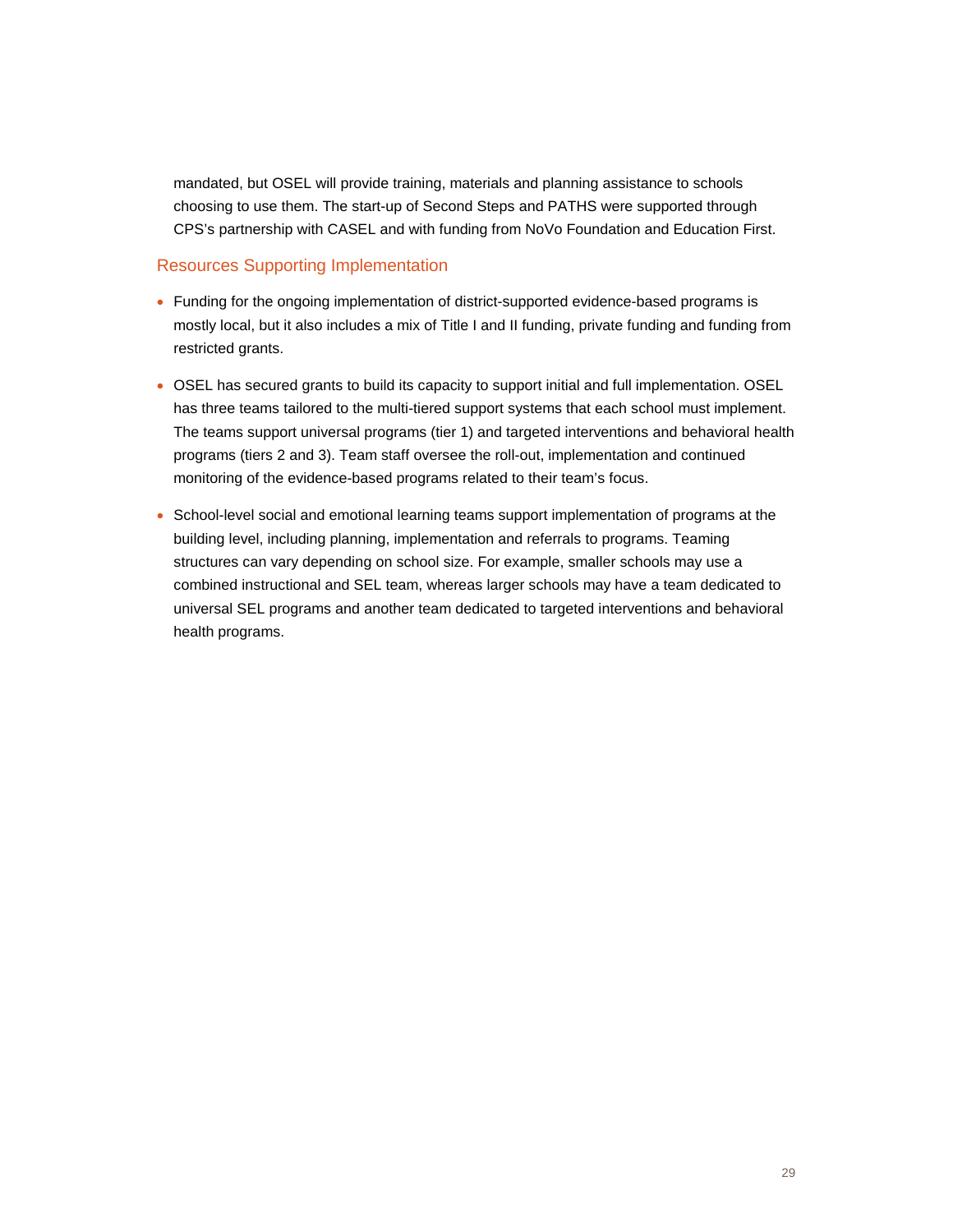mandated, but OSEL will provide training, materials and planning assistance to schools choosing to use them. The start-up of Second Steps and PATHS were supported through CPS's partnership with CASEL and with funding from NoVo Foundation and Education First.

#### Resources Supporting Implementation

- Funding for the ongoing implementation of district-supported evidence-based programs is mostly local, but it also includes a mix of Title I and II funding, private funding and funding from restricted grants.
- OSEL has secured grants to build its capacity to support initial and full implementation. OSEL has three teams tailored to the multi-tiered support systems that each school must implement. The teams support universal programs (tier 1) and targeted interventions and behavioral health programs (tiers 2 and 3). Team staff oversee the roll-out, implementation and continued monitoring of the evidence-based programs related to their team's focus.
- School-level social and emotional learning teams support implementation of programs at the building level, including planning, implementation and referrals to programs. Teaming structures can vary depending on school size. For example, smaller schools may use a combined instructional and SEL team, whereas larger schools may have a team dedicated to universal SEL programs and another team dedicated to targeted interventions and behavioral health programs.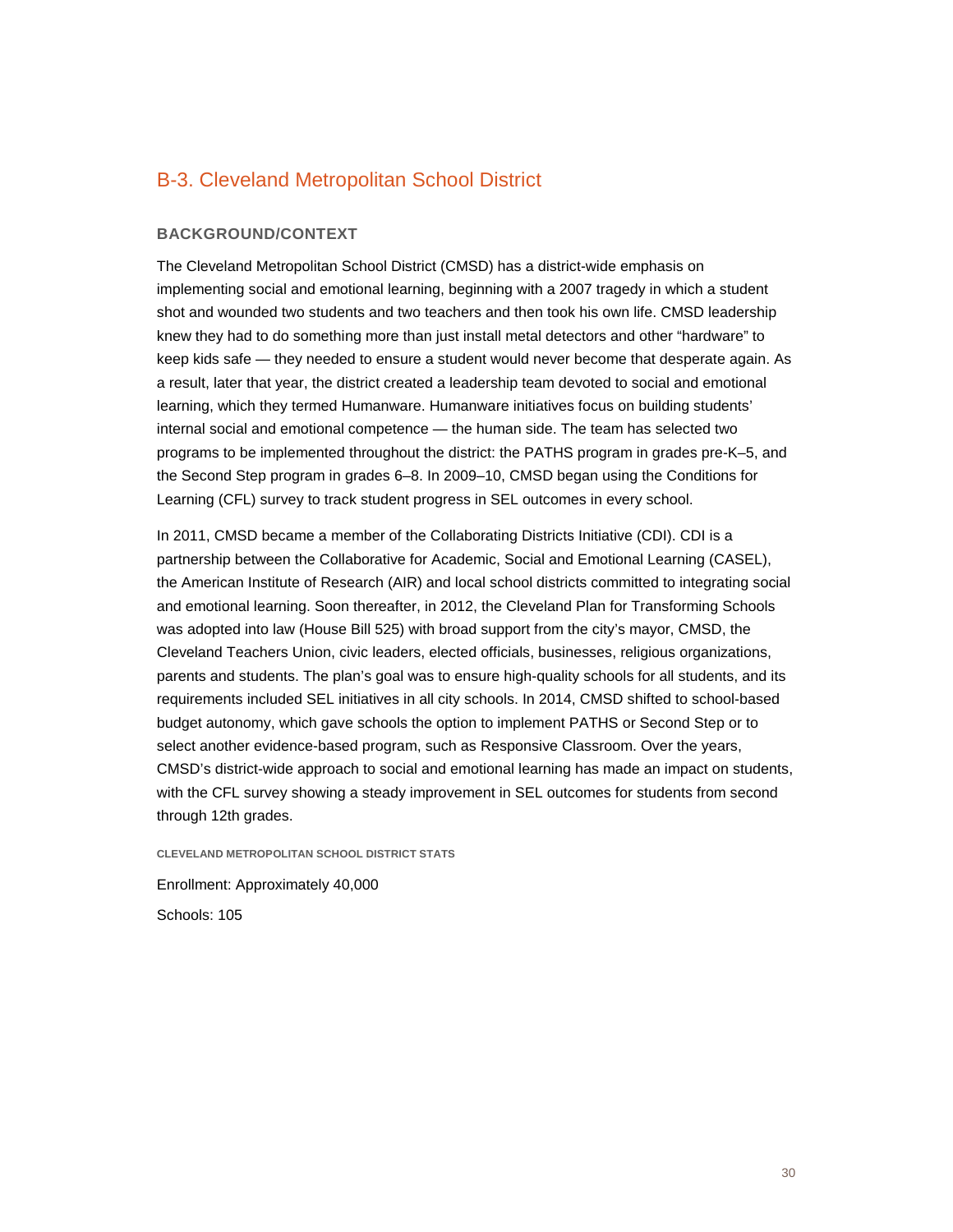## B-3. Cleveland Metropolitan School District

#### **BACKGROUND/CONTEXT**

The Cleveland Metropolitan School District (CMSD) has a district-wide emphasis on implementing social and emotional learning, beginning with a 2007 tragedy in which a student shot and wounded two students and two teachers and then took his own life. CMSD leadership knew they had to do something more than just install metal detectors and other "hardware" to keep kids safe — they needed to ensure a student would never become that desperate again. As a result, later that year, the district created a leadership team devoted to social and emotional learning, which they termed Humanware. Humanware initiatives focus on building students' internal social and emotional competence — the human side. The team has selected two programs to be implemented throughout the district: the PATHS program in grades pre-K–5, and the Second Step program in grades 6–8. In 2009–10, CMSD began using the Conditions for Learning (CFL) survey to track student progress in SEL outcomes in every school.

In 2011, CMSD became a member of the Collaborating Districts Initiative (CDI). CDI is a partnership between the Collaborative for Academic, Social and Emotional Learning (CASEL), the American Institute of Research (AIR) and local school districts committed to integrating social and emotional learning. Soon thereafter, in 2012, the Cleveland Plan for Transforming Schools was adopted into law (House Bill 525) with broad support from the city's mayor, CMSD, the Cleveland Teachers Union, civic leaders, elected officials, businesses, religious organizations, parents and students. The plan's goal was to ensure high-quality schools for all students, and its requirements included SEL initiatives in all city schools. In 2014, CMSD shifted to school-based budget autonomy, which gave schools the option to implement PATHS or Second Step or to select another evidence-based program, such as Responsive Classroom. Over the years, CMSD's district-wide approach to social and emotional learning has made an impact on students, with the CFL survey showing a steady improvement in SEL outcomes for students from second through 12th grades.

**CLEVELAND METROPOLITAN SCHOOL DISTRICT STATS**

Enrollment: Approximately 40,000 Schools: 105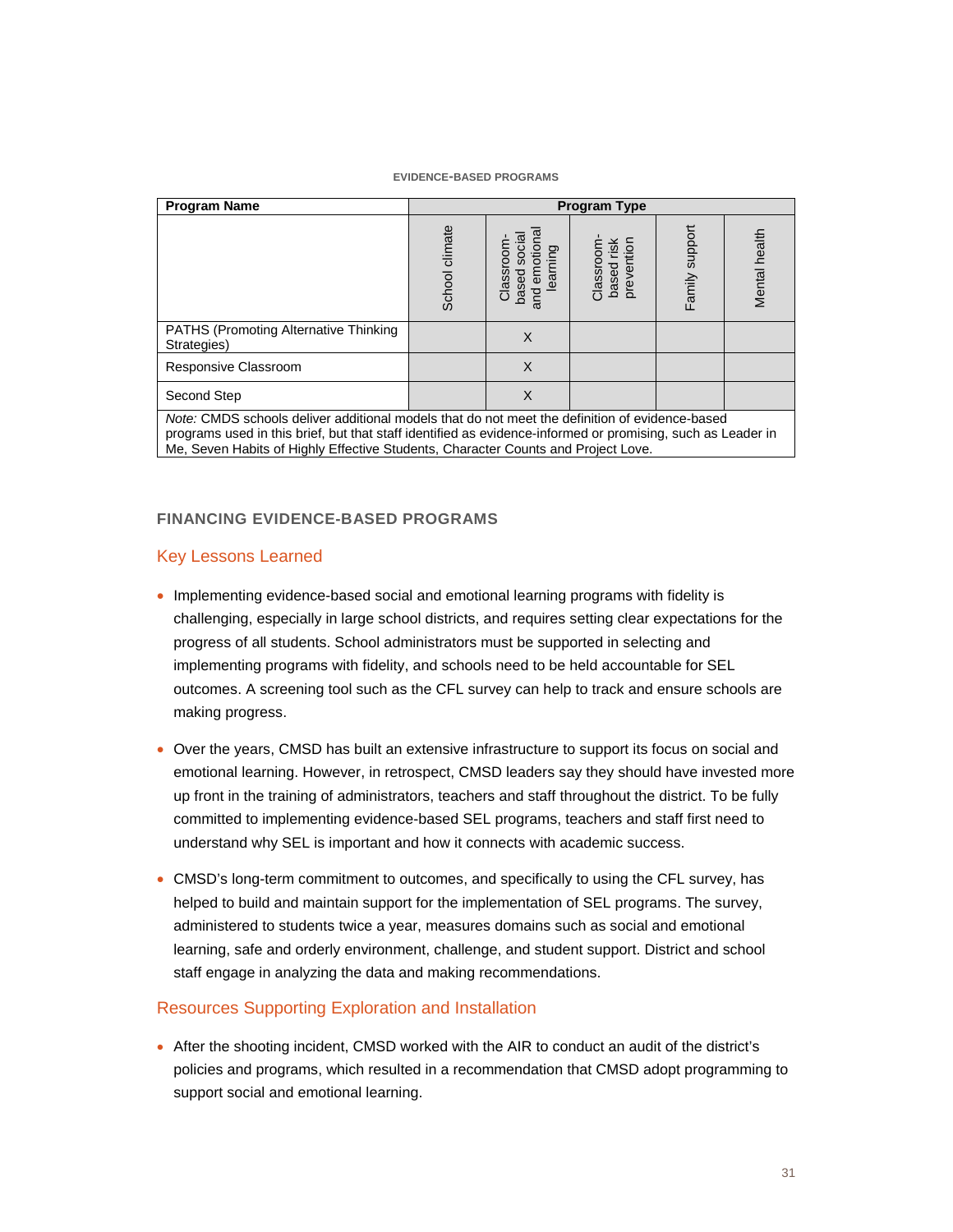#### **EVIDENCE-BASED PROGRAMS**

| <b>Program Name</b>                                                                                                                                                                                                                                                                                | <b>Program Type</b> |                                                             |                                        |                |               |  |
|----------------------------------------------------------------------------------------------------------------------------------------------------------------------------------------------------------------------------------------------------------------------------------------------------|---------------------|-------------------------------------------------------------|----------------------------------------|----------------|---------------|--|
|                                                                                                                                                                                                                                                                                                    | School climate      | emotiona<br>social<br>Classroom<br>learning<br>based<br>and | Classroom-<br>based risk<br>prevention | Family support | Mental health |  |
| <b>PATHS (Promoting Alternative Thinking)</b><br>Strategies)                                                                                                                                                                                                                                       |                     | X                                                           |                                        |                |               |  |
| Responsive Classroom                                                                                                                                                                                                                                                                               |                     | X                                                           |                                        |                |               |  |
| Second Step                                                                                                                                                                                                                                                                                        |                     | X                                                           |                                        |                |               |  |
| Note: CMDS schools deliver additional models that do not meet the definition of evidence-based<br>programs used in this brief, but that staff identified as evidence-informed or promising, such as Leader in<br>Me, Seven Habits of Highly Effective Students, Character Counts and Project Love. |                     |                                                             |                                        |                |               |  |

#### **FINANCING EVIDENCE-BASED PROGRAMS**

#### Key Lessons Learned

- Implementing evidence-based social and emotional learning programs with fidelity is challenging, especially in large school districts, and requires setting clear expectations for the progress of all students. School administrators must be supported in selecting and implementing programs with fidelity, and schools need to be held accountable for SEL outcomes. A screening tool such as the CFL survey can help to track and ensure schools are making progress.
- Over the years, CMSD has built an extensive infrastructure to support its focus on social and emotional learning. However, in retrospect, CMSD leaders say they should have invested more up front in the training of administrators, teachers and staff throughout the district. To be fully committed to implementing evidence-based SEL programs, teachers and staff first need to understand why SEL is important and how it connects with academic success.
- CMSD's long-term commitment to outcomes, and specifically to using the CFL survey, has helped to build and maintain support for the implementation of SEL programs. The survey, administered to students twice a year, measures domains such as social and emotional learning, safe and orderly environment, challenge, and student support. District and school staff engage in analyzing the data and making recommendations.

#### Resources Supporting Exploration and Installation

• After the shooting incident, CMSD worked with the AIR to conduct an audit of the district's policies and programs, which resulted in a recommendation that CMSD adopt programming to support social and emotional learning.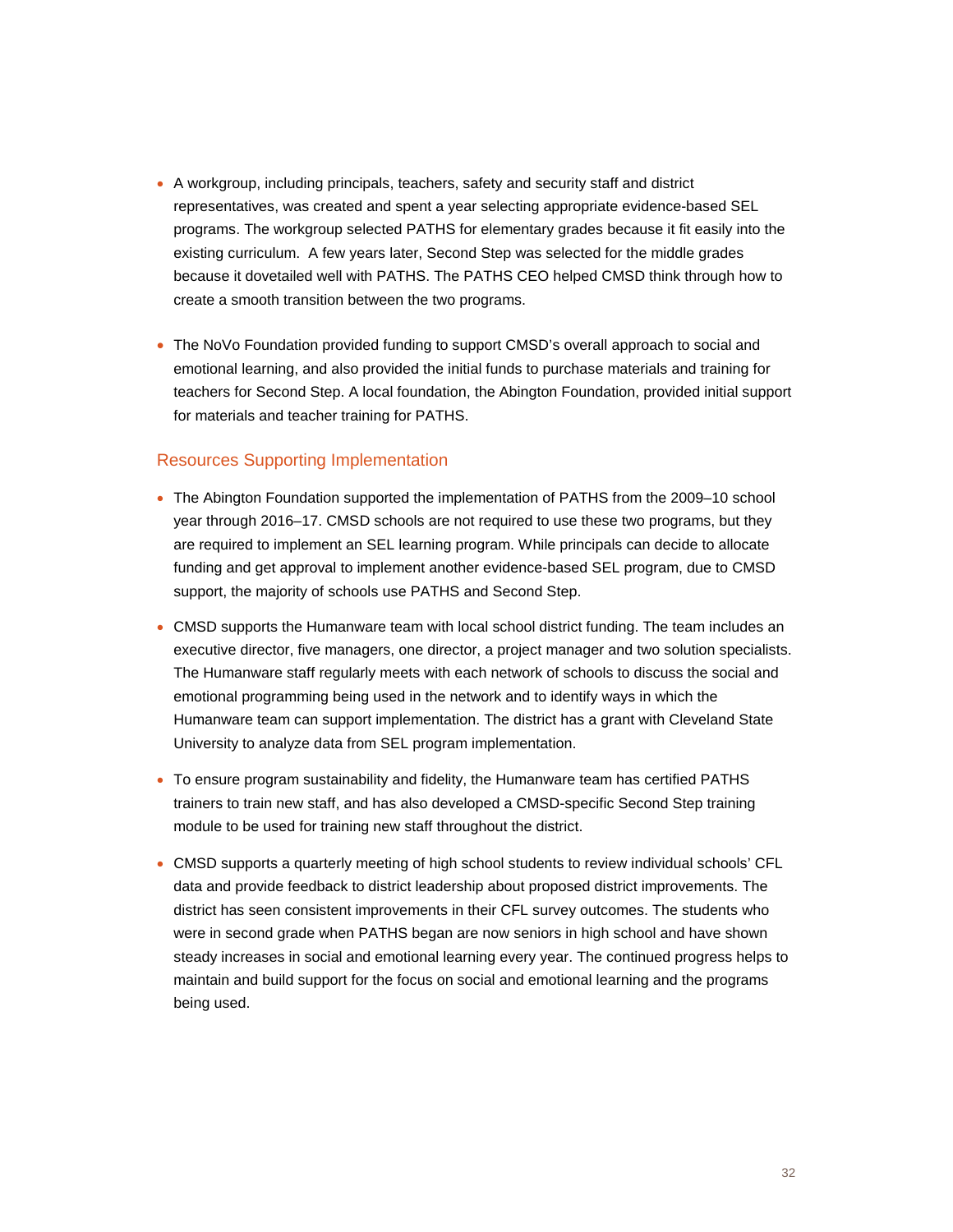- A workgroup, including principals, teachers, safety and security staff and district representatives, was created and spent a year selecting appropriate evidence-based SEL programs. The workgroup selected PATHS for elementary grades because it fit easily into the existing curriculum. A few years later, Second Step was selected for the middle grades because it dovetailed well with PATHS. The PATHS CEO helped CMSD think through how to create a smooth transition between the two programs.
- The NoVo Foundation provided funding to support CMSD's overall approach to social and emotional learning, and also provided the initial funds to purchase materials and training for teachers for Second Step. A local foundation, the Abington Foundation, provided initial support for materials and teacher training for PATHS.

#### Resources Supporting Implementation

- The Abington Foundation supported the implementation of PATHS from the 2009–10 school year through 2016–17. CMSD schools are not required to use these two programs, but they are required to implement an SEL learning program. While principals can decide to allocate funding and get approval to implement another evidence-based SEL program, due to CMSD support, the majority of schools use PATHS and Second Step.
- CMSD supports the Humanware team with local school district funding. The team includes an executive director, five managers, one director, a project manager and two solution specialists. The Humanware staff regularly meets with each network of schools to discuss the social and emotional programming being used in the network and to identify ways in which the Humanware team can support implementation. The district has a grant with Cleveland State University to analyze data from SEL program implementation.
- To ensure program sustainability and fidelity, the Humanware team has certified PATHS trainers to train new staff, and has also developed a CMSD-specific Second Step training module to be used for training new staff throughout the district.
- CMSD supports a quarterly meeting of high school students to review individual schools' CFL data and provide feedback to district leadership about proposed district improvements. The district has seen consistent improvements in their CFL survey outcomes. The students who were in second grade when PATHS began are now seniors in high school and have shown steady increases in social and emotional learning every year. The continued progress helps to maintain and build support for the focus on social and emotional learning and the programs being used.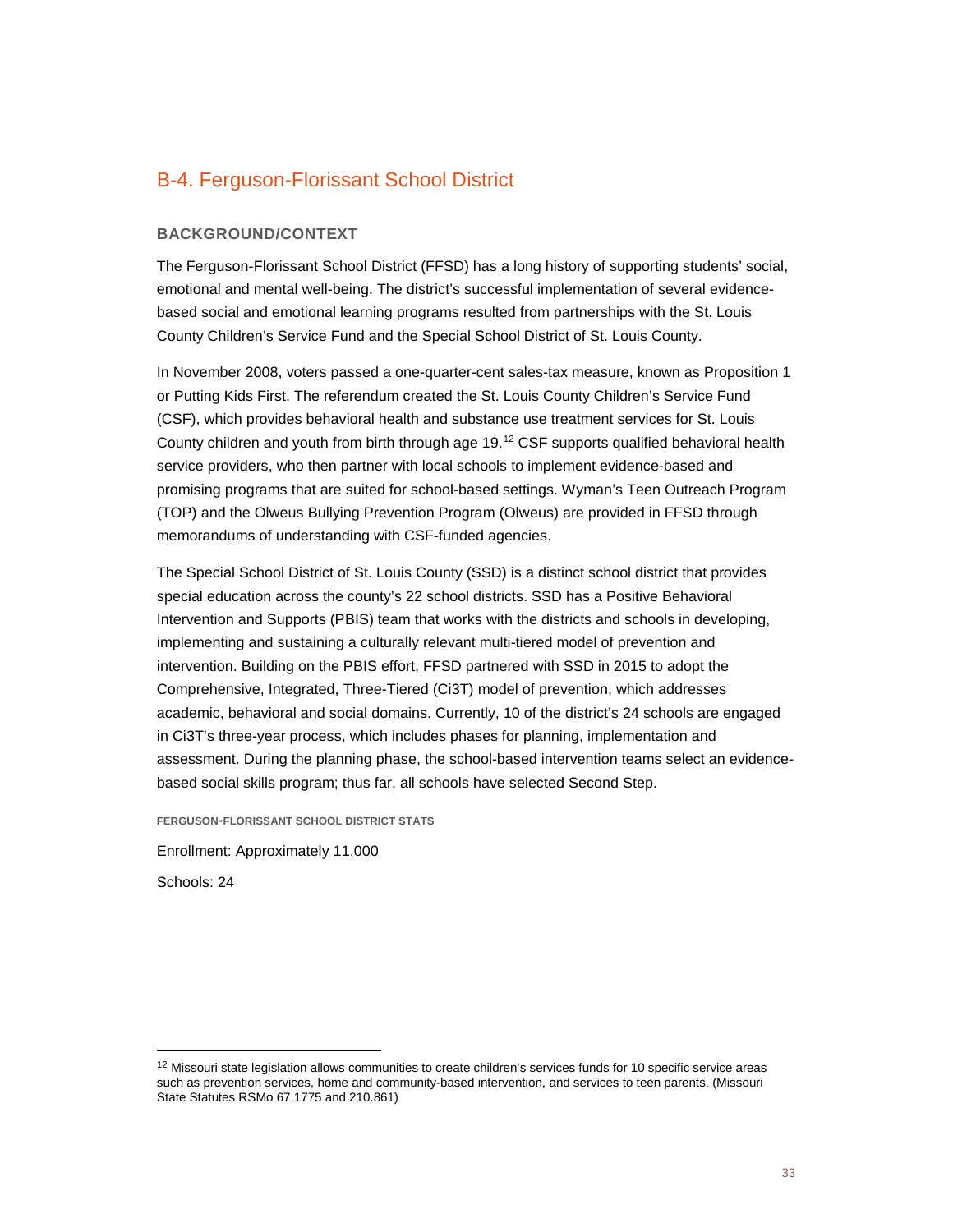## B-4. Ferguson-Florissant School District

#### **BACKGROUND/CONTEXT**

The Ferguson-Florissant School District (FFSD) has a long history of supporting students' social, emotional and mental well-being. The district's successful implementation of several evidencebased social and emotional learning programs resulted from partnerships with the St. Louis County Children's Service Fund and the Special School District of St. Louis County.

In November 2008, voters passed a one-quarter-cent sales-tax measure, known as Proposition 1 or Putting Kids First. The referendum created the St. Louis County Children's Service Fund (CSF), which provides behavioral health and substance use treatment services for St. Louis County children and youth from birth through age 19.[12](#page-32-0) CSF supports qualified behavioral health service providers, who then partner with local schools to implement evidence-based and promising programs that are suited for school-based settings. Wyman's Teen Outreach Program (TOP) and the Olweus Bullying Prevention Program (Olweus) are provided in FFSD through memorandums of understanding with CSF-funded agencies.

The Special School District of St. Louis County (SSD) is a distinct school district that provides special education across the county's 22 school districts. SSD has a Positive Behavioral Intervention and Supports (PBIS) team that works with the districts and schools in developing, implementing and sustaining a culturally relevant multi-tiered model of prevention and intervention. Building on the PBIS effort, FFSD partnered with SSD in 2015 to adopt the Comprehensive, Integrated, Three-Tiered (Ci3T) model of prevention, which addresses academic, behavioral and social domains. Currently, 10 of the district's 24 schools are engaged in Ci3T's three-year process, which includes phases for planning, implementation and assessment. During the planning phase, the school-based intervention teams select an evidencebased social skills program; thus far, all schools have selected Second Step.

**FERGUSON-FLORISSANT SCHOOL DISTRICT STATS**

Enrollment: Approximately 11,000

Schools: 24

<span id="page-32-0"></span> $12$  Missouri state legislation allows communities to create children's services funds for 10 specific service areas such as prevention services, home and community-based intervention, and services to teen parents. (Missouri State Statutes RSMo 67.1775 and 210.861)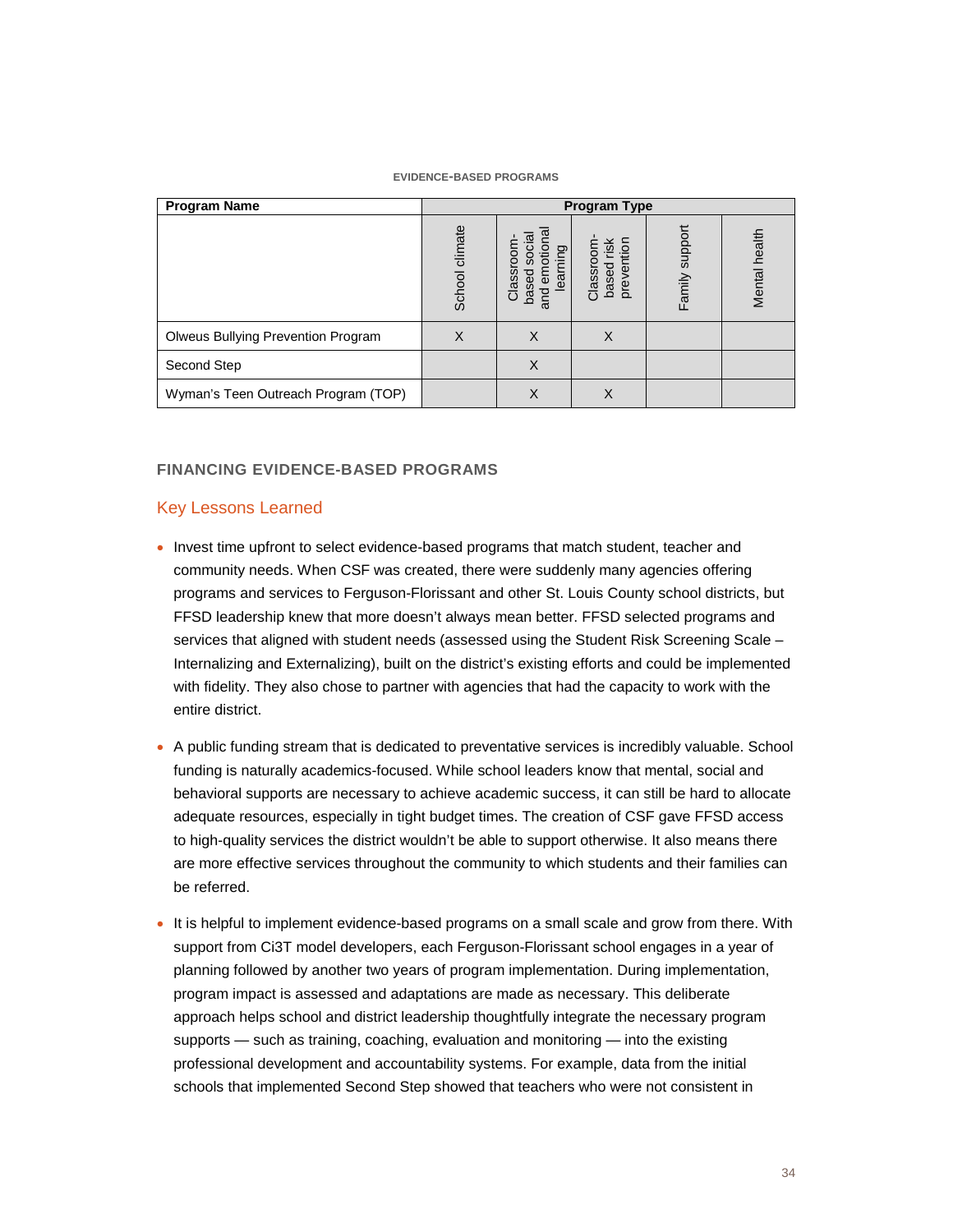#### **EVIDENCE-BASED PROGRAMS**

| <b>Program Name</b>                 | <b>Program Type</b> |                                                                           |                                               |                   |               |
|-------------------------------------|---------------------|---------------------------------------------------------------------------|-----------------------------------------------|-------------------|---------------|
|                                     | School climate      | ලු $\overline{a}$<br>otio<br>learning<br>ō<br>Ĕ<br>Classr<br>based<br>and | $\frac{8}{5}$<br>preventi<br>Classro<br>based | support<br>Family | Mental health |
| Olweus Bullying Prevention Program  | X                   | X                                                                         |                                               |                   |               |
| Second Step                         |                     | X                                                                         |                                               |                   |               |
| Wyman's Teen Outreach Program (TOP) |                     | X                                                                         | X                                             |                   |               |

#### **FINANCING EVIDENCE-BASED PROGRAMS**

#### Key Lessons Learned

- Invest time upfront to select evidence-based programs that match student, teacher and community needs. When CSF was created, there were suddenly many agencies offering programs and services to Ferguson-Florissant and other St. Louis County school districts, but FFSD leadership knew that more doesn't always mean better. FFSD selected programs and services that aligned with student needs (assessed using the Student Risk Screening Scale -Internalizing and Externalizing), built on the district's existing efforts and could be implemented with fidelity. They also chose to partner with agencies that had the capacity to work with the entire district.
- A public funding stream that is dedicated to preventative services is incredibly valuable. School funding is naturally academics-focused. While school leaders know that mental, social and behavioral supports are necessary to achieve academic success, it can still be hard to allocate adequate resources, especially in tight budget times. The creation of CSF gave FFSD access to high-quality services the district wouldn't be able to support otherwise. It also means there are more effective services throughout the community to which students and their families can be referred.
- It is helpful to implement evidence-based programs on a small scale and grow from there. With support from Ci3T model developers, each Ferguson-Florissant school engages in a year of planning followed by another two years of program implementation. During implementation, program impact is assessed and adaptations are made as necessary. This deliberate approach helps school and district leadership thoughtfully integrate the necessary program supports — such as training, coaching, evaluation and monitoring — into the existing professional development and accountability systems. For example, data from the initial schools that implemented Second Step showed that teachers who were not consistent in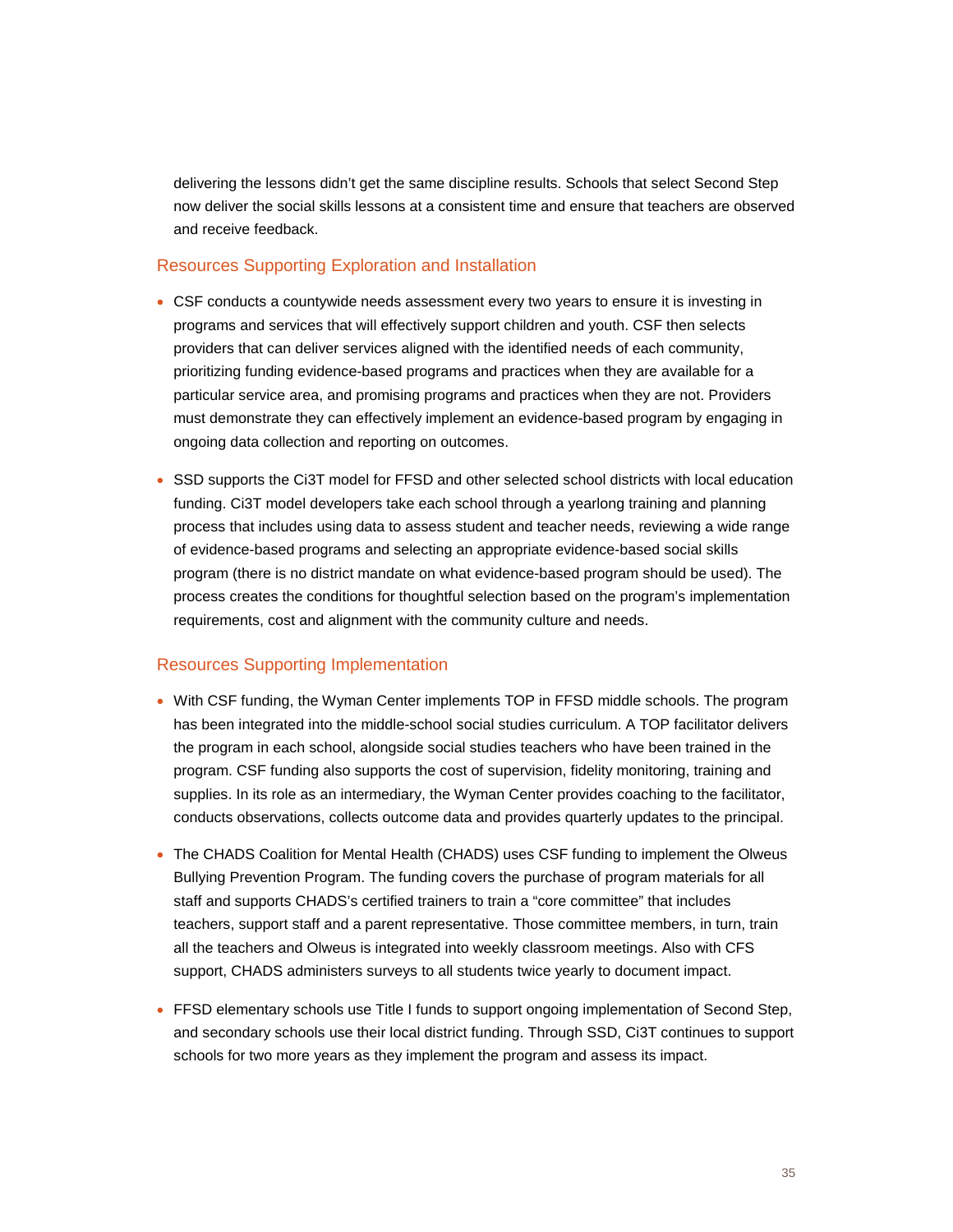delivering the lessons didn't get the same discipline results. Schools that select Second Step now deliver the social skills lessons at a consistent time and ensure that teachers are observed and receive feedback.

#### Resources Supporting Exploration and Installation

- CSF conducts a countywide needs assessment every two years to ensure it is investing in programs and services that will effectively support children and youth. CSF then selects providers that can deliver services aligned with the identified needs of each community, prioritizing funding evidence-based programs and practices when they are available for a particular service area, and promising programs and practices when they are not. Providers must demonstrate they can effectively implement an evidence-based program by engaging in ongoing data collection and reporting on outcomes.
- SSD supports the Ci3T model for FFSD and other selected school districts with local education funding. Ci3T model developers take each school through a yearlong training and planning process that includes using data to assess student and teacher needs, reviewing a wide range of evidence-based programs and selecting an appropriate evidence-based social skills program (there is no district mandate on what evidence-based program should be used). The process creates the conditions for thoughtful selection based on the program's implementation requirements, cost and alignment with the community culture and needs.

#### Resources Supporting Implementation

- With CSF funding, the Wyman Center implements TOP in FFSD middle schools. The program has been integrated into the middle-school social studies curriculum. A TOP facilitator delivers the program in each school, alongside social studies teachers who have been trained in the program. CSF funding also supports the cost of supervision, fidelity monitoring, training and supplies. In its role as an intermediary, the Wyman Center provides coaching to the facilitator, conducts observations, collects outcome data and provides quarterly updates to the principal.
- The CHADS Coalition for Mental Health (CHADS) uses CSF funding to implement the Olweus Bullying Prevention Program. The funding covers the purchase of program materials for all staff and supports CHADS's certified trainers to train a "core committee" that includes teachers, support staff and a parent representative. Those committee members, in turn, train all the teachers and Olweus is integrated into weekly classroom meetings. Also with CFS support, CHADS administers surveys to all students twice yearly to document impact.
- FFSD elementary schools use Title I funds to support ongoing implementation of Second Step, and secondary schools use their local district funding. Through SSD, Ci3T continues to support schools for two more years as they implement the program and assess its impact.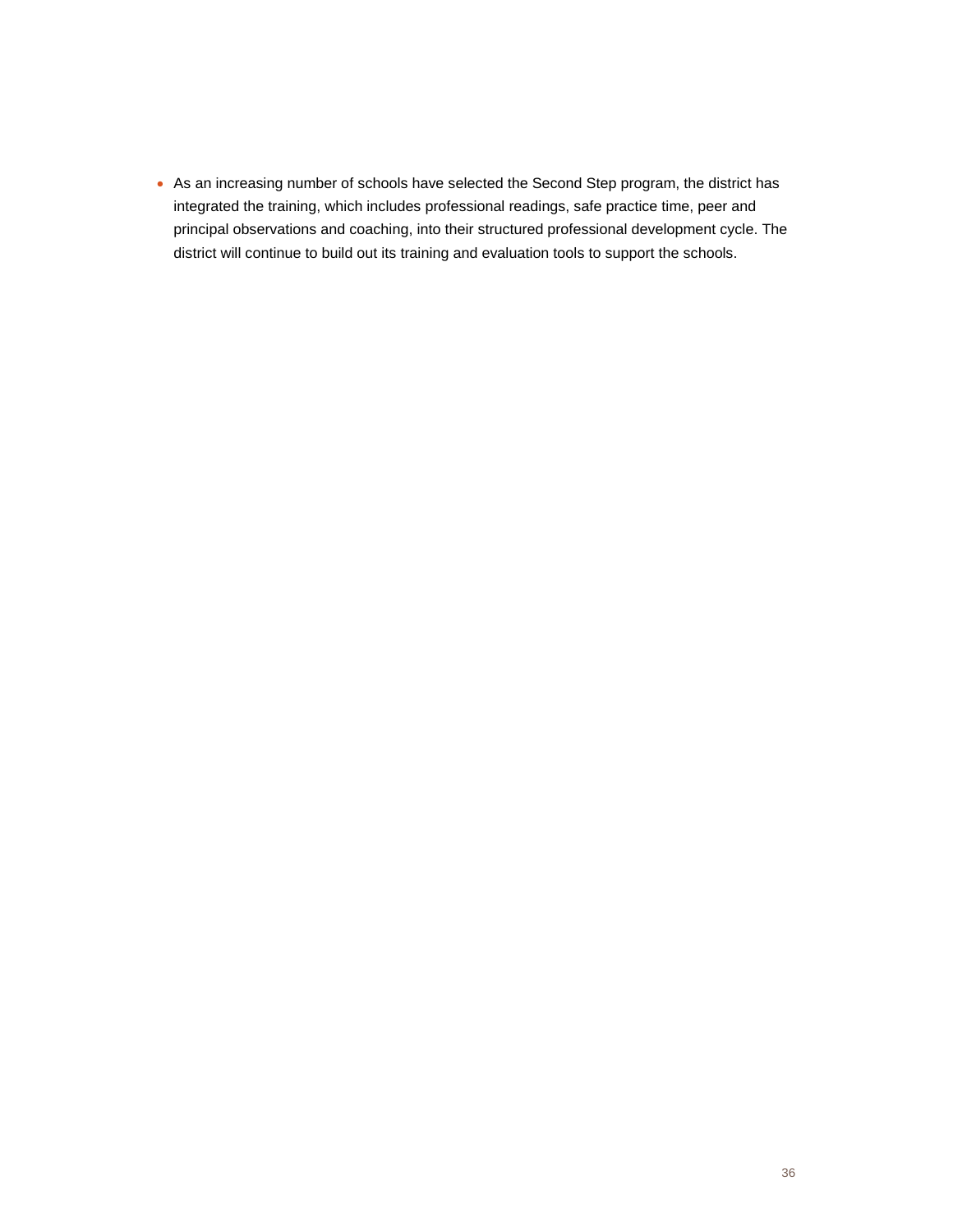• As an increasing number of schools have selected the Second Step program, the district has integrated the training, which includes professional readings, safe practice time, peer and principal observations and coaching, into their structured professional development cycle. The district will continue to build out its training and evaluation tools to support the schools.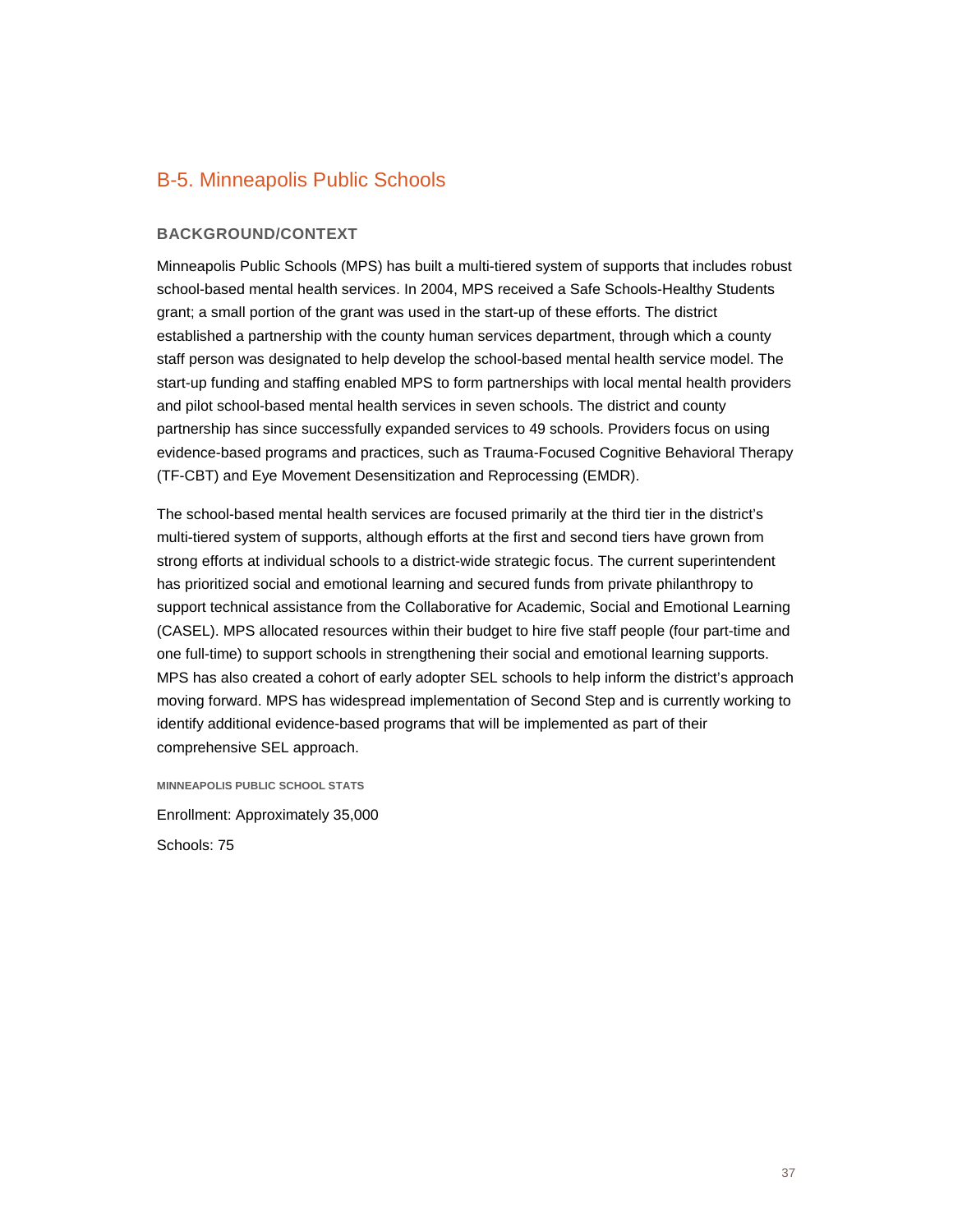## B-5. Minneapolis Public Schools

#### **BACKGROUND/CONTEXT**

Minneapolis Public Schools (MPS) has built a multi-tiered system of supports that includes robust school-based mental health services. In 2004, MPS received a Safe Schools-Healthy Students grant; a small portion of the grant was used in the start-up of these efforts. The district established a partnership with the county human services department, through which a county staff person was designated to help develop the school-based mental health service model. The start-up funding and staffing enabled MPS to form partnerships with local mental health providers and pilot school-based mental health services in seven schools. The district and county partnership has since successfully expanded services to 49 schools. Providers focus on using evidence-based programs and practices, such as Trauma-Focused Cognitive Behavioral Therapy (TF-CBT) and Eye Movement Desensitization and Reprocessing (EMDR).

The school-based mental health services are focused primarily at the third tier in the district's multi-tiered system of supports, although efforts at the first and second tiers have grown from strong efforts at individual schools to a district-wide strategic focus. The current superintendent has prioritized social and emotional learning and secured funds from private philanthropy to support technical assistance from the Collaborative for Academic, Social and Emotional Learning (CASEL). MPS allocated resources within their budget to hire five staff people (four part-time and one full-time) to support schools in strengthening their social and emotional learning supports. MPS has also created a cohort of early adopter SEL schools to help inform the district's approach moving forward. MPS has widespread implementation of Second Step and is currently working to identify additional evidence-based programs that will be implemented as part of their comprehensive SEL approach.

**MINNEAPOLIS PUBLIC SCHOOL STATS** Enrollment: Approximately 35,000 Schools: 75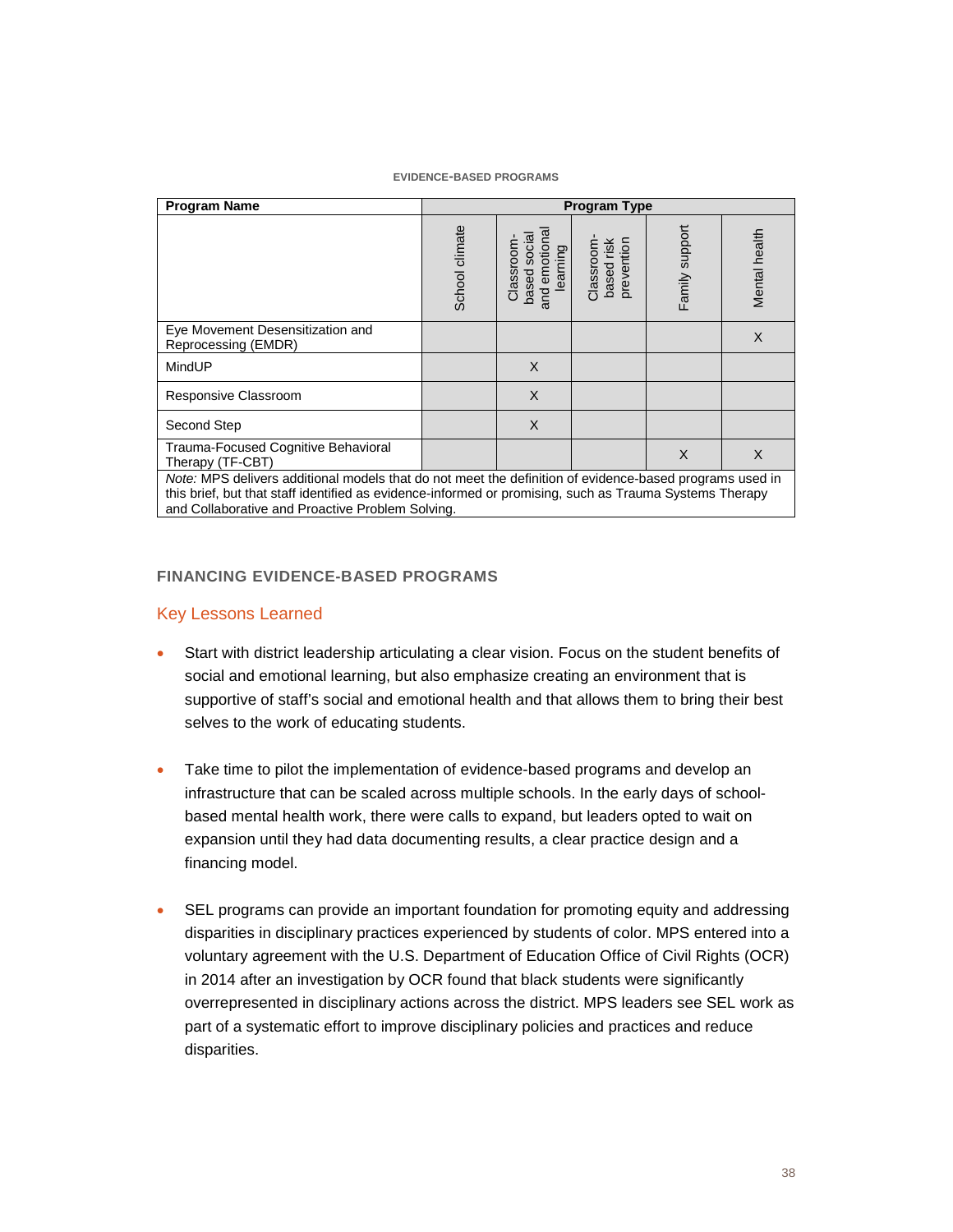| <b>Program Name</b>                                                                                                                                                                                                                                                    | <b>Program Type</b> |                                                      |                                       |                |               |
|------------------------------------------------------------------------------------------------------------------------------------------------------------------------------------------------------------------------------------------------------------------------|---------------------|------------------------------------------------------|---------------------------------------|----------------|---------------|
|                                                                                                                                                                                                                                                                        | School climate      | and emotiona<br>based socia<br>Classroom<br>learning | based risk<br>prevention<br>Classroom | Family support | Mental health |
| Eye Movement Desensitization and<br>Reprocessing (EMDR)                                                                                                                                                                                                                |                     |                                                      |                                       |                | X             |
| MindUP                                                                                                                                                                                                                                                                 |                     | X                                                    |                                       |                |               |
| Responsive Classroom                                                                                                                                                                                                                                                   |                     | X                                                    |                                       |                |               |
| Second Step                                                                                                                                                                                                                                                            |                     | X                                                    |                                       |                |               |
| Trauma-Focused Cognitive Behavioral<br>Therapy (TF-CBT)                                                                                                                                                                                                                |                     |                                                      |                                       | X              | $\times$      |
| Note: MPS delivers additional models that do not meet the definition of evidence-based programs used in<br>this brief, but that staff identified as evidence-informed or promising, such as Trauma Systems Therapy<br>and Collaborative and Proactive Problem Solving. |                     |                                                      |                                       |                |               |

#### **FINANCING EVIDENCE-BASED PROGRAMS**

#### Key Lessons Learned

- Start with district leadership articulating a clear vision. Focus on the student benefits of social and emotional learning, but also emphasize creating an environment that is supportive of staff's social and emotional health and that allows them to bring their best selves to the work of educating students.
- Take time to pilot the implementation of evidence-based programs and develop an infrastructure that can be scaled across multiple schools. In the early days of schoolbased mental health work, there were calls to expand, but leaders opted to wait on expansion until they had data documenting results, a clear practice design and a financing model.
- SEL programs can provide an important foundation for promoting equity and addressing disparities in disciplinary practices experienced by students of color. MPS entered into a voluntary agreement with the U.S. Department of Education Office of Civil Rights (OCR) in 2014 after an investigation by OCR found that black students were significantly overrepresented in disciplinary actions across the district. MPS leaders see SEL work as part of a systematic effort to improve disciplinary policies and practices and reduce disparities.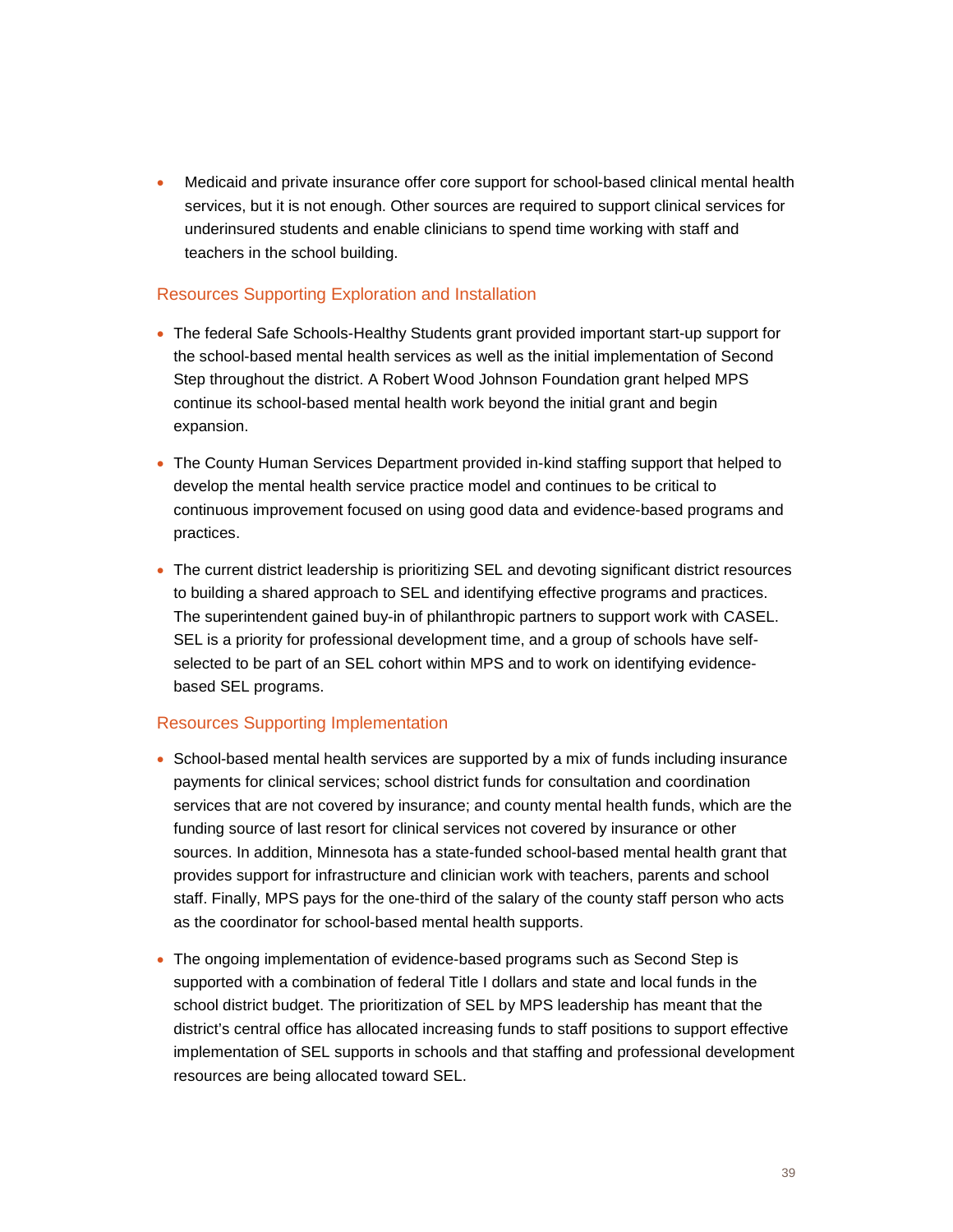• Medicaid and private insurance offer core support for school-based clinical mental health services, but it is not enough. Other sources are required to support clinical services for underinsured students and enable clinicians to spend time working with staff and teachers in the school building.

#### Resources Supporting Exploration and Installation

- The federal Safe Schools-Healthy Students grant provided important start-up support for the school-based mental health services as well as the initial implementation of Second Step throughout the district. A Robert Wood Johnson Foundation grant helped MPS continue its school-based mental health work beyond the initial grant and begin expansion.
- The County Human Services Department provided in-kind staffing support that helped to develop the mental health service practice model and continues to be critical to continuous improvement focused on using good data and evidence-based programs and practices.
- The current district leadership is prioritizing SEL and devoting significant district resources to building a shared approach to SEL and identifying effective programs and practices. The superintendent gained buy-in of philanthropic partners to support work with CASEL. SEL is a priority for professional development time, and a group of schools have selfselected to be part of an SEL cohort within MPS and to work on identifying evidencebased SEL programs.

#### Resources Supporting Implementation

- School-based mental health services are supported by a mix of funds including insurance payments for clinical services; school district funds for consultation and coordination services that are not covered by insurance; and county mental health funds, which are the funding source of last resort for clinical services not covered by insurance or other sources. In addition, Minnesota has a state-funded school-based mental health grant that provides support for infrastructure and clinician work with teachers, parents and school staff. Finally, MPS pays for the one-third of the salary of the county staff person who acts as the coordinator for school-based mental health supports.
- The ongoing implementation of evidence-based programs such as Second Step is supported with a combination of federal Title I dollars and state and local funds in the school district budget. The prioritization of SEL by MPS leadership has meant that the district's central office has allocated increasing funds to staff positions to support effective implementation of SEL supports in schools and that staffing and professional development resources are being allocated toward SEL.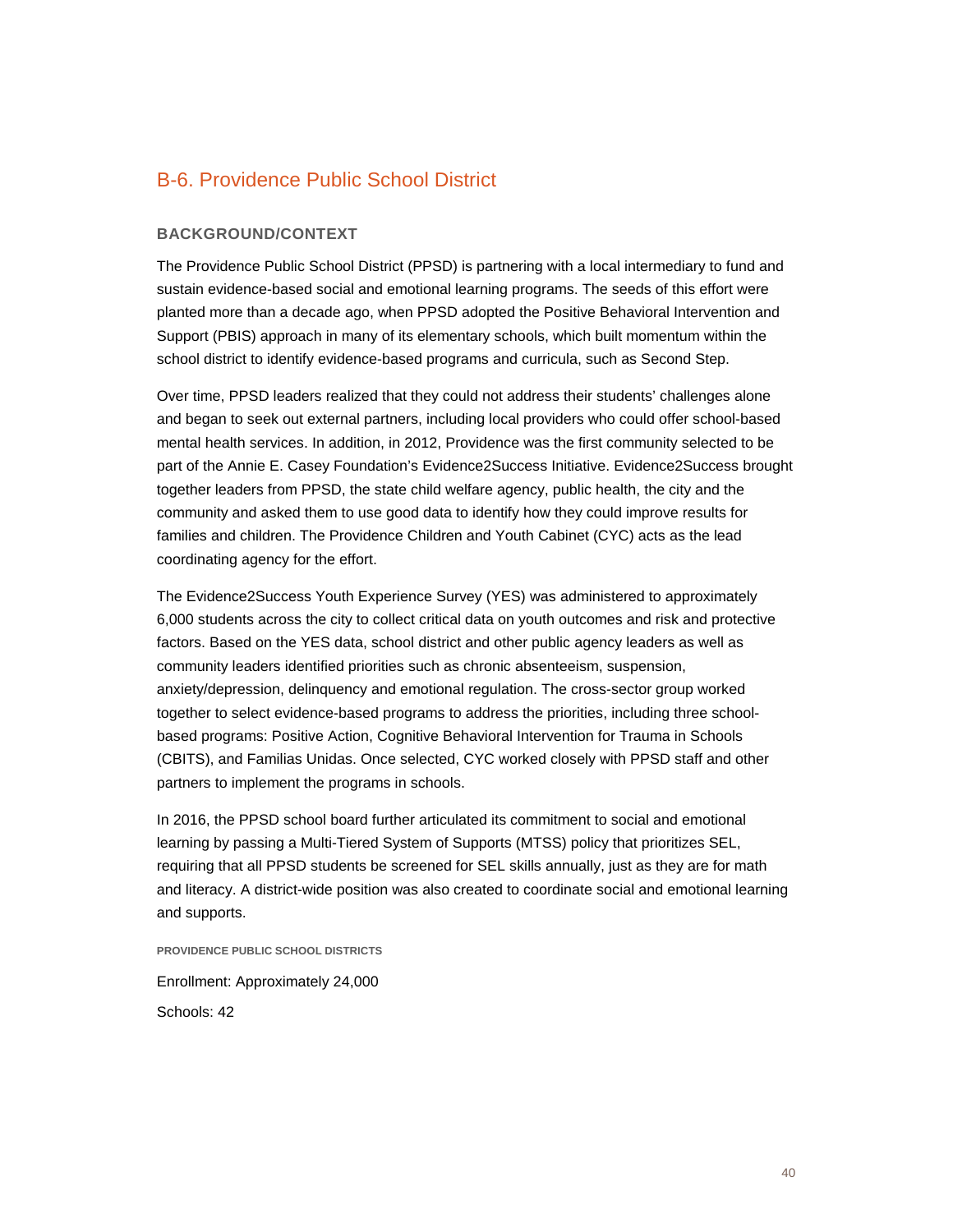## B-6. Providence Public School District

#### **BACKGROUND/CONTEXT**

The Providence Public School District (PPSD) is partnering with a local intermediary to fund and sustain evidence-based social and emotional learning programs. The seeds of this effort were planted more than a decade ago, when PPSD adopted the Positive Behavioral Intervention and Support (PBIS) approach in many of its elementary schools, which built momentum within the school district to identify evidence-based programs and curricula, such as Second Step.

Over time, PPSD leaders realized that they could not address their students' challenges alone and began to seek out external partners, including local providers who could offer school-based mental health services. In addition, in 2012, Providence was the first community selected to be part of the Annie E. Casey Foundation's Evidence2Success Initiative. Evidence2Success brought together leaders from PPSD, the state child welfare agency, public health, the city and the community and asked them to use good data to identify how they could improve results for families and children. The Providence Children and Youth Cabinet (CYC) acts as the lead coordinating agency for the effort.

The Evidence2Success Youth Experience Survey (YES) was administered to approximately 6,000 students across the city to collect critical data on youth outcomes and risk and protective factors. Based on the YES data, school district and other public agency leaders as well as community leaders identified priorities such as chronic absenteeism, suspension, anxiety/depression, delinquency and emotional regulation. The cross-sector group worked together to select evidence-based programs to address the priorities, including three schoolbased programs: Positive Action, Cognitive Behavioral Intervention for Trauma in Schools (CBITS), and Familias Unidas. Once selected, CYC worked closely with PPSD staff and other partners to implement the programs in schools.

In 2016, the PPSD school board further articulated its commitment to social and emotional learning by passing a Multi-Tiered System of Supports (MTSS) policy that prioritizes SEL, requiring that all PPSD students be screened for SEL skills annually, just as they are for math and literacy. A district-wide position was also created to coordinate social and emotional learning and supports.

**PROVIDENCE PUBLIC SCHOOL DISTRICTS**

Enrollment: Approximately 24,000 Schools: 42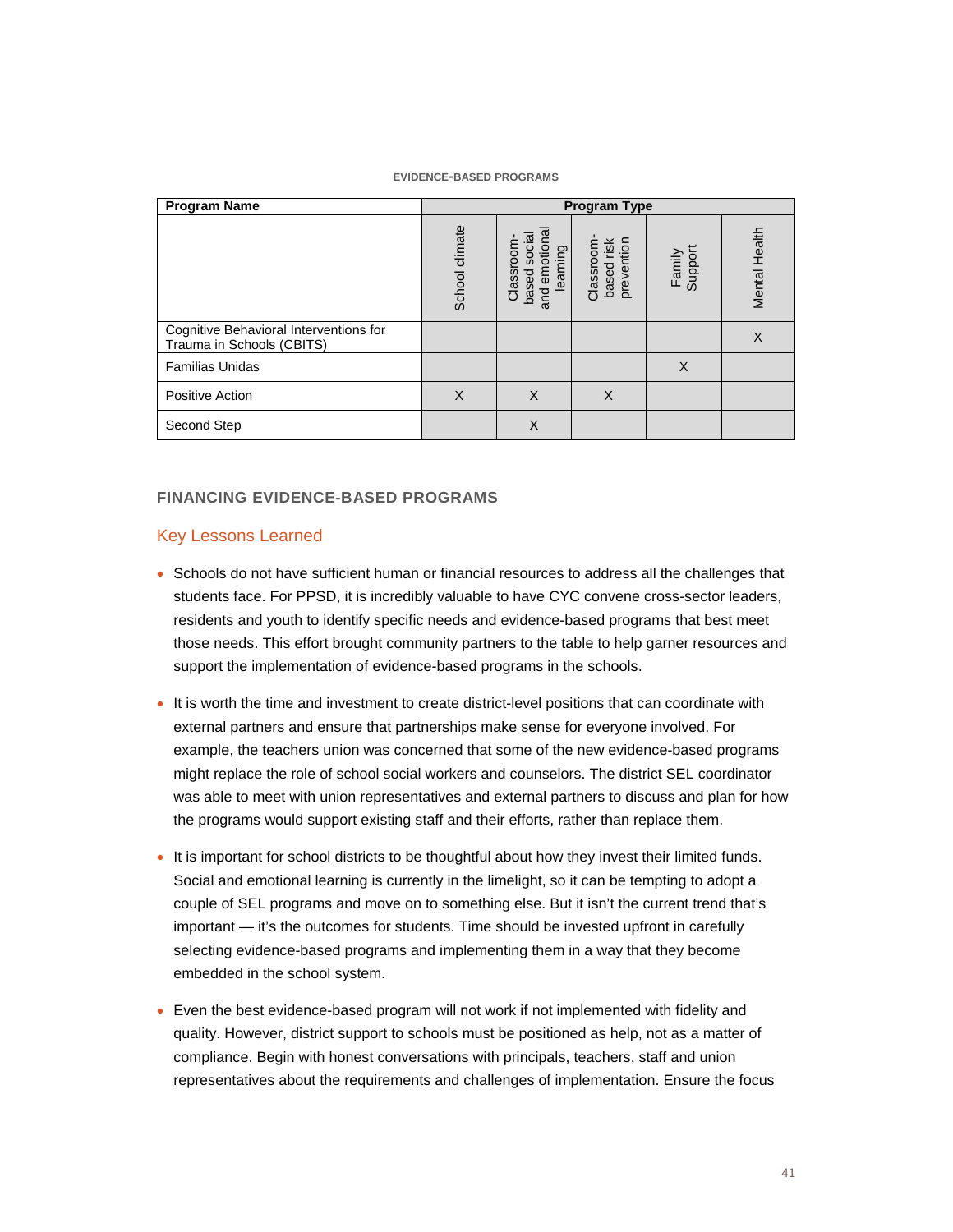#### **EVIDENCE-BASED PROGRAMS**

| <b>Program Name</b>                                                 | <b>Program Type</b> |                                                        |                                       |                   |               |
|---------------------------------------------------------------------|---------------------|--------------------------------------------------------|---------------------------------------|-------------------|---------------|
|                                                                     | School climate      | and emotional<br>based social<br>Classroom<br>learning | based risk<br>prevention<br>Classroom | Family<br>Support | Mental Health |
| Cognitive Behavioral Interventions for<br>Trauma in Schools (CBITS) |                     |                                                        |                                       |                   | X             |
| <b>Familias Unidas</b>                                              |                     |                                                        |                                       | $\times$          |               |
| <b>Positive Action</b>                                              | X                   | X                                                      | X                                     |                   |               |
| Second Step                                                         |                     | X                                                      |                                       |                   |               |

#### **FINANCING EVIDENCE-BASED PROGRAMS**

#### Key Lessons Learned

- Schools do not have sufficient human or financial resources to address all the challenges that students face. For PPSD, it is incredibly valuable to have CYC convene cross-sector leaders, residents and youth to identify specific needs and evidence-based programs that best meet those needs. This effort brought community partners to the table to help garner resources and support the implementation of evidence-based programs in the schools.
- It is worth the time and investment to create district-level positions that can coordinate with external partners and ensure that partnerships make sense for everyone involved. For example, the teachers union was concerned that some of the new evidence-based programs might replace the role of school social workers and counselors. The district SEL coordinator was able to meet with union representatives and external partners to discuss and plan for how the programs would support existing staff and their efforts, rather than replace them.
- It is important for school districts to be thoughtful about how they invest their limited funds. Social and emotional learning is currently in the limelight, so it can be tempting to adopt a couple of SEL programs and move on to something else. But it isn't the current trend that's important — it's the outcomes for students. Time should be invested upfront in carefully selecting evidence-based programs and implementing them in a way that they become embedded in the school system.
- Even the best evidence-based program will not work if not implemented with fidelity and quality. However, district support to schools must be positioned as help, not as a matter of compliance. Begin with honest conversations with principals, teachers, staff and union representatives about the requirements and challenges of implementation. Ensure the focus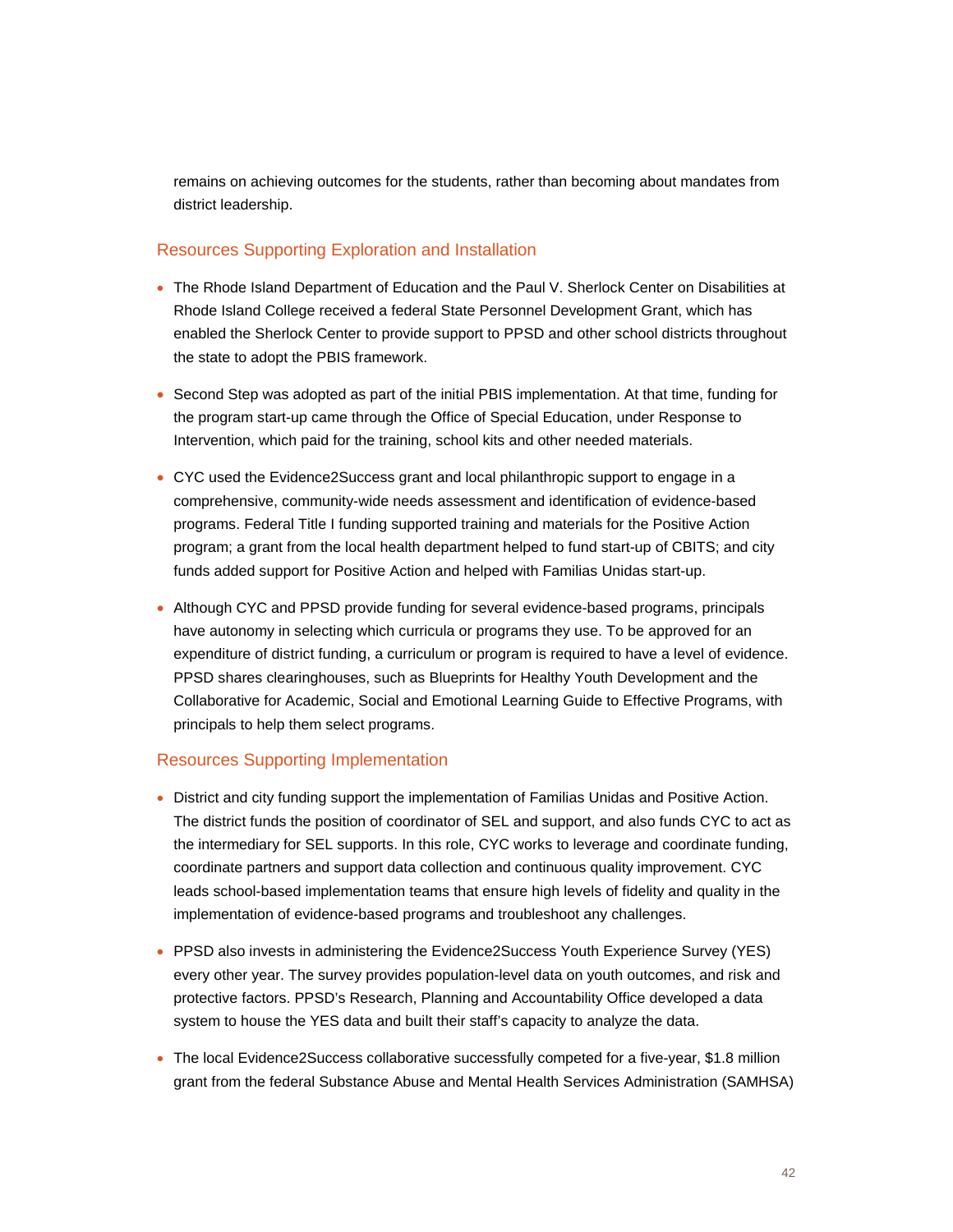remains on achieving outcomes for the students, rather than becoming about mandates from district leadership.

#### Resources Supporting Exploration and Installation

- The Rhode Island Department of Education and the Paul V. Sherlock Center on Disabilities at Rhode Island College received a federal State Personnel Development Grant, which has enabled the Sherlock Center to provide support to PPSD and other school districts throughout the state to adopt the PBIS framework.
- Second Step was adopted as part of the initial PBIS implementation. At that time, funding for the program start-up came through the Office of Special Education, under Response to Intervention, which paid for the training, school kits and other needed materials.
- CYC used the Evidence2Success grant and local philanthropic support to engage in a comprehensive, community-wide needs assessment and identification of evidence-based programs. Federal Title I funding supported training and materials for the Positive Action program; a grant from the local health department helped to fund start-up of CBITS; and city funds added support for Positive Action and helped with Familias Unidas start-up.
- Although CYC and PPSD provide funding for several evidence-based programs, principals have autonomy in selecting which curricula or programs they use. To be approved for an expenditure of district funding, a curriculum or program is required to have a level of evidence. PPSD shares clearinghouses, such as Blueprints for Healthy Youth Development and the Collaborative for Academic, Social and Emotional Learning Guide to Effective Programs, with principals to help them select programs.

#### Resources Supporting Implementation

- District and city funding support the implementation of Familias Unidas and Positive Action. The district funds the position of coordinator of SEL and support, and also funds CYC to act as the intermediary for SEL supports. In this role, CYC works to leverage and coordinate funding, coordinate partners and support data collection and continuous quality improvement. CYC leads school-based implementation teams that ensure high levels of fidelity and quality in the implementation of evidence-based programs and troubleshoot any challenges.
- PPSD also invests in administering the Evidence2Success Youth Experience Survey (YES) every other year. The survey provides population-level data on youth outcomes, and risk and protective factors. PPSD's Research, Planning and Accountability Office developed a data system to house the YES data and built their staff's capacity to analyze the data.
- The local Evidence2Success collaborative successfully competed for a five-year, \$1.8 million grant from the federal Substance Abuse and Mental Health Services Administration (SAMHSA)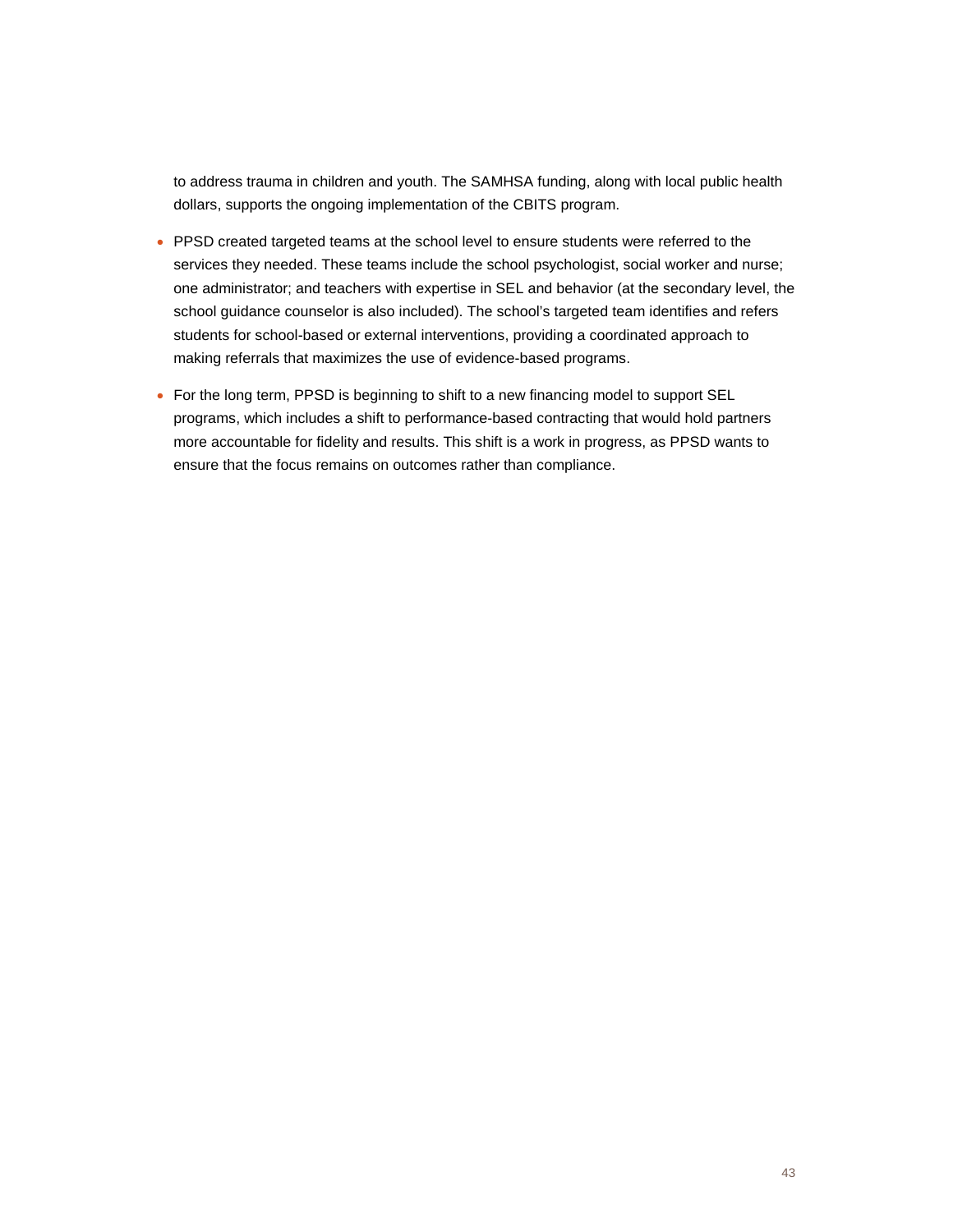to address trauma in children and youth. The SAMHSA funding, along with local public health dollars, supports the ongoing implementation of the CBITS program.

- PPSD created targeted teams at the school level to ensure students were referred to the services they needed. These teams include the school psychologist, social worker and nurse; one administrator; and teachers with expertise in SEL and behavior (at the secondary level, the school guidance counselor is also included). The school's targeted team identifies and refers students for school-based or external interventions, providing a coordinated approach to making referrals that maximizes the use of evidence-based programs.
- For the long term, PPSD is beginning to shift to a new financing model to support SEL programs, which includes a shift to performance-based contracting that would hold partners more accountable for fidelity and results. This shift is a work in progress, as PPSD wants to ensure that the focus remains on outcomes rather than compliance.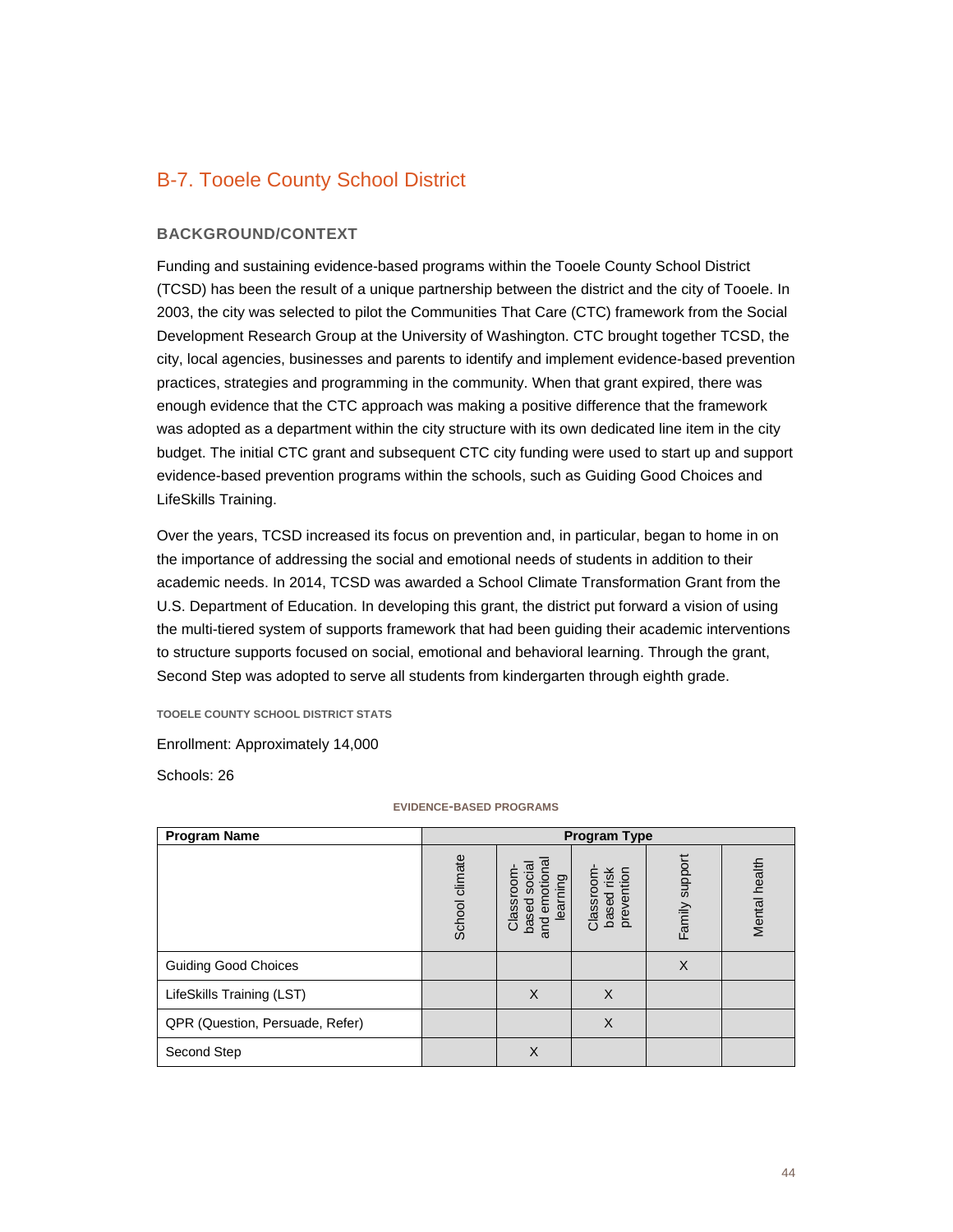## B-7. Tooele County School District

#### **BACKGROUND/CONTEXT**

Funding and sustaining evidence-based programs within the Tooele County School District (TCSD) has been the result of a unique partnership between the district and the city of Tooele. In 2003, the city was selected to pilot the Communities That Care (CTC) framework from the Social Development Research Group at the University of Washington. CTC brought together TCSD, the city, local agencies, businesses and parents to identify and implement evidence-based prevention practices, strategies and programming in the community. When that grant expired, there was enough evidence that the CTC approach was making a positive difference that the framework was adopted as a department within the city structure with its own dedicated line item in the city budget. The initial CTC grant and subsequent CTC city funding were used to start up and support evidence-based prevention programs within the schools, such as Guiding Good Choices and LifeSkills Training.

Over the years, TCSD increased its focus on prevention and, in particular, began to home in on the importance of addressing the social and emotional needs of students in addition to their academic needs. In 2014, TCSD was awarded a School Climate Transformation Grant from the U.S. Department of Education. In developing this grant, the district put forward a vision of using the multi-tiered system of supports framework that had been guiding their academic interventions to structure supports focused on social, emotional and behavioral learning. Through the grant, Second Step was adopted to serve all students from kindergarten through eighth grade.

**TOOELE COUNTY SCHOOL DISTRICT STATS**

Enrollment: Approximately 14,000

Schools: 26

| <b>Program Name</b>             | <b>Program Type</b> |                                                       |                                          |                |               |
|---------------------------------|---------------------|-------------------------------------------------------|------------------------------------------|----------------|---------------|
|                                 | School climate      | and emotiona<br>based social<br>Classroom<br>learning | risk<br>prevention<br>Classroom<br>based | Family support | Mental health |
| <b>Guiding Good Choices</b>     |                     |                                                       |                                          | X              |               |
| LifeSkills Training (LST)       |                     | X                                                     | $\times$                                 |                |               |
| QPR (Question, Persuade, Refer) |                     |                                                       | X                                        |                |               |
| Second Step                     |                     | X                                                     |                                          |                |               |

#### **EVIDENCE-BASED PROGRAMS**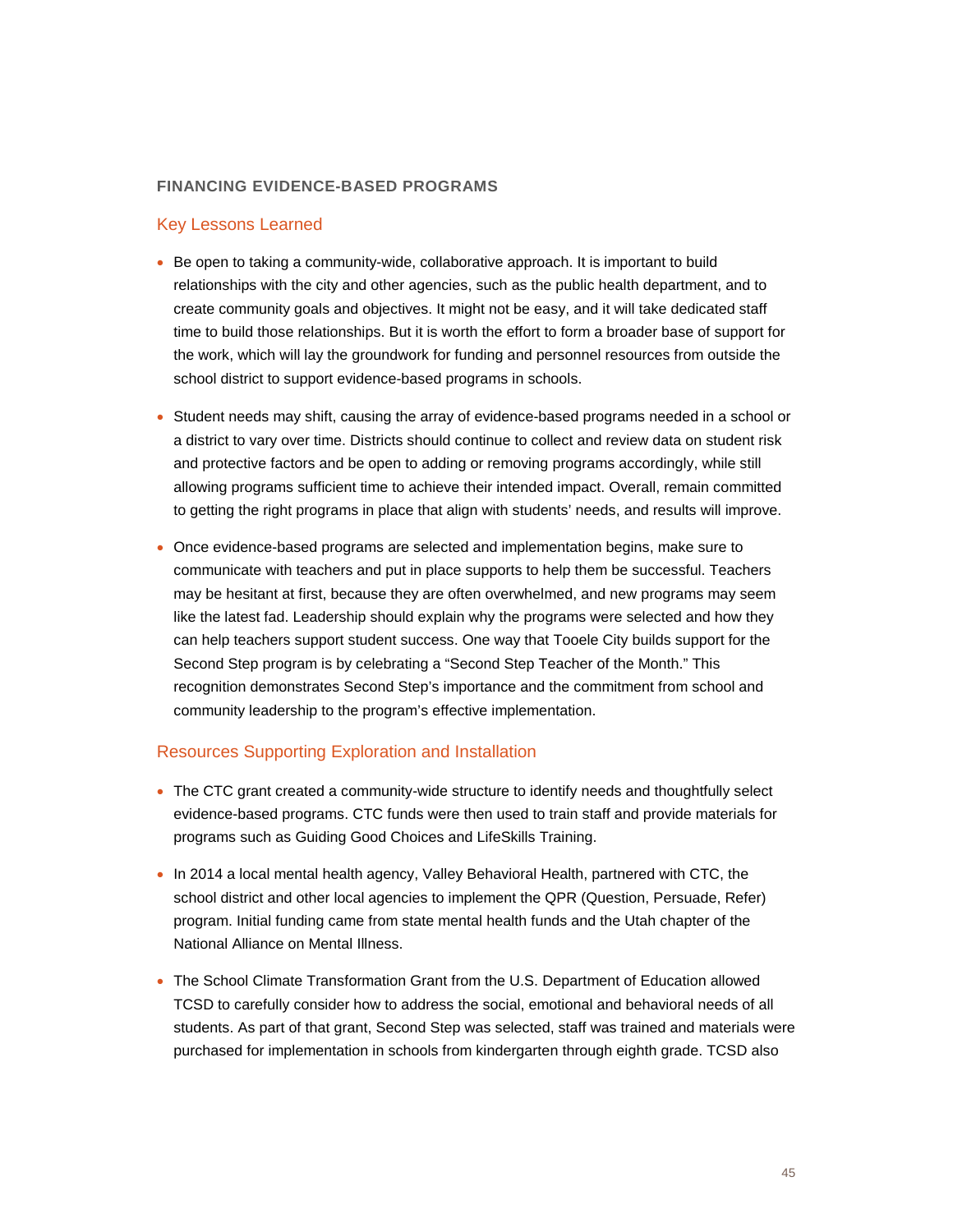#### **FINANCING EVIDENCE-BASED PROGRAMS**

#### Key Lessons Learned

- Be open to taking a community-wide, collaborative approach. It is important to build relationships with the city and other agencies, such as the public health department, and to create community goals and objectives. It might not be easy, and it will take dedicated staff time to build those relationships. But it is worth the effort to form a broader base of support for the work, which will lay the groundwork for funding and personnel resources from outside the school district to support evidence-based programs in schools.
- Student needs may shift, causing the array of evidence-based programs needed in a school or a district to vary over time. Districts should continue to collect and review data on student risk and protective factors and be open to adding or removing programs accordingly, while still allowing programs sufficient time to achieve their intended impact. Overall, remain committed to getting the right programs in place that align with students' needs, and results will improve.
- Once evidence-based programs are selected and implementation begins, make sure to communicate with teachers and put in place supports to help them be successful. Teachers may be hesitant at first, because they are often overwhelmed, and new programs may seem like the latest fad. Leadership should explain why the programs were selected and how they can help teachers support student success. One way that Tooele City builds support for the Second Step program is by celebrating a "Second Step Teacher of the Month." This recognition demonstrates Second Step's importance and the commitment from school and community leadership to the program's effective implementation.

#### Resources Supporting Exploration and Installation

- The CTC grant created a community-wide structure to identify needs and thoughtfully select evidence-based programs. CTC funds were then used to train staff and provide materials for programs such as Guiding Good Choices and LifeSkills Training.
- In 2014 a local mental health agency, Valley Behavioral Health, partnered with CTC, the school district and other local agencies to implement the QPR (Question, Persuade, Refer) program. Initial funding came from state mental health funds and the Utah chapter of the National Alliance on Mental Illness.
- The School Climate Transformation Grant from the U.S. Department of Education allowed TCSD to carefully consider how to address the social, emotional and behavioral needs of all students. As part of that grant, Second Step was selected, staff was trained and materials were purchased for implementation in schools from kindergarten through eighth grade. TCSD also